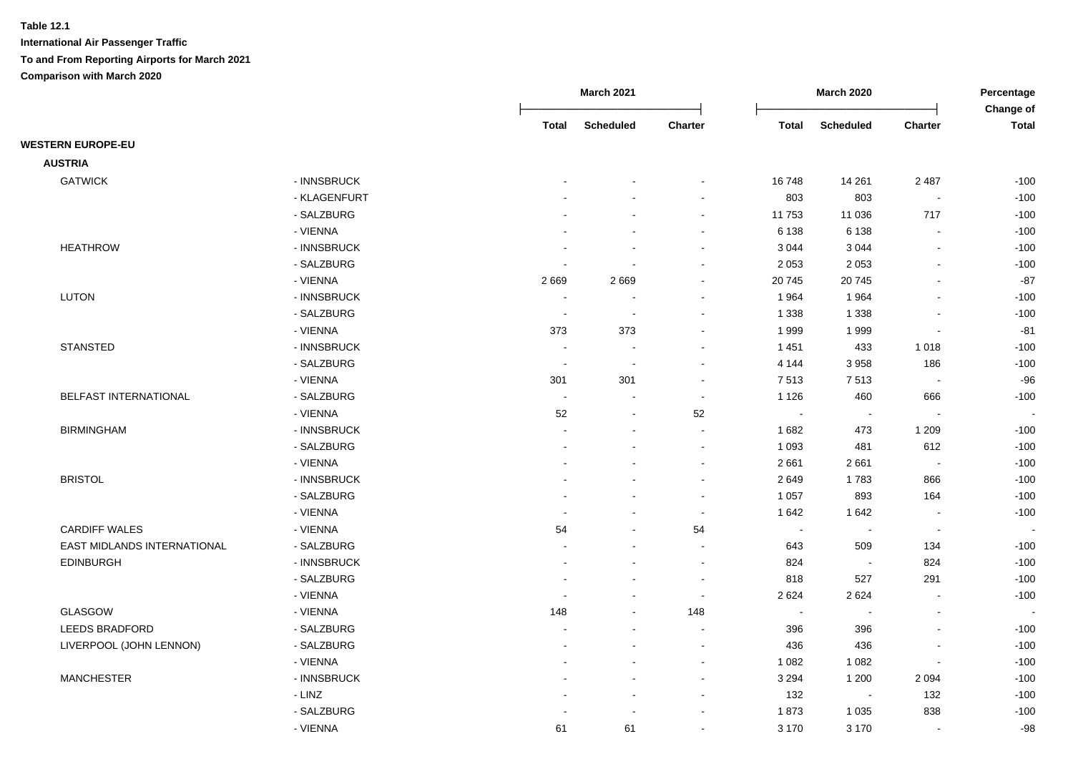|                             |              |                          | <b>March 2021</b>        |                |              | <b>March 2020</b>        |                          | Percentage<br>Change of |
|-----------------------------|--------------|--------------------------|--------------------------|----------------|--------------|--------------------------|--------------------------|-------------------------|
|                             |              | <b>Total</b>             | <b>Scheduled</b>         | Charter        | <b>Total</b> | <b>Scheduled</b>         | Charter                  | <b>Total</b>            |
| <b>WESTERN EUROPE-EU</b>    |              |                          |                          |                |              |                          |                          |                         |
| <b>AUSTRIA</b>              |              |                          |                          |                |              |                          |                          |                         |
| <b>GATWICK</b>              | - INNSBRUCK  |                          |                          |                | 16748        | 14 261                   | 2 4 8 7                  | $-100$                  |
|                             | - KLAGENFURT |                          |                          | $\sim$         | 803          | 803                      | $\overline{\phantom{a}}$ | $-100$                  |
|                             | - SALZBURG   |                          |                          | $\sim$         | 11753        | 11 0 36                  | 717                      | $-100$                  |
|                             | - VIENNA     |                          |                          |                | 6 1 3 8      | 6 1 3 8                  |                          | $-100$                  |
| <b>HEATHROW</b>             | - INNSBRUCK  |                          |                          |                | 3 0 4 4      | 3 0 4 4                  | $\overline{a}$           | $-100$                  |
|                             | - SALZBURG   |                          |                          |                | 2 0 5 3      | 2 0 5 3                  | $\overline{a}$           | $-100$                  |
|                             | - VIENNA     | 2669                     | 2669                     | $\sim$         | 20 745       | 20745                    | $\blacksquare$           | $-87$                   |
| <b>LUTON</b>                | - INNSBRUCK  | $\blacksquare$           | $\blacksquare$           | $\sim$         | 1964         | 1964                     | $\blacksquare$           | $-100$                  |
|                             | - SALZBURG   | $\blacksquare$           | $\sim$                   | $\sim$         | 1 3 3 8      | 1 3 3 8                  | $\overline{a}$           | $-100$                  |
|                             | - VIENNA     | 373                      | 373                      | $\sim$         | 1999         | 1999                     | $\sim$                   | $-81$                   |
| <b>STANSTED</b>             | - INNSBRUCK  | $\sim$                   | $\blacksquare$           | $\sim$         | 1 4 5 1      | 433                      | 1018                     | $-100$                  |
|                             | - SALZBURG   | $\sim$                   | $\sim$                   | $\sim$         | 4 1 4 4      | 3 9 5 8                  | 186                      | $-100$                  |
|                             | - VIENNA     | 301                      | 301                      | $\sim$         | 7513         | 7513                     | $\overline{\phantom{a}}$ | $-96$                   |
| BELFAST INTERNATIONAL       | - SALZBURG   | $\sim$                   |                          | $\sim$         | 1 1 2 6      | 460                      | 666                      | $-100$                  |
|                             | - VIENNA     | 52                       | $\blacksquare$           | 52             | $\sim$       | $\overline{\phantom{a}}$ |                          |                         |
| <b>BIRMINGHAM</b>           | - INNSBRUCK  |                          |                          |                | 1682         | 473                      | 1 2 0 9                  | $-100$                  |
|                             | - SALZBURG   |                          |                          | $\sim$         | 1 0 9 3      | 481                      | 612                      | $-100$                  |
|                             | - VIENNA     |                          |                          | $\sim$         | 2661         | 2661                     | $\overline{\phantom{a}}$ | $-100$                  |
| <b>BRISTOL</b>              | - INNSBRUCK  |                          |                          | $\sim$         | 2649         | 1783                     | 866                      | $-100$                  |
|                             | - SALZBURG   | $\blacksquare$           | $\sim$                   | $\sim$         | 1 0 5 7      | 893                      | 164                      | $-100$                  |
|                             | - VIENNA     | $\overline{\phantom{a}}$ | $\overline{\phantom{a}}$ | $\sim$         | 1 642        | 1642                     | $\blacksquare$           | $-100$                  |
| <b>CARDIFF WALES</b>        | - VIENNA     | 54                       | $\sim$                   | 54             | $\sim$       | $\sim$                   | $\overline{\phantom{a}}$ |                         |
| EAST MIDLANDS INTERNATIONAL | - SALZBURG   | $\blacksquare$           | $\sim$                   | $\blacksquare$ | 643          | 509                      | 134                      | $-100$                  |
| <b>EDINBURGH</b>            | - INNSBRUCK  |                          |                          | $\sim$         | 824          | $\sim$                   | 824                      | $-100$                  |
|                             | - SALZBURG   |                          |                          | $\sim$         | 818          | 527                      | 291                      | $-100$                  |
|                             | - VIENNA     |                          |                          | $\sim$         | 2 6 2 4      | 2624                     |                          | $-100$                  |
| GLASGOW                     | - VIENNA     | 148                      |                          | 148            | $\sim$       | $\overline{\phantom{a}}$ | $\blacksquare$           |                         |
| LEEDS BRADFORD              | - SALZBURG   |                          |                          |                | 396          | 396                      |                          | $-100$                  |
| LIVERPOOL (JOHN LENNON)     | - SALZBURG   |                          |                          | $\sim$         | 436          | 436                      | $\blacksquare$           | $-100$                  |
|                             | - VIENNA     |                          |                          | $\sim$         | 1 0 8 2      | 1 0 8 2                  | $\blacksquare$           | $-100$                  |
| <b>MANCHESTER</b>           | - INNSBRUCK  |                          | $\overline{\phantom{a}}$ | $\sim$         | 3 2 9 4      | 1 200                    | 2 0 9 4                  | $-100$                  |
|                             | $-LINZ$      |                          |                          | $\sim$         | 132          | $\sim$                   | 132                      | $-100$                  |
|                             | - SALZBURG   |                          |                          |                | 1873         | 1 0 3 5                  | 838                      | $-100$                  |
|                             | - VIENNA     | 61                       | 61                       | $\sim$         | 3 1 7 0      | 3 1 7 0                  | $\overline{a}$           | $-98$                   |
|                             |              |                          |                          |                |              |                          |                          |                         |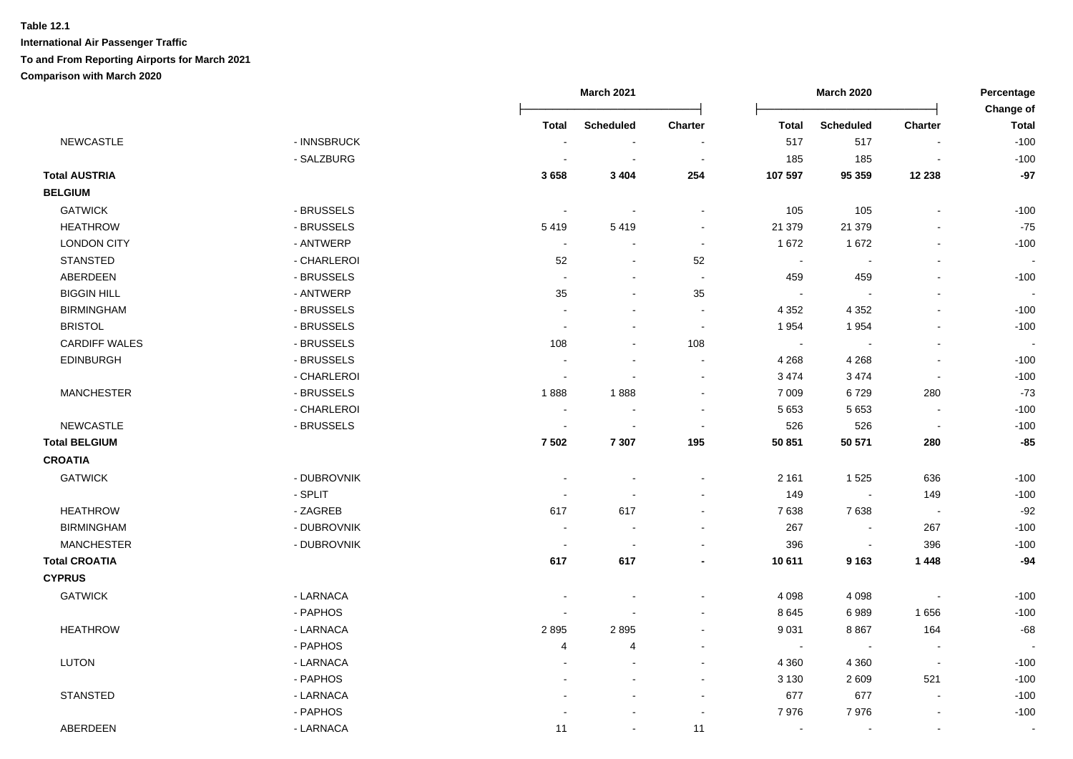|                      |             |                          | <b>March 2021</b>        |                |              | <b>March 2020</b>        |                              | Percentage                |
|----------------------|-------------|--------------------------|--------------------------|----------------|--------------|--------------------------|------------------------------|---------------------------|
|                      |             | <b>Total</b>             | <b>Scheduled</b>         | <b>Charter</b> | <b>Total</b> | <b>Scheduled</b>         | Charter                      | Change of<br><b>Total</b> |
| NEWCASTLE            | - INNSBRUCK |                          | $\blacksquare$           |                | 517          | 517                      |                              | $-100$                    |
|                      | - SALZBURG  |                          | $\blacksquare$           | $\sim$         | 185          | 185                      |                              | $-100$                    |
| <b>Total AUSTRIA</b> |             | 3658                     | 3 4 0 4                  | 254            | 107 597      | 95 359                   | 12 238                       | $-97$                     |
| <b>BELGIUM</b>       |             |                          |                          |                |              |                          |                              |                           |
| <b>GATWICK</b>       | - BRUSSELS  | $\overline{\phantom{a}}$ | $\sim$                   |                | 105          | 105                      | $\blacksquare$               | $-100$                    |
| <b>HEATHROW</b>      | - BRUSSELS  | 5419                     | 5419                     | $\sim$         | 21 379       | 21 379                   | $\blacksquare$               | $-75$                     |
| <b>LONDON CITY</b>   | - ANTWERP   | $\sim$                   | $\blacksquare$           | $\blacksquare$ | 1672         | 1672                     | $\blacksquare$               | $-100$                    |
| <b>STANSTED</b>      | - CHARLEROI | 52                       | $\overline{\phantom{a}}$ | 52             | $\sim$       | $\overline{\phantom{a}}$ | $\qquad \qquad \blacksquare$ |                           |
| ABERDEEN             | - BRUSSELS  | $\blacksquare$           | $\blacksquare$           | $\blacksquare$ | 459          | 459                      | ä,                           | $-100$                    |
| <b>BIGGIN HILL</b>   | - ANTWERP   | 35                       | $\blacksquare$           | 35             | $\sim$       |                          |                              |                           |
| <b>BIRMINGHAM</b>    | - BRUSSELS  | ÷                        | $\overline{a}$           | $\sim$         | 4 3 5 2      | 4 3 5 2                  | $\blacksquare$               | $-100$                    |
| <b>BRISTOL</b>       | - BRUSSELS  | $\ddot{\phantom{a}}$     |                          | $\blacksquare$ | 1954         | 1954                     | $\blacksquare$               | $-100$                    |
| <b>CARDIFF WALES</b> | - BRUSSELS  | 108                      | $\blacksquare$           | 108            | $\sim$       |                          | ä,                           |                           |
| <b>EDINBURGH</b>     | - BRUSSELS  |                          | $\sim$                   | $\blacksquare$ | 4 2 6 8      | 4 2 6 8                  | $\overline{\phantom{a}}$     | $-100$                    |
|                      | - CHARLEROI |                          |                          |                | 3 4 7 4      | 3 4 7 4                  | $\sim$                       | $-100$                    |
| <b>MANCHESTER</b>    | - BRUSSELS  | 1888                     | 1888                     |                | 7 0 0 9      | 6729                     | 280                          | $-73$                     |
|                      | - CHARLEROI | $\blacksquare$           |                          |                | 5 6 5 3      | 5 6 5 3                  | $\sim$                       | $-100$                    |
| <b>NEWCASTLE</b>     | - BRUSSELS  | $\blacksquare$           | $\blacksquare$           | $\sim$         | 526          | 526                      | $\blacksquare$               | $-100$                    |
| <b>Total BELGIUM</b> |             | 7 5 0 2                  | 7 3 0 7                  | 195            | 50 851       | 50 571                   | 280                          | $-85$                     |
| <b>CROATIA</b>       |             |                          |                          |                |              |                          |                              |                           |
| <b>GATWICK</b>       | - DUBROVNIK | $\overline{\phantom{a}}$ |                          |                | 2 1 6 1      | 1525                     | 636                          | $-100$                    |
|                      | - SPLIT     |                          |                          |                | 149          | $\blacksquare$           | 149                          | $-100$                    |
| <b>HEATHROW</b>      | - ZAGREB    | 617                      | 617                      | $\sim$         | 7638         | 7638                     | $\sim$                       | $-92$                     |
| <b>BIRMINGHAM</b>    | - DUBROVNIK | $\overline{\phantom{a}}$ | ÷                        |                | 267          | $\sim$                   | 267                          | $-100$                    |
| <b>MANCHESTER</b>    | - DUBROVNIK | $\sim$                   | $\sim$                   |                | 396          | $\sim$                   | 396                          | $-100$                    |
| <b>Total CROATIA</b> |             | 617                      | 617                      | $\blacksquare$ | 10 611       | 9 1 6 3                  | 1 4 4 8                      | $-94$                     |
| <b>CYPRUS</b>        |             |                          |                          |                |              |                          |                              |                           |
| <b>GATWICK</b>       | - LARNACA   | $\overline{\phantom{a}}$ |                          |                | 4 0 9 8      | 4 0 9 8                  | $\overline{\phantom{a}}$     | $-100$                    |
|                      | - PAPHOS    | $\blacksquare$           |                          |                | 8 6 4 5      | 6989                     | 1656                         | $-100$                    |
| <b>HEATHROW</b>      | - LARNACA   | 2895                     | 2895                     |                | 9 0 31       | 8867                     | 164                          | $-68$                     |
|                      | - PAPHOS    | 4                        | 4                        |                | $\bullet$    |                          |                              |                           |
| <b>LUTON</b>         | - LARNACA   | ÷                        |                          |                | 4 3 6 0      | 4 3 6 0                  | $\overline{\phantom{a}}$     | $-100$                    |
|                      | - PAPHOS    |                          |                          |                | 3 1 3 0      | 2 6 0 9                  | 521                          | $-100$                    |
| STANSTED             | - LARNACA   |                          |                          | $\sim$         | 677          | 677                      | $\blacksquare$               | $-100$                    |
|                      | - PAPHOS    |                          |                          | $\sim$         | 7976         | 7976                     | $\blacksquare$               | $-100$                    |
| ABERDEEN             | - LARNACA   | 11                       | $\sim$                   | 11             | $\sim$       | $\sim$                   | $\sim$                       | $\sim$                    |
|                      |             |                          |                          |                |              |                          |                              |                           |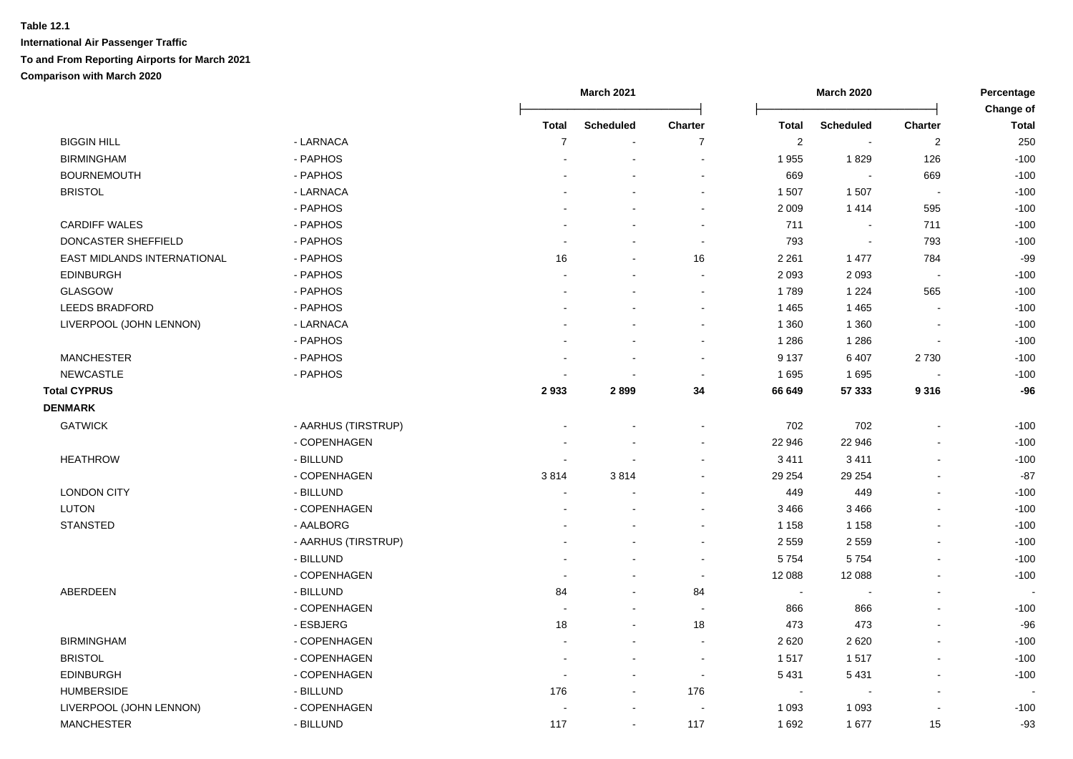|                             |                     | <b>March 2021</b> |                          |                |              | <b>March 2020</b>        |                | Percentage                |
|-----------------------------|---------------------|-------------------|--------------------------|----------------|--------------|--------------------------|----------------|---------------------------|
|                             |                     | <b>Total</b>      | <b>Scheduled</b>         | Charter        | <b>Total</b> | <b>Scheduled</b>         | Charter        | Change of<br><b>Total</b> |
| <b>BIGGIN HILL</b>          | - LARNACA           | $\overline{7}$    |                          | $\overline{7}$ | $\sqrt{2}$   | $\blacksquare$           | $\overline{2}$ | 250                       |
| <b>BIRMINGHAM</b>           | - PAPHOS            |                   |                          |                | 1955         | 1829                     | 126            | $-100$                    |
| <b>BOURNEMOUTH</b>          | - PAPHOS            |                   |                          |                | 669          | $\overline{\phantom{a}}$ | 669            | $-100$                    |
| <b>BRISTOL</b>              | - LARNACA           |                   |                          | $\sim$         | 1 507        | 1507                     | $\sim$         | $-100$                    |
|                             | - PAPHOS            |                   |                          | $\sim$         | 2 0 0 9      | 1414                     | 595            | $-100$                    |
| <b>CARDIFF WALES</b>        | - PAPHOS            |                   |                          | $\sim$         | 711          | $\blacksquare$           | 711            | $-100$                    |
| DONCASTER SHEFFIELD         | - PAPHOS            |                   |                          | $\sim$         | 793          | $\overline{\phantom{a}}$ | 793            | $-100$                    |
| EAST MIDLANDS INTERNATIONAL | - PAPHOS            | 16                |                          | 16             | 2 2 6 1      | 1 477                    | 784            | $-99$                     |
| <b>EDINBURGH</b>            | - PAPHOS            |                   |                          | $\sim$         | 2 0 9 3      | 2 0 9 3                  | $\blacksquare$ | $-100$                    |
| <b>GLASGOW</b>              | - PAPHOS            |                   |                          | $\sim$         | 1789         | 1 2 2 4                  | 565            | $-100$                    |
| LEEDS BRADFORD              | - PAPHOS            |                   |                          | $\sim$         | 1465         | 1 4 6 5                  |                | $-100$                    |
| LIVERPOOL (JOHN LENNON)     | - LARNACA           |                   |                          |                | 1 3 6 0      | 1 3 6 0                  |                | $-100$                    |
|                             | - PAPHOS            |                   |                          |                | 1 2 8 6      | 1 2 8 6                  |                | $-100$                    |
| <b>MANCHESTER</b>           | - PAPHOS            |                   |                          |                | 9 1 3 7      | 6 4 0 7                  | 2730           | $-100$                    |
| <b>NEWCASTLE</b>            | - PAPHOS            |                   |                          | $\sim$         | 1695         | 1695                     |                | $-100$                    |
| <b>Total CYPRUS</b>         |                     | 2933              | 2899                     | 34             | 66 649       | 57 333                   | 9316           | $-96$                     |
| <b>DENMARK</b>              |                     |                   |                          |                |              |                          |                |                           |
| <b>GATWICK</b>              | - AARHUS (TIRSTRUP) |                   |                          |                | 702          | 702                      |                | $-100$                    |
|                             | - COPENHAGEN        |                   |                          |                | 22 946       | 22 946                   |                | $-100$                    |
| <b>HEATHROW</b>             | - BILLUND           |                   |                          |                | 3 4 1 1      | 3411                     |                | $-100$                    |
|                             | - COPENHAGEN        | 3814              | 3814                     |                | 29 254       | 29 254                   |                | $-87$                     |
| <b>LONDON CITY</b>          | - BILLUND           | $\sim$            |                          |                | 449          | 449                      | $\overline{a}$ | $-100$                    |
| LUTON                       | - COPENHAGEN        |                   |                          |                | 3 4 6 6      | 3 4 6 6                  |                | $-100$                    |
| <b>STANSTED</b>             | - AALBORG           |                   |                          |                | 1 1 5 8      | 1 1 5 8                  |                | $-100$                    |
|                             | - AARHUS (TIRSTRUP) |                   |                          |                | 2 5 5 9      | 2 5 5 9                  |                | $-100$                    |
|                             | - BILLUND           |                   |                          |                | 5754         | 5754                     | $\blacksquare$ | $-100$                    |
|                             | - COPENHAGEN        |                   |                          | $\sim$         | 12 088       | 12 088                   |                | $-100$                    |
| ABERDEEN                    | - BILLUND           | 84                | $\overline{\phantom{a}}$ | 84             | $\sim$       | $\overline{a}$           | $\blacksquare$ |                           |
|                             | - COPENHAGEN        |                   | $\blacksquare$           |                | 866          | 866                      |                | $-100$                    |
|                             | - ESBJERG           | 18                |                          | 18             | 473          | 473                      |                | $-96$                     |
| <b>BIRMINGHAM</b>           | - COPENHAGEN        |                   |                          |                | 2 6 2 0      | 2 6 2 0                  |                | $-100$                    |
| <b>BRISTOL</b>              | - COPENHAGEN        |                   |                          | $\sim$         | 1517         | 1517                     |                | $-100$                    |
| <b>EDINBURGH</b>            | - COPENHAGEN        |                   | $\overline{\phantom{a}}$ | $\sim$         | 5 4 31       | 5 4 31                   |                | $-100$                    |
| <b>HUMBERSIDE</b>           | - BILLUND           | 176               | $\blacksquare$           | 176            | $\sim$       | $\overline{a}$           | $\overline{a}$ |                           |
| LIVERPOOL (JOHN LENNON)     | - COPENHAGEN        |                   | $\sim$                   |                | 1 0 9 3      | 1 0 9 3                  | $\overline{a}$ | $-100$                    |
| <b>MANCHESTER</b>           | - BILLUND           | 117               | $\blacksquare$           | 117            | 1692         | 1677                     | 15             | $-93$                     |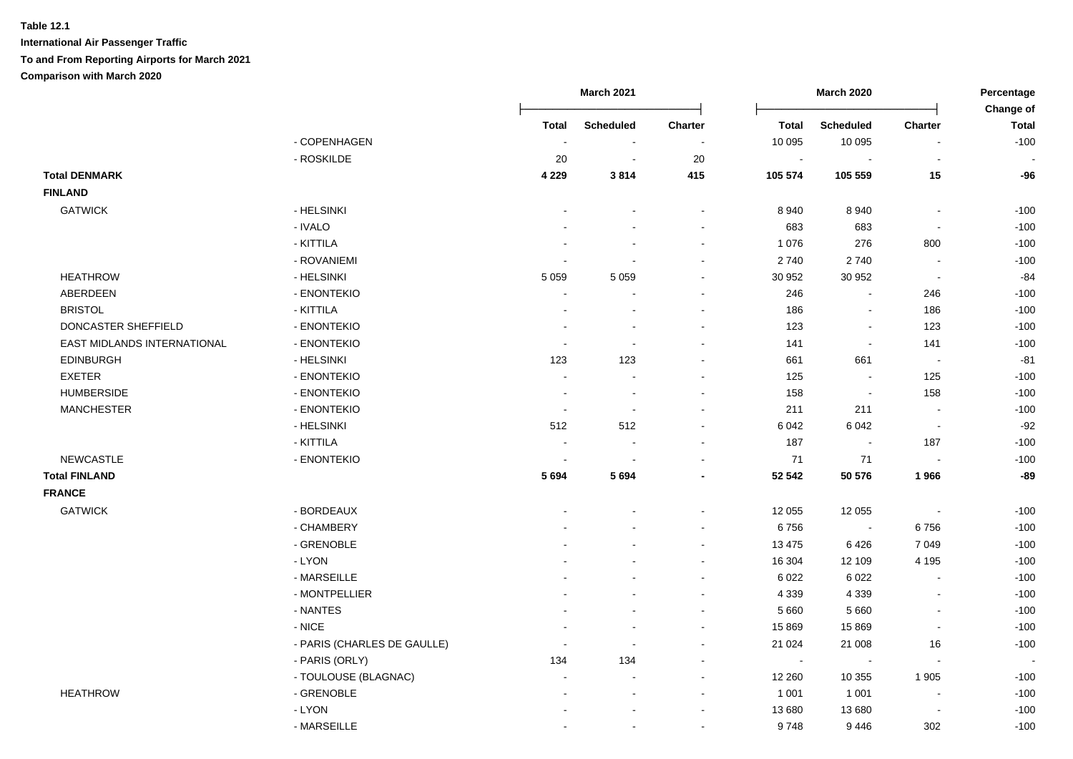|                             |                             |                          | <b>March 2021</b>        |                          |                | <b>March 2020</b>        |                          | Percentage                |
|-----------------------------|-----------------------------|--------------------------|--------------------------|--------------------------|----------------|--------------------------|--------------------------|---------------------------|
|                             |                             | <b>Total</b>             | <b>Scheduled</b>         | <b>Charter</b>           | Total          | <b>Scheduled</b>         | <b>Charter</b>           | Change of<br><b>Total</b> |
|                             | - COPENHAGEN                | $\sim$                   | $\sim$                   |                          | 10 095         | 10 095                   |                          | $-100$                    |
|                             | - ROSKILDE                  | 20                       | $\sim$                   | 20                       | $\sim$         |                          |                          |                           |
| <b>Total DENMARK</b>        |                             | 4 2 2 9                  | 3814                     | 415                      | 105 574        | 105 559                  | 15                       | $-96$                     |
| <b>FINLAND</b>              |                             |                          |                          |                          |                |                          |                          |                           |
| <b>GATWICK</b>              | - HELSINKI                  |                          |                          |                          | 8 9 4 0        | 8 9 4 0                  | $\blacksquare$           | $-100$                    |
|                             | - IVALO                     | $\sim$                   | $\overline{\phantom{a}}$ | $\overline{\phantom{a}}$ | 683            | 683                      | $\blacksquare$           | $-100$                    |
|                             | - KITTILA                   | $\sim$                   | $\sim$                   | $\sim$                   | 1 0 7 6        | 276                      | 800                      | $-100$                    |
|                             | - ROVANIEMI                 | $\sim$                   | $\blacksquare$           | $\blacksquare$           | 2740           | 2740                     | $\sim$                   | $-100$                    |
| <b>HEATHROW</b>             | - HELSINKI                  | 5 0 5 9                  | 5 0 5 9                  | $\sim$                   | 30 952         | 30 952                   | $\blacksquare$           | $-84$                     |
| ABERDEEN                    | - ENONTEKIO                 |                          |                          | $\overline{\phantom{a}}$ | 246            | $\blacksquare$           | 246                      | $-100$                    |
| <b>BRISTOL</b>              | - KITTILA                   |                          | $\blacksquare$           | $\blacksquare$           | 186            | $\blacksquare$           | 186                      | $-100$                    |
| DONCASTER SHEFFIELD         | - ENONTEKIO                 | $\sim$                   | $\blacksquare$           | $\sim$                   | 123            | $\blacksquare$           | 123                      | $-100$                    |
| EAST MIDLANDS INTERNATIONAL | - ENONTEKIO                 | $\sim$                   | $\sim$                   | $\sim$                   | 141            | $\sim$                   | 141                      | $-100$                    |
| <b>EDINBURGH</b>            | - HELSINKI                  | 123                      | 123                      | $\blacksquare$           | 661            | 661                      | $\sim$                   | $-81$                     |
| <b>EXETER</b>               | - ENONTEKIO                 | $\sim$                   | $\overline{\phantom{a}}$ | ÷                        | 125            |                          | 125                      | $-100$                    |
| <b>HUMBERSIDE</b>           | - ENONTEKIO                 | $\sim$                   |                          |                          | 158            |                          | 158                      | $-100$                    |
| <b>MANCHESTER</b>           | - ENONTEKIO                 | $\overline{\phantom{a}}$ | $\sim$                   | ÷                        | 211            | 211                      | $\sim$                   | $-100$                    |
|                             | - HELSINKI                  | 512                      | 512                      | ÷                        | 6 0 4 2        | 6 0 4 2                  | $\overline{\phantom{a}}$ | $-92$                     |
|                             | - KITTILA                   | $\sim$                   | $\sim$                   | $\sim$                   | 187            |                          | 187                      | $-100$                    |
| <b>NEWCASTLE</b>            | - ENONTEKIO                 | $\sim$                   | $\sim$                   | $\overline{\phantom{a}}$ | 71             | 71                       | $\blacksquare$           | $-100$                    |
| <b>Total FINLAND</b>        |                             | 5694                     | 5694                     |                          | 52 542         | 50 576                   | 1966                     | -89                       |
| <b>FRANCE</b>               |                             |                          |                          |                          |                |                          |                          |                           |
| <b>GATWICK</b>              | - BORDEAUX                  |                          |                          |                          | 12 055         | 12 0 55                  | $\Delta$                 | $-100$                    |
|                             | - CHAMBERY                  |                          |                          |                          | 6756           | $\sim$                   | 6756                     | $-100$                    |
|                             | - GRENOBLE                  |                          |                          |                          | 13 4 7 5       | 6426                     | 7 0 4 9                  | $-100$                    |
|                             | - LYON                      |                          |                          | $\overline{\phantom{a}}$ | 16 304         | 12 109                   | 4 1 9 5                  | $-100$                    |
|                             | - MARSEILLE                 |                          |                          | $\sim$                   | 6 0 2 2        | 6 0 2 2                  | $\blacksquare$           | $-100$                    |
|                             | - MONTPELLIER               |                          |                          | $\overline{\phantom{a}}$ | 4 3 3 9        | 4 3 3 9                  | $\blacksquare$           | $-100$                    |
|                             | - NANTES                    |                          |                          | $\overline{\phantom{a}}$ | 5 6 6 0        | 5 6 6 0                  | $\blacksquare$           | $-100$                    |
|                             | - NICE                      |                          |                          |                          | 15 869         | 15 869                   | $\sim$                   | $-100$                    |
|                             | - PARIS (CHARLES DE GAULLE) |                          | ÷,                       |                          | 21 0 24        | 21 008                   | 16                       | $-100$                    |
|                             | - PARIS (ORLY)              | 134                      | 134                      | $\overline{\phantom{a}}$ | $\blacksquare$ | $\overline{\phantom{a}}$ | $\blacksquare$           | $\overline{\phantom{a}}$  |
|                             | - TOULOUSE (BLAGNAC)        | $\sim$                   | $\sim$                   | $\sim$                   | 12 260         | 10 355                   | 1905                     | $-100$                    |
| <b>HEATHROW</b>             | - GRENOBLE                  |                          | $\sim$                   | $\sim$                   | 1 0 0 1        | 1 0 0 1                  | $\blacksquare$           | $-100$                    |
|                             | - LYON                      |                          | $\blacksquare$           | $\overline{\phantom{a}}$ | 13 680         | 13 680                   | $\blacksquare$           | $-100$                    |
|                             | - MARSEILLE                 |                          | $\blacksquare$           | $\blacksquare$           | 9748           | 9446                     | 302                      | $-100$                    |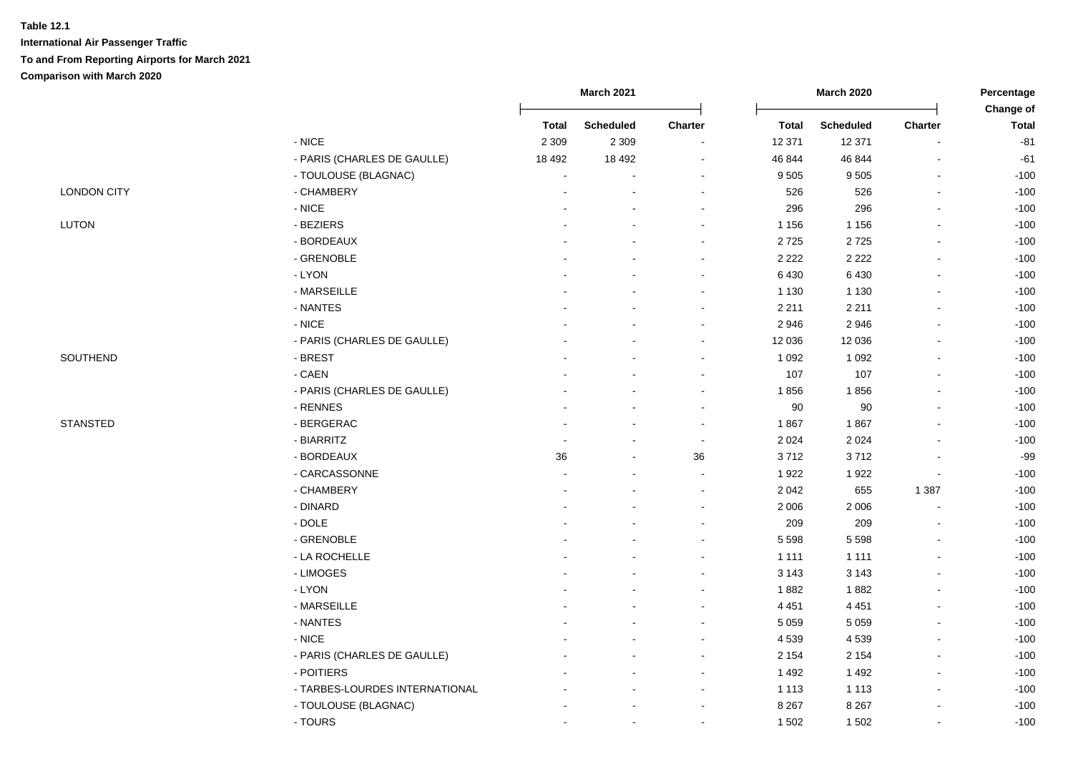|                    |                                | <b>March 2021</b> |                  |                          | <b>March 2020</b> | Percentage       |                          |                           |
|--------------------|--------------------------------|-------------------|------------------|--------------------------|-------------------|------------------|--------------------------|---------------------------|
|                    |                                | <b>Total</b>      | <b>Scheduled</b> | <b>Charter</b>           | <b>Total</b>      | <b>Scheduled</b> | <b>Charter</b>           | Change of<br><b>Total</b> |
|                    | $-$ NICE                       | 2 3 0 9           | 2 3 0 9          |                          | 12 371            | 12 371           |                          | $-81$                     |
|                    | - PARIS (CHARLES DE GAULLE)    | 18 4 9 2          | 18 4 9 2         | $\blacksquare$           | 46 844            | 46 844           |                          | $-61$                     |
|                    | - TOULOUSE (BLAGNAC)           |                   |                  | $\blacksquare$           | 9 5 0 5           | 9505             |                          | $-100$                    |
| <b>LONDON CITY</b> | - CHAMBERY                     |                   |                  | $\blacksquare$           | 526               | 526              | $\blacksquare$           | $-100$                    |
|                    | $\hbox{-}$ NICE                |                   |                  | $\blacksquare$           | 296               | 296              | $\blacksquare$           | $-100$                    |
| <b>LUTON</b>       | - BEZIERS                      |                   |                  | $\blacksquare$           | 1 1 5 6           | 1 1 5 6          | ä,                       | $-100$                    |
|                    | - BORDEAUX                     |                   |                  | $\overline{\phantom{a}}$ | 2725              | 2725             | $\overline{\phantom{a}}$ | $-100$                    |
|                    | - GRENOBLE                     |                   |                  | $\blacksquare$           | 2 2 2 2           | 2 2 2 2          | $\blacksquare$           | $-100$                    |
|                    | - LYON                         |                   |                  | $\blacksquare$           | 6 4 3 0           | 6 4 3 0          | $\blacksquare$           | $-100$                    |
|                    | - MARSEILLE                    |                   |                  | $\blacksquare$           | 1 1 3 0           | 1 1 3 0          | ä,                       | $-100$                    |
|                    | - NANTES                       |                   |                  | $\blacksquare$           | 2 2 1 1           | 2 2 1 1          | ä,                       | $-100$                    |
|                    | $-$ NICE                       |                   |                  | $\blacksquare$           | 2946              | 2946             | $\blacksquare$           | $-100$                    |
|                    | - PARIS (CHARLES DE GAULLE)    |                   |                  | $\blacksquare$           | 12 036            | 12 0 36          | ä,                       | $-100$                    |
| SOUTHEND           | - BREST                        |                   |                  | ÷                        | 1 0 9 2           | 1 0 9 2          |                          | $-100$                    |
|                    | $-CAEN$                        |                   |                  | $\overline{a}$           | 107               | 107              |                          | $-100$                    |
|                    | - PARIS (CHARLES DE GAULLE)    |                   |                  | $\sim$                   | 1856              | 1856             | $\blacksquare$           | $-100$                    |
|                    | - RENNES                       |                   |                  | $\sim$                   | $90\,$            | $90\,$           |                          | $-100$                    |
| <b>STANSTED</b>    | - BERGERAC                     |                   |                  | $\sim$                   | 1867              | 1867             | $\blacksquare$           | $-100$                    |
|                    | - BIARRITZ                     |                   |                  | $\sim$                   | 2 0 2 4           | 2 0 2 4          |                          | $-100$                    |
|                    | - BORDEAUX                     | 36                |                  | 36                       | 3712              | 3712             | $\blacksquare$           | $-99$                     |
|                    | - CARCASSONNE                  |                   |                  | $\sim$                   | 1922              | 1922             | $\blacksquare$           | $-100$                    |
|                    | - CHAMBERY                     |                   |                  | $\blacksquare$           | 2 0 4 2           | 655              | 1 3 8 7                  | $-100$                    |
|                    | - DINARD                       |                   |                  | $\blacksquare$           | 2 0 0 6           | 2 0 0 6          | $\overline{a}$           | $-100$                    |
|                    | $-DOLE$                        |                   |                  | $\blacksquare$           | 209               | 209              | $\overline{a}$           | $-100$                    |
|                    | - GRENOBLE                     |                   |                  | $\blacksquare$           | 5 5 9 8           | 5 5 9 8          | ä,                       | $-100$                    |
|                    | - LA ROCHELLE                  |                   |                  | $\blacksquare$           | 1 1 1 1           | 1 1 1 1          | $\overline{a}$           | $-100$                    |
|                    | - LIMOGES                      |                   |                  | $\overline{a}$           | 3 1 4 3           | 3 1 4 3          |                          | $-100$                    |
|                    | - LYON                         |                   |                  | $\blacksquare$           | 1882              | 1882             |                          | $-100$                    |
|                    | - MARSEILLE                    |                   |                  | $\sim$                   | 4 4 5 1           | 4 4 5 1          | $\overline{a}$           | $-100$                    |
|                    | - NANTES                       |                   |                  | $\sim$                   | 5 0 5 9           | 5 0 5 9          | ä,                       | $-100$                    |
|                    | $-$ NICE                       |                   |                  | $\blacksquare$           | 4 5 3 9           | 4539             | $\mathbf{r}$             | $-100$                    |
|                    | - PARIS (CHARLES DE GAULLE)    |                   |                  | $\sim$                   | 2 1 5 4           | 2 1 5 4          | $\blacksquare$           | $-100$                    |
|                    | - POITIERS                     |                   |                  | $\sim$                   | 1 4 9 2           | 1492             | $\blacksquare$           | $-100$                    |
|                    | - TARBES-LOURDES INTERNATIONAL |                   |                  | $\sim$                   | 1 1 1 3           | 1 1 1 3          | $\blacksquare$           | $-100$                    |
|                    | - TOULOUSE (BLAGNAC)           |                   |                  | $\blacksquare$           | 8 2 6 7           | 8 2 6 7          | $\overline{a}$           | $-100$                    |
|                    | - TOURS                        |                   |                  | $\blacksquare$           | 1 502             | 1502             | $\blacksquare$           | $-100$                    |
|                    |                                |                   |                  |                          |                   |                  |                          |                           |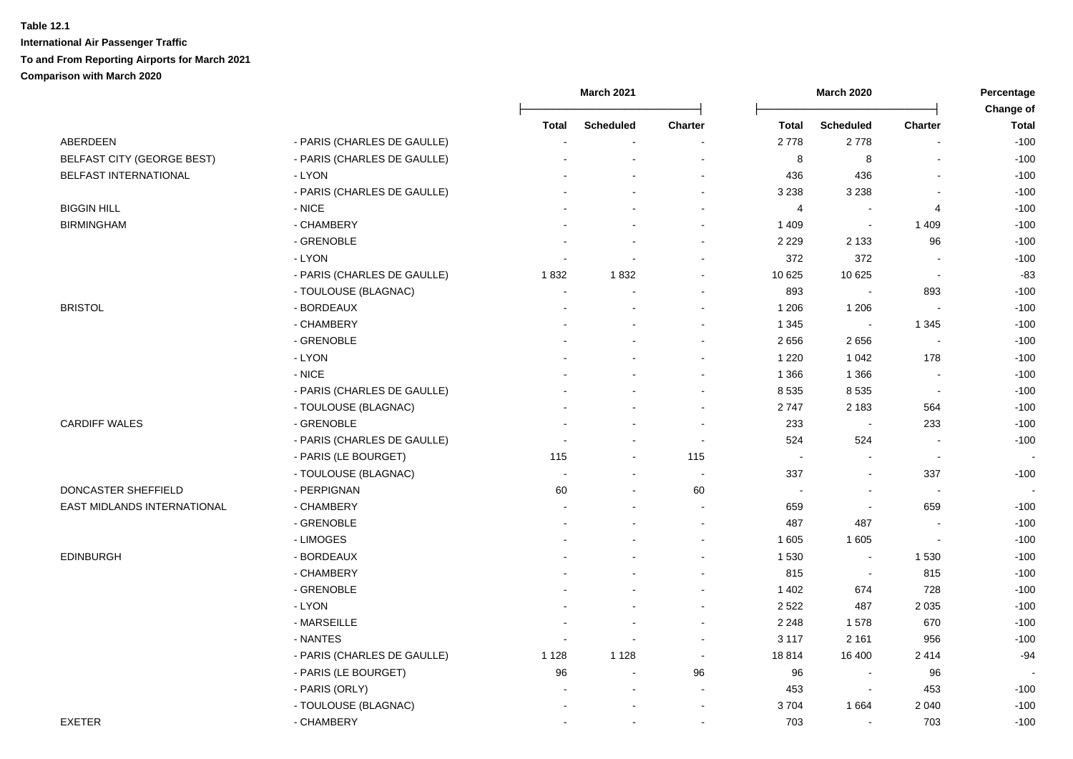|                             |                             | <b>March 2021</b>        |                          |                          |                      | <b>March 2020</b>        |                          |                           |
|-----------------------------|-----------------------------|--------------------------|--------------------------|--------------------------|----------------------|--------------------------|--------------------------|---------------------------|
|                             |                             | <b>Total</b>             | <b>Scheduled</b>         | Charter                  | <b>Total</b>         | <b>Scheduled</b>         | Charter                  | Change of<br><b>Total</b> |
| ABERDEEN                    | - PARIS (CHARLES DE GAULLE) |                          |                          |                          | 2778                 | 2778                     |                          | $-100$                    |
| BELFAST CITY (GEORGE BEST)  | - PARIS (CHARLES DE GAULLE) |                          |                          |                          | 8                    | 8                        |                          | $-100$                    |
| BELFAST INTERNATIONAL       | - LYON                      |                          |                          | $\sim$                   | 436                  | 436                      |                          | $-100$                    |
|                             | - PARIS (CHARLES DE GAULLE) |                          |                          | $\sim$                   | 3 2 3 8              | 3 2 3 8                  | $\sim$                   | $-100$                    |
| <b>BIGGIN HILL</b>          | - NICE                      |                          |                          | $\overline{\phantom{a}}$ | $\overline{4}$       | $\blacksquare$           | 4                        | $-100$                    |
| <b>BIRMINGHAM</b>           | - CHAMBERY                  |                          |                          | $\sim$                   | 1 4 0 9              | $\sim$                   | 1 4 0 9                  | $-100$                    |
|                             | - GRENOBLE                  |                          |                          |                          | 2 2 2 9              | 2 1 3 3                  | 96                       | $-100$                    |
|                             | - LYON                      | $\overline{\phantom{a}}$ | $\sim$                   |                          | 372                  | 372                      | $\overline{\phantom{a}}$ | $-100$                    |
|                             | - PARIS (CHARLES DE GAULLE) | 1832                     | 1832                     |                          | 10 625               | 10 625                   | $\overline{\phantom{a}}$ | $-83$                     |
|                             | - TOULOUSE (BLAGNAC)        |                          |                          | $\overline{\phantom{a}}$ | 893                  |                          | 893                      | $-100$                    |
| <b>BRISTOL</b>              | - BORDEAUX                  |                          |                          |                          | 1 2 0 6              | 1 2 0 6                  | $\sim$                   | $-100$                    |
|                             | - CHAMBERY                  |                          |                          |                          | 1 3 4 5              | $\blacksquare$           | 1 3 4 5                  | $-100$                    |
|                             | - GRENOBLE                  |                          |                          |                          | 2656                 | 2656                     |                          | $-100$                    |
|                             | - LYON                      |                          |                          |                          | 1 2 2 0              | 1 0 4 2                  | 178                      | $-100$                    |
|                             | - NICE                      |                          |                          | $\sim$                   | 1 3 6 6              | 1 3 6 6                  | $\sim$                   | $-100$                    |
|                             | - PARIS (CHARLES DE GAULLE) |                          |                          | $\sim$                   | 8 5 3 5              | 8 5 3 5                  | $\Delta$                 | $-100$                    |
|                             | - TOULOUSE (BLAGNAC)        |                          |                          | $\sim$                   | 2747                 | 2 1 8 3                  | 564                      | $-100$                    |
| <b>CARDIFF WALES</b>        | - GRENOBLE                  |                          | ÷                        | $\sim$                   | 233                  | $\sim$                   | 233                      | $-100$                    |
|                             | - PARIS (CHARLES DE GAULLE) |                          | $\sim$                   | $\sim$                   | 524                  | 524                      | $\blacksquare$           | $-100$                    |
|                             | - PARIS (LE BOURGET)        | 115                      | $\blacksquare$           | 115                      | $\sim$               |                          | $\sim$                   | $\sim$                    |
|                             | - TOULOUSE (BLAGNAC)        |                          |                          | $\overline{\phantom{a}}$ | 337                  | $\blacksquare$           | 337                      | $-100$                    |
| DONCASTER SHEFFIELD         | - PERPIGNAN                 | 60                       | $\sim$                   | 60                       | $\ddot{\phantom{a}}$ | $\blacksquare$           | $\sim$                   | $\overline{\phantom{a}}$  |
| EAST MIDLANDS INTERNATIONAL | - CHAMBERY                  |                          |                          | $\sim$                   | 659                  | $\blacksquare$           | 659                      | $-100$                    |
|                             | - GRENOBLE                  |                          |                          | $\blacksquare$           | 487                  | 487                      |                          | $-100$                    |
|                             | - LIMOGES                   |                          |                          | $\overline{\phantom{a}}$ | 1 605                | 1 605                    | $\sim$                   | $-100$                    |
| <b>EDINBURGH</b>            | - BORDEAUX                  |                          |                          |                          | 1 5 3 0              | $\sim$                   | 1530                     | $-100$                    |
|                             | - CHAMBERY                  |                          |                          |                          | 815                  | $\overline{\phantom{a}}$ | 815                      | $-100$                    |
|                             | - GRENOBLE                  |                          |                          | $\overline{\phantom{a}}$ | 1 4 0 2              | 674                      | 728                      | $-100$                    |
|                             | - LYON                      |                          | $\overline{a}$           | $\sim$                   | 2522                 | 487                      | 2 0 3 5                  | $-100$                    |
|                             | - MARSEILLE                 |                          | $\overline{\phantom{a}}$ | $\blacksquare$           | 2 2 4 8              | 1578                     | 670                      | $-100$                    |
|                             | - NANTES                    | $\blacksquare$           | $\blacksquare$           | $\blacksquare$           | 3 1 1 7              | 2 1 6 1                  | 956                      | $-100$                    |
|                             | - PARIS (CHARLES DE GAULLE) | 1 1 2 8                  | 1 1 2 8                  | $\blacksquare$           | 18814                | 16 400                   | 2414                     | $-94$                     |
|                             | - PARIS (LE BOURGET)        | 96                       | $\blacksquare$           | 96                       | 96                   | $\blacksquare$           | 96                       |                           |
|                             | - PARIS (ORLY)              |                          | $\overline{\phantom{a}}$ | $\blacksquare$           | 453                  | $\blacksquare$           | 453                      | $-100$                    |
|                             |                             |                          |                          |                          |                      |                          |                          |                           |
|                             | - TOULOUSE (BLAGNAC)        |                          |                          | $\blacksquare$           | 3704                 | 1664                     | 2 0 4 0                  | $-100$                    |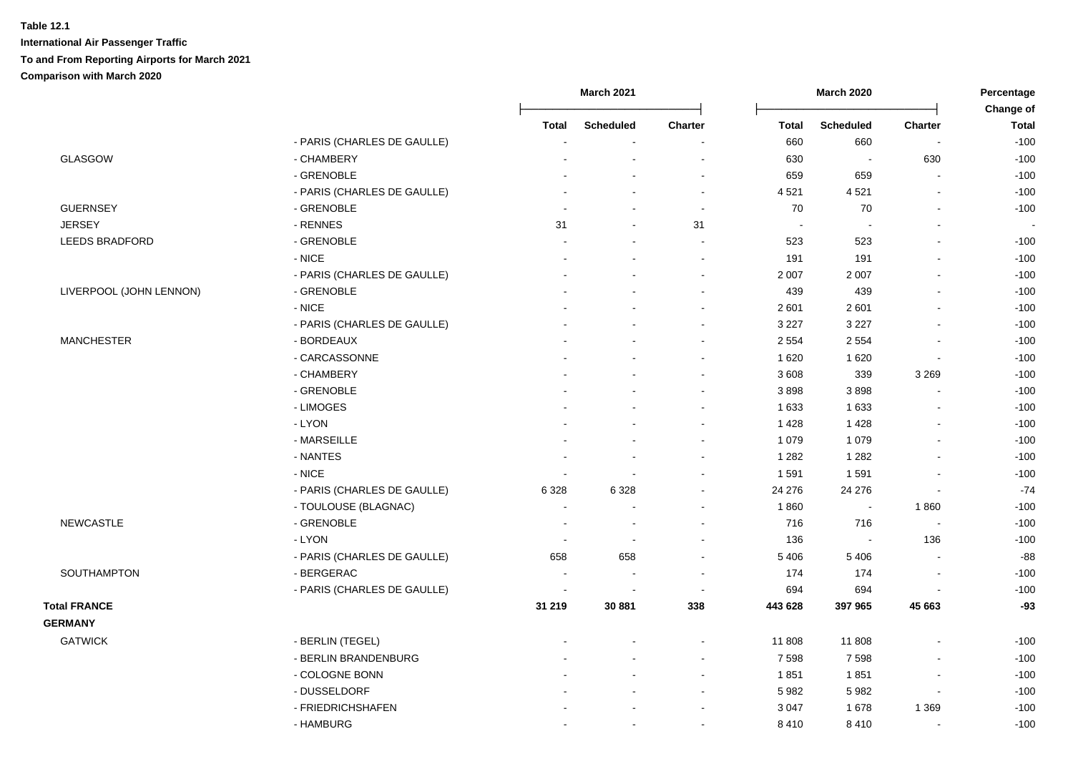|                                       |                             | <b>March 2021</b>        |                  |                          | March 2020           |                  |                          |                           |
|---------------------------------------|-----------------------------|--------------------------|------------------|--------------------------|----------------------|------------------|--------------------------|---------------------------|
|                                       |                             | Total                    | <b>Scheduled</b> | Charter                  | <b>Total</b>         | <b>Scheduled</b> | <b>Charter</b>           | Change of<br><b>Total</b> |
|                                       | - PARIS (CHARLES DE GAULLE) |                          |                  |                          | 660                  | 660              |                          | $-100$                    |
| GLASGOW                               | - CHAMBERY                  |                          |                  |                          | 630                  | $\blacksquare$   | 630                      | $-100$                    |
|                                       | - GRENOBLE                  |                          |                  |                          | 659                  | 659              |                          | $-100$                    |
|                                       | - PARIS (CHARLES DE GAULLE) |                          | $\overline{a}$   | $\sim$                   | 4 5 21               | 4521             |                          | $-100$                    |
| <b>GUERNSEY</b>                       | - GRENOBLE                  |                          | $\sim$           | $\sim$                   | 70                   | 70               |                          | $-100$                    |
| <b>JERSEY</b>                         | - RENNES                    | 31                       | $\blacksquare$   | 31                       | $\ddot{\phantom{a}}$ |                  |                          |                           |
| LEEDS BRADFORD                        | - GRENOBLE                  |                          | $\blacksquare$   | $\sim$                   | 523                  | 523              |                          | $-100$                    |
|                                       | $-$ NICE                    |                          |                  | $\overline{\phantom{a}}$ | 191                  | 191              |                          | $-100$                    |
|                                       | - PARIS (CHARLES DE GAULLE) |                          |                  |                          | 2 0 0 7              | 2 0 0 7          |                          | $-100$                    |
| LIVERPOOL (JOHN LENNON)               | - GRENOBLE                  |                          |                  | $\sim$                   | 439                  | 439              |                          | $-100$                    |
|                                       | $-$ NICE                    |                          |                  | $\overline{\phantom{a}}$ | 2 601                | 2601             |                          | $-100$                    |
|                                       | - PARIS (CHARLES DE GAULLE) |                          |                  | $\overline{\phantom{a}}$ | 3 2 2 7              | 3 2 2 7          |                          | $-100$                    |
| <b>MANCHESTER</b>                     | - BORDEAUX                  |                          |                  |                          | 2 5 5 4              | 2 5 5 4          |                          | $-100$                    |
|                                       | - CARCASSONNE               |                          |                  |                          | 1 6 2 0              | 1 6 2 0          |                          | $-100$                    |
|                                       | - CHAMBERY                  |                          |                  |                          | 3 6 0 8              | 339              | 3 2 6 9                  | $-100$                    |
|                                       | - GRENOBLE                  |                          |                  | $\sim$                   | 3898                 | 3898             |                          | $-100$                    |
|                                       | - LIMOGES                   |                          |                  | $\sim$                   | 1 6 3 3              | 1 6 3 3          |                          | $-100$                    |
|                                       | - LYON                      |                          |                  | $\overline{\phantom{a}}$ | 1 4 2 8              | 1 4 2 8          |                          | $-100$                    |
|                                       | - MARSEILLE                 |                          |                  | $\overline{\phantom{a}}$ | 1 0 7 9              | 1 0 7 9          |                          | $-100$                    |
|                                       | - NANTES                    |                          |                  |                          | 1 2 8 2              | 1 2 8 2          |                          | $-100$                    |
|                                       | - NICE                      |                          |                  |                          | 1591                 | 1591             |                          | $-100$                    |
|                                       |                             |                          |                  |                          |                      |                  |                          |                           |
|                                       | - PARIS (CHARLES DE GAULLE) | 6 3 28<br>L,             | 6 3 2 8          |                          | 24 276               | 24 276           |                          | $-74$<br>$-100$           |
|                                       | - TOULOUSE (BLAGNAC)        |                          |                  |                          | 1860                 | $\blacksquare$   | 1860                     |                           |
| <b>NEWCASTLE</b>                      | - GRENOBLE                  |                          |                  |                          | 716                  | 716              |                          | $-100$                    |
|                                       | - LYON                      | $\overline{\phantom{a}}$ |                  |                          | 136                  |                  | 136                      | $-100$<br>$-88$           |
|                                       | - PARIS (CHARLES DE GAULLE) | 658                      | 658              |                          | 5 4 0 6              | 5 4 0 6          |                          |                           |
| SOUTHAMPTON                           | - BERGERAC                  |                          |                  |                          | 174                  | 174              |                          | $-100$                    |
|                                       | - PARIS (CHARLES DE GAULLE) |                          |                  | $\overline{\phantom{a}}$ | 694                  | 694              |                          | $-100$                    |
| <b>Total FRANCE</b><br><b>GERMANY</b> |                             | 31 219                   | 30 881           | 338                      | 443 628              | 397 965          | 45 663                   | $-93$                     |
| <b>GATWICK</b>                        | - BERLIN (TEGEL)            |                          |                  |                          | 11 808               | 11808            |                          | $-100$                    |
|                                       | - BERLIN BRANDENBURG        |                          |                  | $\sim$                   | 7 5 9 8              | 7598             |                          | $-100$                    |
|                                       | - COLOGNE BONN              |                          |                  | $\overline{\phantom{a}}$ | 1851                 | 1851             |                          | $-100$                    |
|                                       | - DUSSELDORF                |                          |                  | $\blacksquare$           | 5 9 8 2              | 5982             | $\overline{\phantom{a}}$ | $-100$                    |
|                                       | - FRIEDRICHSHAFEN           |                          |                  |                          | 3 0 4 7              | 1678             | 1 3 6 9                  | $-100$                    |
|                                       | - HAMBURG                   |                          | $\blacksquare$   |                          | 8 4 1 0              | 8410             | $\blacksquare$           | $-100$                    |
|                                       |                             |                          |                  |                          |                      |                  |                          |                           |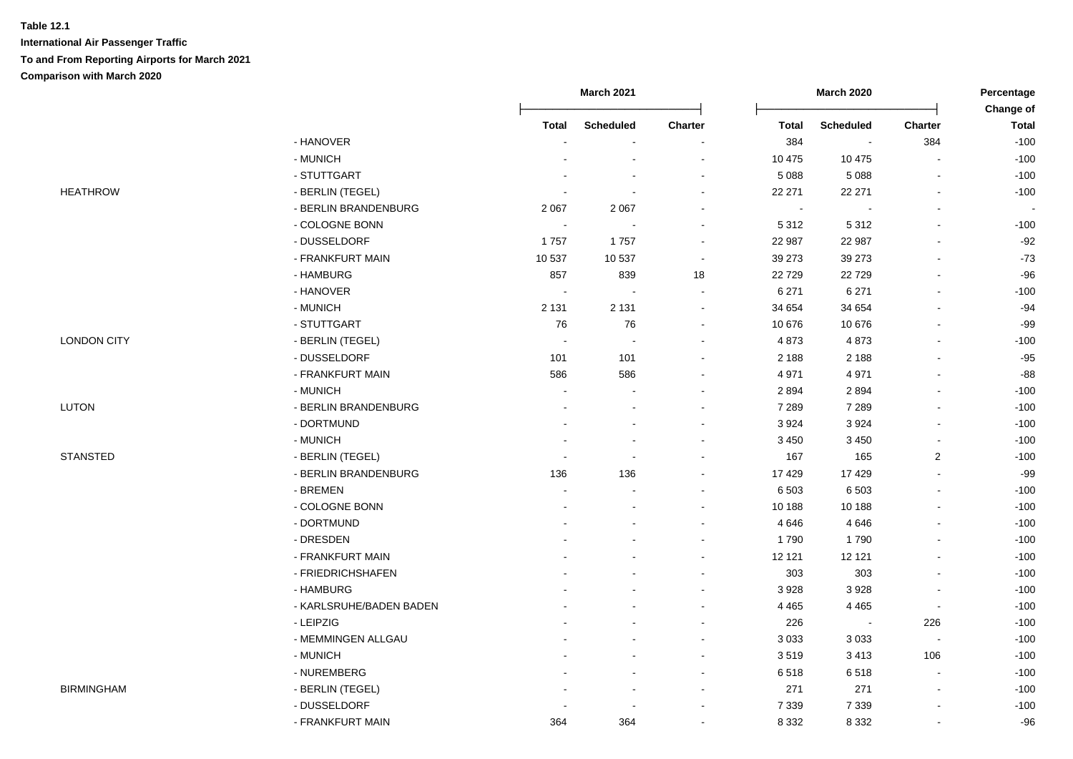|                    |                         | <b>March 2021</b> |                          |                          |              | <b>March 2020</b>        | Percentage                   |                           |
|--------------------|-------------------------|-------------------|--------------------------|--------------------------|--------------|--------------------------|------------------------------|---------------------------|
|                    |                         | Total             | <b>Scheduled</b>         | <b>Charter</b>           | <b>Total</b> | <b>Scheduled</b>         | <b>Charter</b>               | Change of<br><b>Total</b> |
|                    | - HANOVER               |                   |                          |                          | 384          | $\overline{\phantom{a}}$ | 384                          | $-100$                    |
|                    | - MUNICH                |                   |                          |                          | 10 475       | 10 475                   |                              | $-100$                    |
|                    | - STUTTGART             |                   |                          | $\blacksquare$           | 5 0 8 8      | 5 0 8 8                  |                              | $-100$                    |
| <b>HEATHROW</b>    | - BERLIN (TEGEL)        |                   | $\sim$                   | $\blacksquare$           | 22 271       | 22 271                   |                              | $-100$                    |
|                    | - BERLIN BRANDENBURG    | 2 0 6 7           | 2 0 6 7                  | $\blacksquare$           | $\sim$       |                          | $\blacksquare$               |                           |
|                    | - COLOGNE BONN          | $\sim$            | $\sim$                   | $\blacksquare$           | 5 3 1 2      | 5 3 1 2                  | ä,                           | $-100$                    |
|                    | - DUSSELDORF            | 1757              | 1757                     | $\overline{\phantom{a}}$ | 22 987       | 22 987                   | $\qquad \qquad \blacksquare$ | $-92$                     |
|                    | - FRANKFURT MAIN        | 10 537            | 10 537                   | $\sim$                   | 39 273       | 39 27 3                  | ä,                           | $-73$                     |
|                    | - HAMBURG               | 857               | 839                      | 18                       | 22 7 29      | 22729                    | $\overline{a}$               | $-96$                     |
|                    | - HANOVER               | $\sim$            | $\overline{\phantom{a}}$ | $\blacksquare$           | 6 2 7 1      | 6 2 7 1                  | ä,                           | $-100$                    |
|                    | - MUNICH                | 2 1 3 1           | 2 1 3 1                  | $\blacksquare$           | 34 654       | 34 654                   | ä,                           | $-94$                     |
|                    | - STUTTGART             | 76                | 76                       | $\blacksquare$           | 10 676       | 10 676                   | $\blacksquare$               | $-99$                     |
| <b>LONDON CITY</b> | - BERLIN (TEGEL)        | $\sim$            | $\sim$                   | $\blacksquare$           | 4873         | 4873                     | ä,                           | $-100$                    |
|                    | - DUSSELDORF            | 101               | 101                      |                          | 2 1 8 8      | 2 1 8 8                  |                              | $-95$                     |
|                    | - FRANKFURT MAIN        | 586               | 586                      |                          | 4 9 7 1      | 4 9 7 1                  |                              | $-88$                     |
|                    | - MUNICH                | $\sim$            | ÷                        | $\sim$                   | 2894         | 2894                     | $\blacksquare$               | $-100$                    |
| LUTON              | - BERLIN BRANDENBURG    |                   | $\sim$                   | $\blacksquare$           | 7 2 8 9      | 7 2 8 9                  |                              | $-100$                    |
|                    | - DORTMUND              |                   | $\overline{a}$           | $\sim$                   | 3 9 2 4      | 3924                     | $\blacksquare$               | $-100$                    |
|                    | - MUNICH                |                   |                          | $\blacksquare$           | 3 4 5 0      | 3 4 5 0                  | ä,                           | $-100$                    |
| <b>STANSTED</b>    | - BERLIN (TEGEL)        |                   | $\blacksquare$           |                          | 167          | 165                      | $\overline{c}$               | $-100$                    |
|                    | - BERLIN BRANDENBURG    | 136               | 136                      | $\blacksquare$           | 17 4 29      | 17 4 29                  | $\blacksquare$               | $-99$                     |
|                    | - BREMEN                |                   |                          |                          | 6 5 0 3      | 6 5 0 3                  | ä,                           | $-100$                    |
|                    | - COLOGNE BONN          | $\blacksquare$    | $\overline{\phantom{a}}$ | $\blacksquare$           | 10 188       | 10 188                   | $\overline{a}$               | $-100$                    |
|                    | - DORTMUND              |                   |                          | ۰                        | 4 6 4 6      | 4 6 4 6                  | ä,                           | $-100$                    |
|                    | - DRESDEN               |                   |                          | $\overline{\phantom{a}}$ | 1790         | 1790                     | ä,                           | $-100$                    |
|                    | - FRANKFURT MAIN        |                   |                          |                          | 12 121       | 12 121                   | $\overline{a}$               | $-100$                    |
|                    | - FRIEDRICHSHAFEN       |                   |                          |                          | 303          | 303                      | $\overline{a}$               | $-100$                    |
|                    | - HAMBURG               |                   |                          | $\overline{\phantom{a}}$ | 3 9 2 8      | 3928                     |                              | $-100$                    |
|                    | - KARLSRUHE/BADEN BADEN |                   |                          | $\sim$                   | 4 4 6 5      | 4 4 6 5                  | $\blacksquare$               | $-100$                    |
|                    | - LEIPZIG               |                   |                          | $\sim$                   | 226          | $\overline{\phantom{a}}$ | 226                          | $-100$                    |
|                    | - MEMMINGEN ALLGAU      |                   | $\overline{a}$           | $\blacksquare$           | 3 0 3 3      | 3 0 3 3                  | $\blacksquare$               | $-100$                    |
|                    | - MUNICH                |                   | $\overline{a}$           | $\blacksquare$           | 3519         | 3413                     | 106                          | $-100$                    |
|                    | - NUREMBERG             |                   | $\overline{a}$           | $\sim$                   | 6518         | 6518                     | $\blacksquare$               | $-100$                    |
| <b>BIRMINGHAM</b>  | - BERLIN (TEGEL)        |                   | $\sim$                   | $\blacksquare$           | 271          | 271                      | $\blacksquare$               | $-100$                    |
|                    | - DUSSELDORF            |                   | $\sim$                   | $\blacksquare$           | 7 3 3 9      | 7 3 3 9                  | $\blacksquare$               | $-100$                    |
|                    | - FRANKFURT MAIN        | 364               | 364                      | $\blacksquare$           | 8 3 3 2      | 8 3 3 2                  | $\blacksquare$               | $-96$                     |
|                    |                         |                   |                          |                          |              |                          |                              |                           |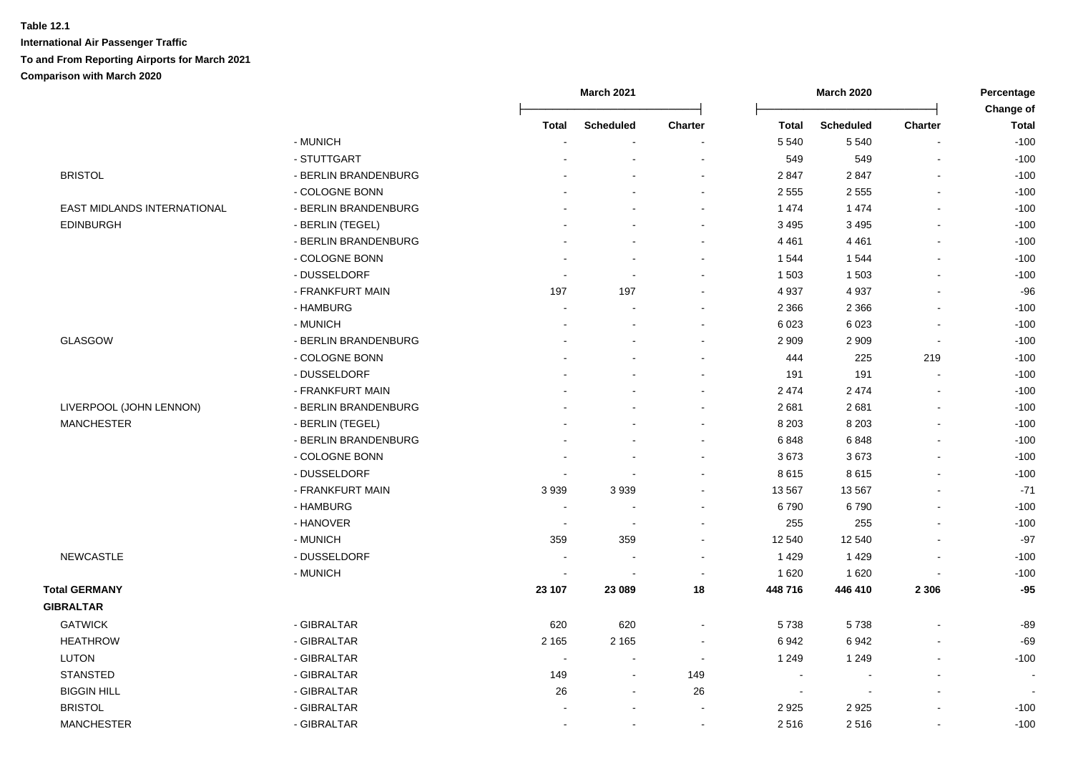|                             |                      | <b>March 2021</b>        |                          | <b>March 2020</b> |              |                  | Percentage<br>Change of |              |
|-----------------------------|----------------------|--------------------------|--------------------------|-------------------|--------------|------------------|-------------------------|--------------|
|                             |                      | <b>Total</b>             | <b>Scheduled</b>         | <b>Charter</b>    | <b>Total</b> | <b>Scheduled</b> | <b>Charter</b>          | <b>Total</b> |
|                             | - MUNICH             |                          |                          |                   | 5 5 4 0      | 5 5 4 0          |                         | $-100$       |
|                             | - STUTTGART          |                          |                          |                   | 549          | 549              | $\blacksquare$          | $-100$       |
| <b>BRISTOL</b>              | - BERLIN BRANDENBURG |                          |                          |                   | 2847         | 2847             | $\overline{a}$          | $-100$       |
|                             | - COLOGNE BONN       |                          |                          |                   | 2 5 5 5      | 2 5 5 5          | $\sim$                  | $-100$       |
| EAST MIDLANDS INTERNATIONAL | - BERLIN BRANDENBURG |                          |                          |                   | 1 474        | 1 4 7 4          | $\overline{a}$          | $-100$       |
| <b>EDINBURGH</b>            | - BERLIN (TEGEL)     |                          |                          | $\sim$            | 3 4 9 5      | 3 4 9 5          | $\blacksquare$          | $-100$       |
|                             | - BERLIN BRANDENBURG |                          |                          | $\sim$            | 4 4 6 1      | 4 4 6 1          | $\blacksquare$          | $-100$       |
|                             | - COLOGNE BONN       |                          |                          | $\sim$            | 1 544        | 1544             | $\overline{a}$          | $-100$       |
|                             | - DUSSELDORF         |                          | $\sim$                   |                   | 1 503        | 1 503            |                         | $-100$       |
|                             | - FRANKFURT MAIN     | 197                      | 197                      | $\sim$            | 4 9 3 7      | 4937             |                         | $-96$        |
|                             | - HAMBURG            | $\blacksquare$           |                          |                   | 2 3 6 6      | 2 3 6 6          | $\blacksquare$          | $-100$       |
|                             | - MUNICH             |                          |                          |                   | 6 0 23       | 6 0 23           |                         | $-100$       |
| <b>GLASGOW</b>              | - BERLIN BRANDENBURG |                          |                          |                   | 2 9 0 9      | 2 9 0 9          | $\blacksquare$          | $-100$       |
|                             | - COLOGNE BONN       |                          |                          |                   | 444          | 225              | 219                     | $-100$       |
|                             | - DUSSELDORF         |                          |                          |                   | 191          | 191              |                         | $-100$       |
|                             | - FRANKFURT MAIN     |                          |                          |                   | 2 4 7 4      | 2 4 7 4          | $\overline{a}$          | $-100$       |
| LIVERPOOL (JOHN LENNON)     | - BERLIN BRANDENBURG |                          |                          |                   | 2681         | 2681             | $\blacksquare$          | $-100$       |
| <b>MANCHESTER</b>           | - BERLIN (TEGEL)     |                          |                          |                   | 8 2 0 3      | 8 2 0 3          | L.                      | $-100$       |
|                             | - BERLIN BRANDENBURG |                          |                          |                   | 6848         | 6848             |                         | $-100$       |
|                             | - COLOGNE BONN       |                          | $\overline{\phantom{a}}$ | $\sim$            | 3673         | 3673             | $\blacksquare$          | $-100$       |
|                             | - DUSSELDORF         | $\blacksquare$           | $\blacksquare$           |                   | 8615         | 8615             |                         | $-100$       |
|                             | - FRANKFURT MAIN     | 3939                     | 3939                     |                   | 13 5 67      | 13 5 67          |                         | $-71$        |
|                             | - HAMBURG            | $\overline{\phantom{a}}$ |                          |                   | 6790         | 6790             |                         | $-100$       |
|                             | - HANOVER            |                          | $\sim$                   |                   | 255          | 255              |                         | $-100$       |
|                             | - MUNICH             | 359                      | 359                      | $\sim$            | 12 540       | 12 540           |                         | $-97$        |
| <b>NEWCASTLE</b>            | - DUSSELDORF         | $\overline{\phantom{a}}$ | $\overline{\phantom{a}}$ |                   | 1 4 2 9      | 1 4 2 9          | $\overline{a}$          | $-100$       |
|                             | - MUNICH             | $\overline{\phantom{a}}$ | $\overline{\phantom{a}}$ |                   | 1 6 2 0      | 1620             | $\overline{a}$          | $-100$       |
| <b>Total GERMANY</b>        |                      | 23 107                   | 23 089                   | 18                | 448 716      | 446 410          | 2 3 0 6                 | $-95$        |
| <b>GIBRALTAR</b>            |                      |                          |                          |                   |              |                  |                         |              |
| <b>GATWICK</b>              | - GIBRALTAR          | 620                      | 620                      | $\sim$            | 5738         | 5738             | $\overline{a}$          | $-89$        |
| <b>HEATHROW</b>             | - GIBRALTAR          | 2 1 6 5                  | 2 1 6 5                  |                   | 6942         | 6942             |                         | $-69$        |
| <b>LUTON</b>                | - GIBRALTAR          |                          | $\sim$                   | $\sim$            | 1 2 4 9      | 1 2 4 9          |                         | $-100$       |
| <b>STANSTED</b>             | - GIBRALTAR          | 149                      | $\blacksquare$           | 149               |              | $\blacksquare$   |                         |              |
| <b>BIGGIN HILL</b>          | - GIBRALTAR          | 26                       | $\sim$                   | 26                | $\sim$       | $\blacksquare$   |                         |              |
| <b>BRISTOL</b>              | - GIBRALTAR          |                          | $\overline{\phantom{a}}$ |                   | 2925         | 2925             |                         | $-100$       |
| <b>MANCHESTER</b>           | - GIBRALTAR          |                          | $\blacksquare$           |                   | 2516         | 2516             | $\blacksquare$          | $-100$       |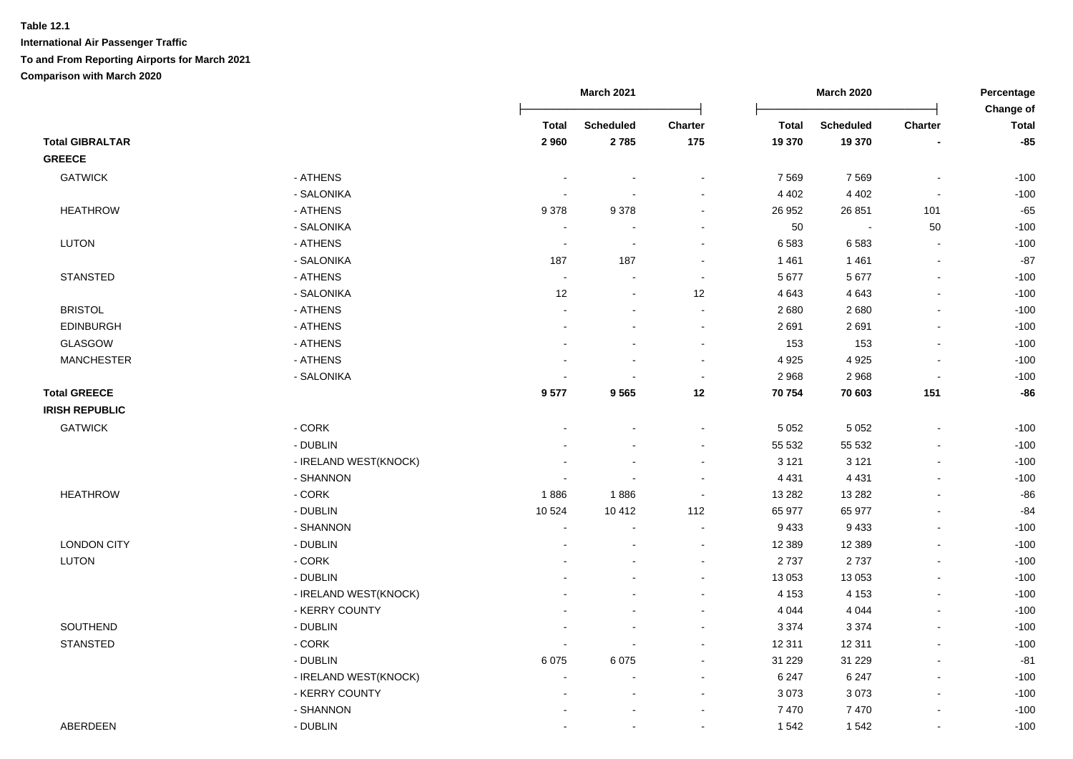|                        |                       |                | <b>March 2021</b> |                | <b>March 2020</b> |                  |                          | Percentage<br>Change of |
|------------------------|-----------------------|----------------|-------------------|----------------|-------------------|------------------|--------------------------|-------------------------|
|                        |                       | <b>Total</b>   | <b>Scheduled</b>  | Charter        | <b>Total</b>      | <b>Scheduled</b> | Charter                  | <b>Total</b>            |
| <b>Total GIBRALTAR</b> |                       | 2960           | 2785              | 175            | 19 370            | 19 370           |                          | $-85$                   |
| <b>GREECE</b>          |                       |                |                   |                |                   |                  |                          |                         |
| <b>GATWICK</b>         | - ATHENS              |                |                   |                | 7 5 6 9           | 7569             |                          | $-100$                  |
|                        | - SALONIKA            |                |                   |                | 4 4 0 2           | 4 4 0 2          |                          | $-100$                  |
| <b>HEATHROW</b>        | - ATHENS              | 9378           | 9378              | $\blacksquare$ | 26 952            | 26 851           | 101                      | $-65$                   |
|                        | - SALONIKA            | $\sim$         | ÷                 | $\sim$         | 50                | $\mathbf{r}$     | 50                       | $-100$                  |
| <b>LUTON</b>           | - ATHENS              | $\sim$         | $\blacksquare$    | $\sim$         | 6583              | 6583             | $\sim$                   | $-100$                  |
|                        | - SALONIKA            | 187            | 187               | $\blacksquare$ | 1461              | 1461             | $\sim$                   | $-87$                   |
| <b>STANSTED</b>        | - ATHENS              | $\sim$         | $\sim$            | $\sim$         | 5 6 7 7           | 5677             | $\sim$                   | $-100$                  |
|                        | - SALONIKA            | 12             | $\sim$            | 12             | 4 6 4 3           | 4643             | $\sim$                   | $-100$                  |
| <b>BRISTOL</b>         | - ATHENS              | $\blacksquare$ | $\blacksquare$    | $\blacksquare$ | 2680              | 2680             |                          | $-100$                  |
| EDINBURGH              | - ATHENS              |                | $\blacksquare$    | $\sim$         | 2691              | 2691             | $\sim$                   | $-100$                  |
| GLASGOW                | - ATHENS              |                |                   | $\blacksquare$ | 153               | 153              | $\sim$                   | $-100$                  |
| <b>MANCHESTER</b>      | - ATHENS              |                | $\sim$            | $\blacksquare$ | 4 9 2 5           | 4925             | $\sim$                   | $-100$                  |
|                        | - SALONIKA            |                | ä,                | $\blacksquare$ | 2968              | 2968             |                          | $-100$                  |
| <b>Total GREECE</b>    |                       | 9577           | 9565              | 12             | 70 754            | 70 603           | 151                      | $-86$                   |
| <b>IRISH REPUBLIC</b>  |                       |                |                   |                |                   |                  |                          |                         |
| <b>GATWICK</b>         | - CORK                |                |                   | $\blacksquare$ | 5 0 5 2           | 5 0 5 2          | $\overline{\phantom{a}}$ | $-100$                  |
|                        | - DUBLIN              |                |                   |                | 55 532            | 55 532           |                          | $-100$                  |
|                        | - IRELAND WEST(KNOCK) |                |                   |                | 3 1 2 1           | 3 1 2 1          |                          | $-100$                  |
|                        | - SHANNON             |                |                   | $\sim$         | 4 4 3 1           | 4 4 3 1          | $\blacksquare$           | $-100$                  |
| <b>HEATHROW</b>        | $-CORK$               | 1886           | 1886              | $\sim$         | 13 28 2           | 13 2 8 2         |                          | $-86$                   |
|                        | - DUBLIN              | 10 5 24        | 10 4 12           | 112            | 65 977            | 65 977           |                          | $-84$                   |
|                        | - SHANNON             | $\sim$         | $\blacksquare$    | $\sim$         | 9 4 3 3           | 9 4 3 3          | $\blacksquare$           | $-100$                  |
| <b>LONDON CITY</b>     | - DUBLIN              |                | $\blacksquare$    | $\sim$         | 12 3 8 9          | 12 3 8 9         | $\blacksquare$           | $-100$                  |
| <b>LUTON</b>           | - CORK                |                |                   | $\blacksquare$ | 2737              | 2737             |                          | $-100$                  |
|                        | - DUBLIN              |                |                   | $\sim$         | 13 053            | 13 053           | $\blacksquare$           | $-100$                  |
|                        | - IRELAND WEST(KNOCK) |                |                   | $\blacksquare$ | 4 1 5 3           | 4 1 5 3          | $\blacksquare$           | $-100$                  |
|                        | - KERRY COUNTY        |                |                   |                | 4 0 4 4           | 4 0 4 4          | $\blacksquare$           | $-100$                  |
| SOUTHEND               | - DUBLIN              |                |                   | $\sim$         | 3 3 7 4           | 3 3 7 4          |                          | $-100$                  |
| STANSTED               | $-CORK$               |                |                   | $\blacksquare$ | 12 311            | 12 3 11          | $\blacksquare$           | $-100$                  |
|                        | - DUBLIN              | 6 0 7 5        | 6075              |                | 31 229            | 31 2 29          |                          | $-81$                   |
|                        | - IRELAND WEST(KNOCK) | $\blacksquare$ | $\blacksquare$    | $\sim$         | 6 2 4 7           | 6 2 4 7          | $\overline{\phantom{a}}$ | $-100$                  |
|                        | - KERRY COUNTY        |                | ä,                | $\sim$         | 3 0 7 3           | 3073             | $\sim$                   | $-100$                  |
|                        | - SHANNON             |                |                   | $\blacksquare$ | 7 4 7 0           | 7470             |                          | $-100$                  |
| ABERDEEN               | - DUBLIN              |                | $\blacksquare$    | $\blacksquare$ | 1 5 4 2           | 1542             | $\overline{\phantom{a}}$ | $-100$                  |
|                        |                       |                |                   |                |                   |                  |                          |                         |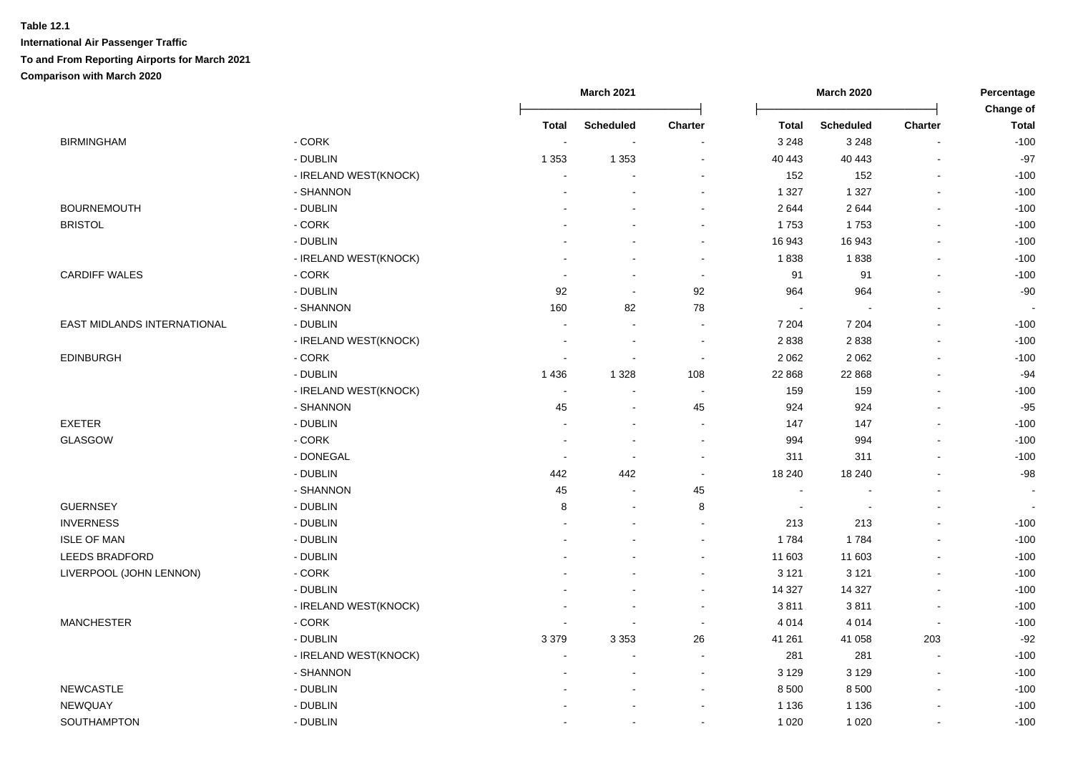|                             | March 2021            |                          | March 2020               |                          | Percentage<br>Change of |                  |                          |              |
|-----------------------------|-----------------------|--------------------------|--------------------------|--------------------------|-------------------------|------------------|--------------------------|--------------|
|                             |                       | Total                    | <b>Scheduled</b>         | <b>Charter</b>           | <b>Total</b>            | <b>Scheduled</b> | <b>Charter</b>           | <b>Total</b> |
| <b>BIRMINGHAM</b>           | $-CORK$               |                          |                          |                          | 3 2 4 8                 | 3 2 4 8          | $\blacksquare$           | $-100$       |
|                             | - DUBLIN              | 1 3 5 3                  | 1 3 5 3                  | $\overline{\phantom{a}}$ | 40 443                  | 40 443           | ÷,                       | $-97$        |
|                             | - IRELAND WEST(KNOCK) |                          |                          |                          | 152                     | 152              | $\overline{\phantom{a}}$ | $-100$       |
|                             | - SHANNON             |                          |                          |                          | 1 3 2 7                 | 1 3 2 7          | $\blacksquare$           | $-100$       |
| <b>BOURNEMOUTH</b>          | - DUBLIN              |                          |                          |                          | 2644                    | 2644             | $\blacksquare$           | $-100$       |
| <b>BRISTOL</b>              | - CORK                |                          |                          | $\sim$                   | 1753                    | 1753             | $\overline{a}$           | $-100$       |
|                             | - DUBLIN              |                          |                          | $\sim$                   | 16 943                  | 16 943           | $\blacksquare$           | $-100$       |
|                             | - IRELAND WEST(KNOCK) |                          |                          | $\sim$                   | 1838                    | 1838             | $\blacksquare$           | $-100$       |
| <b>CARDIFF WALES</b>        | $-CORK$               |                          | $\sim$                   | $\sim$                   | 91                      | 91               | $\blacksquare$           | $-100$       |
|                             | - DUBLIN              | 92                       | $\blacksquare$           | 92                       | 964                     | 964              | $\blacksquare$           | $-90$        |
|                             | - SHANNON             | 160                      | 82                       | 78                       |                         |                  | $\blacksquare$           |              |
| EAST MIDLANDS INTERNATIONAL | - DUBLIN              |                          | $\blacksquare$           |                          | 7 204                   | 7 2 0 4          |                          | $-100$       |
|                             | - IRELAND WEST(KNOCK) |                          | $\sim$                   | $\sim$                   | 2838                    | 2838             | $\sim$                   | $-100$       |
| <b>EDINBURGH</b>            | $-CORK$               |                          | $\overline{\phantom{a}}$ | $\sim$                   | 2 0 6 2                 | 2 0 6 2          | $\blacksquare$           | $-100$       |
|                             | - DUBLIN              | 1 4 3 6                  | 1 3 2 8                  | 108                      | 22 868                  | 22 868           |                          | $-94$        |
|                             | - IRELAND WEST(KNOCK) |                          |                          |                          | 159                     | 159              | $\blacksquare$           | $-100$       |
|                             | - SHANNON             | 45                       |                          | 45                       | 924                     | 924              |                          | $-95$        |
| <b>EXETER</b>               | - DUBLIN              |                          |                          |                          | 147                     | 147              |                          | $-100$       |
| GLASGOW                     | - CORK                |                          |                          | $\sim$                   | 994                     | 994              |                          | $-100$       |
|                             | - DONEGAL             |                          | $\sim$                   | $\sim$                   | 311                     | 311              | $\sim$                   | $-100$       |
|                             | - DUBLIN              | 442                      | 442                      | $\sim$                   | 18 240                  | 18 240           | $\overline{\phantom{a}}$ | $-98$        |
|                             | - SHANNON             | 45                       |                          | 45                       | $\sim$                  |                  |                          |              |
| <b>GUERNSEY</b>             | - DUBLIN              | 8                        | $\sim$                   | 8                        | $\sim$                  | $\blacksquare$   |                          | $\sim$       |
| <b>INVERNESS</b>            | - DUBLIN              |                          |                          | $\sim$                   | 213                     | 213              |                          | $-100$       |
| <b>ISLE OF MAN</b>          | - DUBLIN              |                          |                          | $\sim$                   | 1784                    | 1784             | $\blacksquare$           | $-100$       |
| LEEDS BRADFORD              | - DUBLIN              |                          |                          | $\sim$                   | 11 603                  | 11 603           | $\overline{a}$           | $-100$       |
| LIVERPOOL (JOHN LENNON)     | $-CORK$               |                          |                          | $\sim$                   | 3 1 2 1                 | 3 1 2 1          | $\sim$                   | $-100$       |
|                             | - DUBLIN              |                          |                          | $\sim$                   | 14 3 27                 | 14 3 27          | $\blacksquare$           | $-100$       |
|                             | - IRELAND WEST(KNOCK) |                          |                          |                          | 3811                    | 3811             | $\overline{\phantom{a}}$ | $-100$       |
| <b>MANCHESTER</b>           | - CORK                |                          |                          |                          | 4 0 1 4                 | 4 0 1 4          | $\blacksquare$           | $-100$       |
|                             | - DUBLIN              | 3 3 7 9                  | 3 3 5 3                  | 26                       | 41 261                  | 41 058           | 203                      | $-92$        |
|                             | - IRELAND WEST(KNOCK) |                          |                          | $\sim$                   | 281                     | 281              | ÷                        | $-100$       |
|                             | - SHANNON             |                          |                          | $\sim$                   | 3 1 2 9                 | 3 1 2 9          | $\sim$                   | $-100$       |
| <b>NEWCASTLE</b>            | - DUBLIN              |                          |                          | $\sim$                   | 8 5 0 0                 | 8500             | $\sim$                   | $-100$       |
| NEWQUAY                     | - DUBLIN              |                          |                          |                          | 1 1 3 6                 | 1 1 3 6          |                          | $-100$       |
| SOUTHAMPTON                 | - DUBLIN              | $\overline{\phantom{a}}$ | $\overline{\phantom{a}}$ | $\overline{\phantom{a}}$ | 1 0 2 0                 | 1 0 2 0          | $\blacksquare$           | $-100$       |
|                             |                       |                          |                          |                          |                         |                  |                          |              |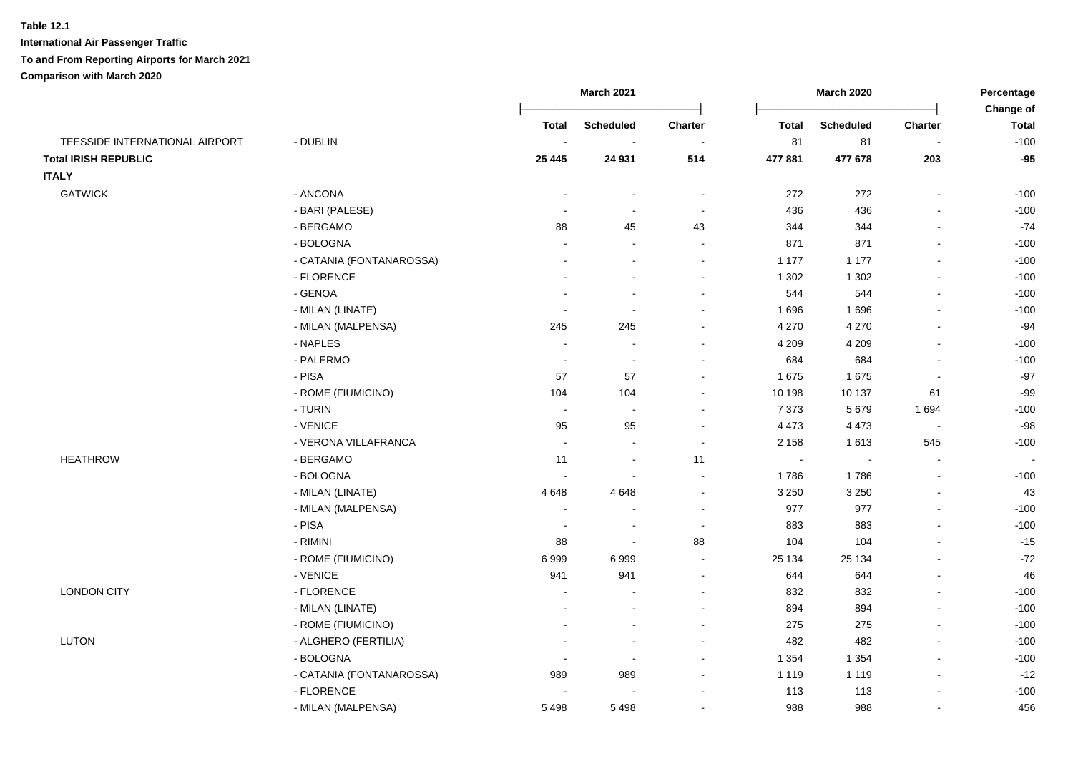#### **Table 12.1**

**International Air Passenger Traffic**

#### **To and From Reporting Airports for March 2021**

**Comparison with March 2020**

|                                |                          |                          | <b>March 2021</b>        |                          |              | <b>March 2020</b> |                | Percentage<br>Change of |
|--------------------------------|--------------------------|--------------------------|--------------------------|--------------------------|--------------|-------------------|----------------|-------------------------|
|                                |                          | Total                    | <b>Scheduled</b>         | Charter                  | <b>Total</b> | <b>Scheduled</b>  | Charter        | <b>Total</b>            |
| TEESSIDE INTERNATIONAL AIRPORT | - DUBLIN                 | $\overline{\phantom{a}}$ |                          |                          | 81           | 81                |                | $-100$                  |
| <b>Total IRISH REPUBLIC</b>    |                          | 25 4 45                  | 24 931                   | 514                      | 477 881      | 477 678           | 203            | $-95$                   |
| <b>ITALY</b>                   |                          |                          |                          |                          |              |                   |                |                         |
| <b>GATWICK</b>                 | - ANCONA                 | $\sim$                   | $\sim$                   | $\overline{\phantom{a}}$ | 272          | 272               | $\blacksquare$ | $-100$                  |
|                                | - BARI (PALESE)          |                          | $\sim$                   | $\sim$                   | 436          | 436               |                | $-100$                  |
|                                | - BERGAMO                | 88                       | 45                       | 43                       | 344          | 344               |                | $-74$                   |
|                                | - BOLOGNA                |                          |                          | $\sim$                   | 871          | 871               |                | $-100$                  |
|                                | - CATANIA (FONTANAROSSA) |                          |                          | $\sim$                   | 1 1 7 7      | 1 1 7 7           |                | $-100$                  |
|                                | - FLORENCE               |                          |                          | $\sim$                   | 1 3 0 2      | 1 3 0 2           |                | $-100$                  |
|                                | - GENOA                  |                          |                          |                          | 544          | 544               |                | $-100$                  |
|                                | - MILAN (LINATE)         |                          |                          |                          | 1696         | 1696              |                | $-100$                  |
|                                | - MILAN (MALPENSA)       | 245                      | 245                      |                          | 4 2 7 0      | 4 2 7 0           |                | $-94$                   |
|                                | - NAPLES                 |                          |                          | $\blacksquare$           | 4 2 0 9      | 4 2 0 9           |                | $-100$                  |
|                                | - PALERMO                | $\sim$                   | $\sim$                   |                          | 684          | 684               |                | $-100$                  |
|                                | - PISA                   | 57                       | 57                       |                          | 1675         | 1675              |                | $-97$                   |
|                                | - ROME (FIUMICINO)       | 104                      | 104                      |                          | 10 198       | 10 137            | 61             | $-99$                   |
|                                | - TURIN                  | $\sim$                   | $\sim$                   | $\sim$                   | 7 3 7 3      | 5 6 7 9           | 1694           | $-100$                  |
|                                | - VENICE                 | 95                       | 95                       |                          | 4 4 7 3      | 4 4 7 3           |                | $-98$                   |
|                                | - VERONA VILLAFRANCA     |                          |                          | $\sim$                   | 2 1 5 8      | 1613              | 545            | $-100$                  |
| <b>HEATHROW</b>                | - BERGAMO                | 11                       | $\sim$                   | 11                       | $\sim$       |                   |                | $\sim$                  |
|                                | - BOLOGNA                | $\overline{\phantom{a}}$ |                          | $\sim$                   | 1786         | 1786              |                | $-100$                  |
|                                | - MILAN (LINATE)         | 4648                     | 4648                     | $\sim$                   | 3 2 5 0      | 3 2 5 0           |                | 43                      |
|                                | - MILAN (MALPENSA)       | $\overline{\phantom{a}}$ | $\sim$                   | $\sim$                   | 977          | 977               | $\sim$         | $-100$                  |
|                                | - PISA                   |                          | $\sim$                   | $\sim$                   | 883          | 883               |                | $-100$                  |
|                                | - RIMINI                 | 88                       | $\sim$                   | 88                       | 104          | 104               |                | $-15$                   |
|                                | - ROME (FIUMICINO)       | 6999                     | 6999                     | $\sim$                   | 25 134       | 25 134            |                | $-72$                   |
|                                | - VENICE                 | 941                      | 941                      | $\overline{\phantom{a}}$ | 644          | 644               |                | 46                      |
| <b>LONDON CITY</b>             | - FLORENCE               |                          |                          | $\sim$                   | 832          | 832               |                | $-100$                  |
|                                | - MILAN (LINATE)         |                          | $\sim$                   | $\sim$                   | 894          | 894               |                | $-100$                  |
|                                | - ROME (FIUMICINO)       |                          |                          | $\sim$                   | 275          | 275               |                | $-100$                  |
| LUTON                          | - ALGHERO (FERTILIA)     |                          | $\overline{\phantom{a}}$ | $\sim$                   | 482          | 482               | $\blacksquare$ | $-100$                  |
|                                | - BOLOGNA                |                          | $\sim$                   | $\sim$                   | 1 3 5 4      | 1 3 5 4           | $\blacksquare$ | $-100$                  |
|                                | - CATANIA (FONTANAROSSA) | 989                      | 989                      | $\blacksquare$           | 1 1 1 9      | 1 1 1 9           | $\blacksquare$ | $-12$                   |
|                                | - FLORENCE               |                          |                          |                          | 113          | 113               |                | $-100$                  |
|                                | - MILAN (MALPENSA)       | 5498                     | 5498                     |                          | 988          | 988               |                | 456                     |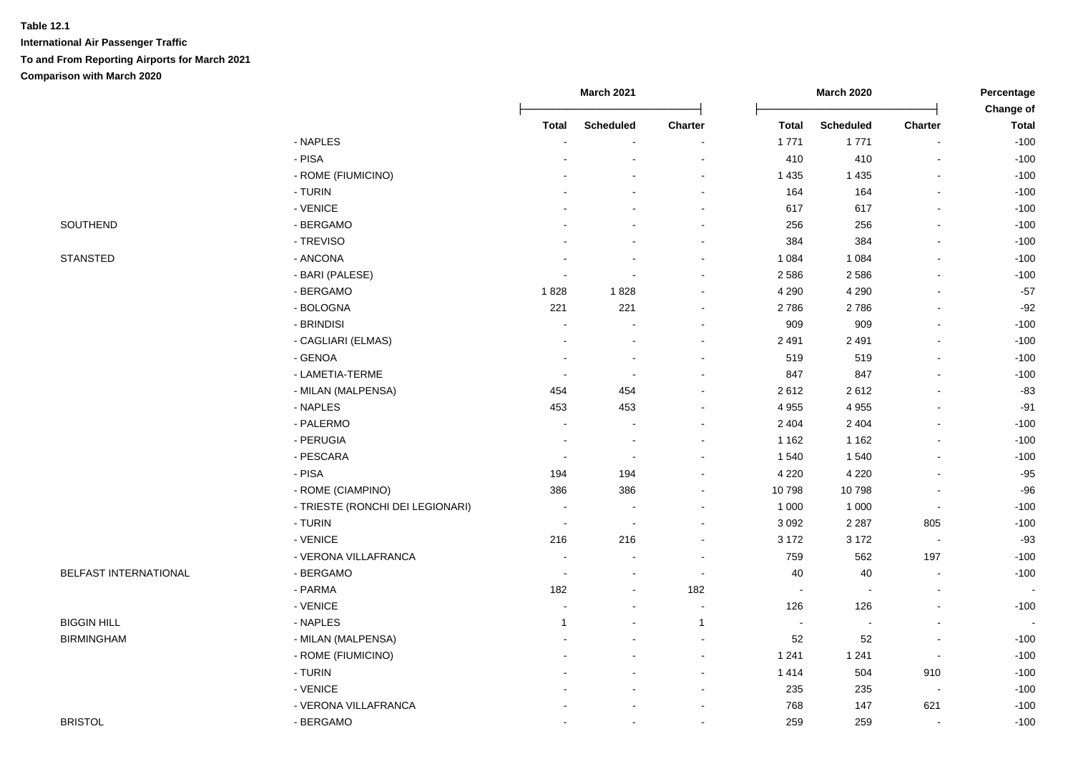| STANSTED |
|----------|
|          |

|                       |                                  |              | <b>March 2021</b>        |                          | <b>March 2020</b>        |                          | Percentage               |                           |
|-----------------------|----------------------------------|--------------|--------------------------|--------------------------|--------------------------|--------------------------|--------------------------|---------------------------|
|                       |                                  | <b>Total</b> | <b>Scheduled</b>         | <b>Charter</b>           | <b>Total</b>             | <b>Scheduled</b>         | <b>Charter</b>           | Change of<br><b>Total</b> |
|                       | - NAPLES                         |              |                          |                          | 1771                     | 1771                     |                          | $-100$                    |
|                       | - PISA                           |              |                          |                          | 410                      | 410                      |                          | $-100$                    |
|                       | - ROME (FIUMICINO)               |              |                          |                          | 1 4 3 5                  | 1 4 3 5                  |                          | $-100$                    |
|                       | - TURIN                          |              |                          | $\sim$                   | 164                      | 164                      | $\sim$                   | $-100$                    |
|                       | - VENICE                         |              |                          | $\overline{\phantom{a}}$ | 617                      | 617                      | $\sim$                   | $-100$                    |
| SOUTHEND              | - BERGAMO                        |              |                          | $\blacksquare$           | 256                      | 256                      |                          | $-100$                    |
|                       | - TREVISO                        |              |                          | $\sim$                   | 384                      | 384                      |                          | $-100$                    |
| <b>STANSTED</b>       | - ANCONA                         |              |                          | $\blacksquare$           | 1 0 8 4                  | 1 0 8 4                  |                          | $-100$                    |
|                       | - BARI (PALESE)                  |              |                          | $\blacksquare$           | 2586                     | 2586                     |                          | $-100$                    |
|                       | - BERGAMO                        | 1828         | 1828                     | $\sim$                   | 4 2 9 0                  | 4 2 9 0                  |                          | $-57$                     |
|                       | - BOLOGNA                        | 221          | 221                      | $\blacksquare$           | 2786                     | 2786                     | $\overline{\phantom{a}}$ | $-92$                     |
|                       | - BRINDISI                       |              |                          | $\sim$                   | 909                      | 909                      | $\sim$                   | $-100$                    |
|                       | - CAGLIARI (ELMAS)               |              |                          | $\blacksquare$           | 2 4 9 1                  | 2 4 9 1                  |                          | $-100$                    |
|                       | - GENOA                          |              | $\blacksquare$           | $\sim$                   | 519                      | 519                      |                          | $-100$                    |
|                       | - LAMETIA-TERME                  |              | $\overline{\phantom{a}}$ |                          | 847                      | 847                      |                          | $-100$                    |
|                       | - MILAN (MALPENSA)               | 454          | 454                      |                          | 2612                     | 2612                     |                          | $-83$                     |
|                       | - NAPLES                         | 453          | 453                      |                          | 4 9 5 5                  | 4 9 5 5                  |                          | $-91$                     |
|                       | - PALERMO                        | $\sim$       | $\overline{a}$           |                          | 2 4 0 4                  | 2 4 0 4                  |                          | $-100$                    |
|                       | - PERUGIA                        | $\sim$       | $\overline{\phantom{a}}$ | $\sim$                   | 1 1 6 2                  | 1 1 6 2                  |                          | $-100$                    |
|                       | - PESCARA                        | $\sim$       | $\blacksquare$           | $\blacksquare$           | 1 540                    | 1540                     |                          | $-100$                    |
|                       | - PISA                           | 194          | 194                      | $\blacksquare$           | 4 2 2 0                  | 4 2 2 0                  |                          | $-95$                     |
|                       | - ROME (CIAMPINO)                | 386          | 386                      | $\blacksquare$           | 10798                    | 10798                    |                          | $-96$                     |
|                       | - TRIESTE (RONCHI DEI LEGIONARI) |              |                          | $\sim$                   | 1 0 0 0                  | 1 0 0 0                  | $\sim$                   | $-100$                    |
|                       | - TURIN                          | $\sim$       | $\sim$                   | $\sim$                   | 3 0 9 2                  | 2 2 8 7                  | 805                      | $-100$                    |
|                       | - VENICE                         | 216          | 216                      | $\sim$                   | 3 1 7 2                  | 3 1 7 2                  | $\overline{\phantom{a}}$ | $-93$                     |
|                       | - VERONA VILLAFRANCA             |              | $\blacksquare$           |                          | 759                      | 562                      | 197                      | $-100$                    |
| BELFAST INTERNATIONAL | - BERGAMO                        |              | ۰                        | $\ddot{\phantom{0}}$     | 40                       | $40\,$                   |                          | $-100$                    |
|                       | - PARMA                          | 182          | $\blacksquare$           | 182                      | $\sim$                   | $\overline{\phantom{a}}$ |                          |                           |
|                       | - VENICE                         |              |                          |                          | 126                      | 126                      |                          | $-100$                    |
| <b>BIGGIN HILL</b>    | - NAPLES                         | $\mathbf{1}$ | ÷                        | $\mathbf{1}$             | $\overline{\phantom{a}}$ |                          |                          |                           |
| <b>BIRMINGHAM</b>     | - MILAN (MALPENSA)               |              |                          |                          | 52                       | 52                       |                          | $-100$                    |
|                       | - ROME (FIUMICINO)               |              |                          | $\overline{\phantom{a}}$ | 1 2 4 1                  | 1 2 4 1                  | $\sim$                   | $-100$                    |
|                       | - TURIN                          |              |                          | $\blacksquare$           | 1 4 1 4                  | 504                      | 910                      | $-100$                    |
|                       | - VENICE                         |              |                          | $\blacksquare$           | 235                      | 235                      | $\blacksquare$           | $-100$                    |
|                       | - VERONA VILLAFRANCA             |              |                          | $\blacksquare$           | 768                      | 147                      | 621                      | $-100$                    |
| <b>BRISTOL</b>        | - BERGAMO                        |              |                          | $\blacksquare$           | 259                      | 259                      |                          | $-100$                    |
|                       |                                  |              |                          |                          |                          |                          |                          |                           |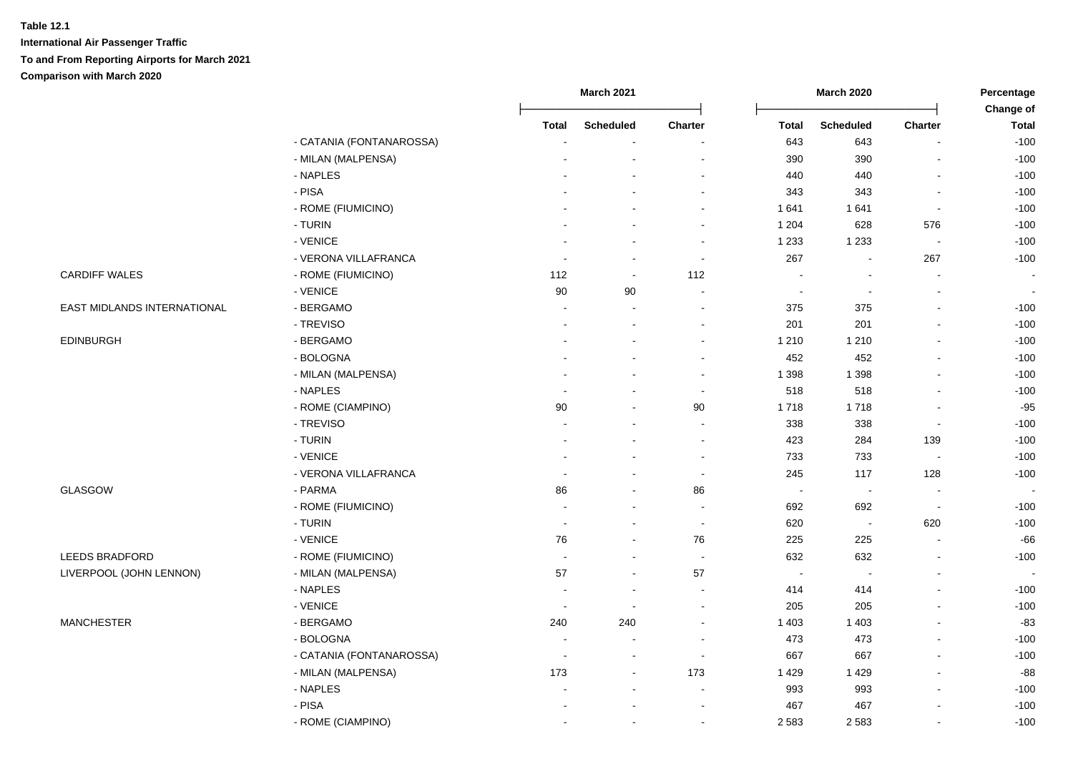|                             |                          |                          | <b>March 2021</b>        |                          | <b>March 2020</b> |                          | Percentage     |                           |
|-----------------------------|--------------------------|--------------------------|--------------------------|--------------------------|-------------------|--------------------------|----------------|---------------------------|
|                             |                          | <b>Total</b>             | <b>Scheduled</b>         | <b>Charter</b>           | <b>Total</b>      | <b>Scheduled</b>         | Charter        | Change of<br><b>Total</b> |
|                             | - CATANIA (FONTANAROSSA) |                          |                          |                          | 643               | 643                      |                | $-100$                    |
|                             | - MILAN (MALPENSA)       |                          |                          |                          | 390               | 390                      |                | $-100$                    |
|                             | - NAPLES                 |                          |                          | $\overline{\phantom{a}}$ | 440               | 440                      | L,             | $-100$                    |
|                             | - PISA                   |                          |                          | $\sim$                   | 343               | 343                      | $\blacksquare$ | $-100$                    |
|                             | - ROME (FIUMICINO)       |                          | $\overline{a}$           | $\blacksquare$           | 1 641             | 1641                     | $\sim$         | $-100$                    |
|                             | - TURIN                  |                          | $\overline{a}$           | $\blacksquare$           | 1 2 0 4           | 628                      | 576            | $-100$                    |
|                             | - VENICE                 |                          | $\blacksquare$           | $\blacksquare$           | 1 2 3 3           | 1 2 3 3                  | $\blacksquare$ | $-100$                    |
|                             | - VERONA VILLAFRANCA     |                          | $\blacksquare$           | $\blacksquare$           | 267               | $\overline{\phantom{a}}$ | 267            | $-100$                    |
| <b>CARDIFF WALES</b>        | - ROME (FIUMICINO)       | 112                      | $\sim$                   | 112                      | $\sim$            | $\sim$                   | $\sim$         |                           |
|                             | - VENICE                 | 90                       | 90                       | $\sim$                   | $\sim$            |                          | $\overline{a}$ |                           |
| EAST MIDLANDS INTERNATIONAL | - BERGAMO                | $\blacksquare$           | $\sim$                   | $\blacksquare$           | 375               | 375                      | $\overline{a}$ | $-100$                    |
|                             | - TREVISO                | $\blacksquare$           | $\blacksquare$           | $\blacksquare$           | 201               | 201                      | $\blacksquare$ | $-100$                    |
| <b>EDINBURGH</b>            | - BERGAMO                |                          |                          | $\blacksquare$           | 1 2 1 0           | 1 2 1 0                  |                | $-100$                    |
|                             | - BOLOGNA                |                          |                          | $\blacksquare$           | 452               | 452                      | $\blacksquare$ | $-100$                    |
|                             | - MILAN (MALPENSA)       |                          |                          | $\sim$                   | 1 3 9 8           | 1 3 9 8                  | $\blacksquare$ | $-100$                    |
|                             | - NAPLES                 |                          |                          | $\sim$                   | 518               | 518                      |                | $-100$                    |
|                             | - ROME (CIAMPINO)        | 90                       | $\overline{a}$           | 90                       | 1718              | 1718                     |                | $-95$                     |
|                             | - TREVISO                |                          | $\overline{a}$           | $\blacksquare$           | 338               | 338                      | $\blacksquare$ | $-100$                    |
|                             | - TURIN                  | $\blacksquare$           | $\sim$                   | $\blacksquare$           | 423               | 284                      | 139            | $-100$                    |
|                             | - VENICE                 |                          | ÷,                       | $\sim$                   | 733               | 733                      | $\sim$         | $-100$                    |
|                             | - VERONA VILLAFRANCA     |                          | $\overline{a}$           | $\sim$                   | 245               | 117                      | 128            | $-100$                    |
| GLASGOW                     | - PARMA                  | 86                       | $\sim$                   | 86                       | $\sim$            | $\sim$                   | $\blacksquare$ |                           |
|                             | - ROME (FIUMICINO)       |                          | $\blacksquare$           | $\blacksquare$           | 692               | 692                      | $\sim$         | $-100$                    |
|                             | - TURIN                  | $\sim$                   | $\blacksquare$           | $\sim$                   | 620               | $\sim$                   | 620            | $-100$                    |
|                             | - VENICE                 | 76                       | $\blacksquare$           | 76                       | 225               | 225                      | $\blacksquare$ | $-66$                     |
| LEEDS BRADFORD              | - ROME (FIUMICINO)       | $\sim$                   | $\sim$                   | $\sim$                   | 632               | 632                      | $\blacksquare$ | $-100$                    |
| LIVERPOOL (JOHN LENNON)     | - MILAN (MALPENSA)       | 57                       | $\sim$                   | 57                       | $\sim$            |                          | ä,             |                           |
|                             | - NAPLES                 |                          | $\overline{a}$           | $\blacksquare$           | 414               | 414                      | $\overline{a}$ | $-100$                    |
|                             | - VENICE                 | $\overline{\phantom{a}}$ | $\sim$                   | $\sim$                   | 205               | 205                      | $\blacksquare$ | $-100$                    |
| <b>MANCHESTER</b>           | - BERGAMO                | 240                      | 240                      | $\blacksquare$           | 1 4 0 3           | 1 4 0 3                  | ä,             | $-83$                     |
|                             | - BOLOGNA                |                          |                          | $\overline{\phantom{a}}$ | 473               | 473                      |                | $-100$                    |
|                             | - CATANIA (FONTANAROSSA) | $\sim$                   | $\overline{\phantom{a}}$ | $\sim$                   | 667               | 667                      | ÷.             | $-100$                    |
|                             | - MILAN (MALPENSA)       | 173                      | $\sim$                   | 173                      | 1 4 2 9           | 1429                     | $\overline{a}$ | -88                       |
|                             | - NAPLES                 |                          | $\blacksquare$           | $\sim$                   | 993               | 993                      | ä,             | $-100$                    |
|                             | - PISA                   |                          | $\overline{\phantom{a}}$ | $\blacksquare$           | 467               | 467                      | $\overline{a}$ | $-100$                    |
|                             | - ROME (CIAMPINO)        |                          | $\blacksquare$           | $\blacksquare$           | 2 5 8 3           | 2 5 8 3                  | $\blacksquare$ | $-100$                    |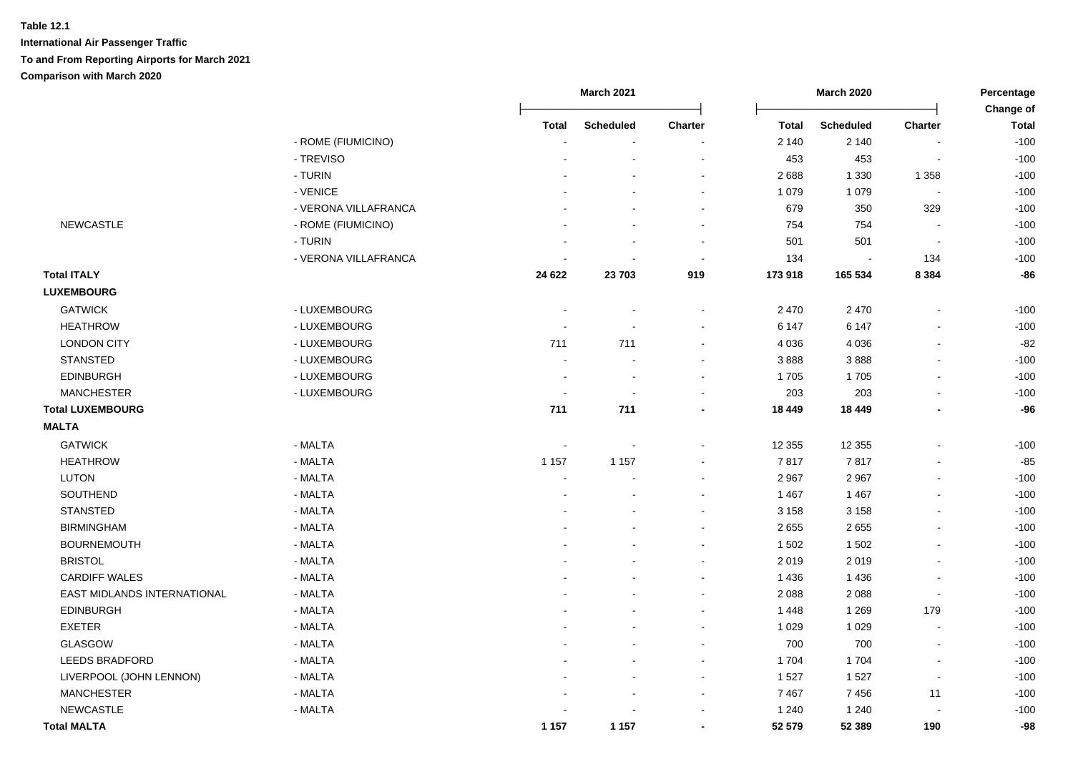|                             |                      |         | <b>March 2021</b> |                |              | <b>March 2020</b> |                          | Percentage<br>Change of |  |
|-----------------------------|----------------------|---------|-------------------|----------------|--------------|-------------------|--------------------------|-------------------------|--|
|                             |                      | Total   | <b>Scheduled</b>  | <b>Charter</b> | <b>Total</b> | <b>Scheduled</b>  | Charter                  | <b>Total</b>            |  |
|                             | - ROME (FIUMICINO)   |         |                   |                | 2 140        | 2 1 4 0           |                          | $-100$                  |  |
|                             | - TREVISO            |         |                   | ÷.             | 453          | 453               | $\blacksquare$           | $-100$                  |  |
|                             | - TURIN              |         |                   | $\blacksquare$ | 2688         | 1 3 3 0           | 1 3 5 8                  | $-100$                  |  |
|                             | - VENICE             |         |                   | $\blacksquare$ | 1 0 7 9      | 1 0 7 9           | $\sim$                   | $-100$                  |  |
|                             | - VERONA VILLAFRANCA |         |                   | $\blacksquare$ | 679          | 350               | 329                      | $-100$                  |  |
| <b>NEWCASTLE</b>            | - ROME (FIUMICINO)   |         |                   | $\blacksquare$ | 754          | 754               | $\blacksquare$           | $-100$                  |  |
|                             | - TURIN              |         |                   | $\sim$         | 501          | 501               | $\sim$                   | $-100$                  |  |
|                             | - VERONA VILLAFRANCA |         |                   | $\blacksquare$ | 134          | $\blacksquare$    | 134                      | $-100$                  |  |
| <b>Total ITALY</b>          |                      | 24 622  | 23 703            | 919            | 173 918      | 165 534           | 8 3 8 4                  | $-86$                   |  |
| <b>LUXEMBOURG</b>           |                      |         |                   |                |              |                   |                          |                         |  |
| <b>GATWICK</b>              | - LUXEMBOURG         |         |                   | $\blacksquare$ | 2 4 7 0      | 2 4 7 0           |                          | $-100$                  |  |
| <b>HEATHROW</b>             | - LUXEMBOURG         |         | $\sim$            | $\blacksquare$ | 6 1 4 7      | 6 1 4 7           |                          | $-100$                  |  |
| <b>LONDON CITY</b>          | - LUXEMBOURG         | 711     | 711               | $\blacksquare$ | 4 0 3 6      | 4 0 3 6           | $\overline{\phantom{a}}$ | $-82$                   |  |
| <b>STANSTED</b>             | - LUXEMBOURG         |         | $\sim$            | $\blacksquare$ | 3888         | 3888              | $\overline{\phantom{a}}$ | $-100$                  |  |
| <b>EDINBURGH</b>            | - LUXEMBOURG         |         | $\blacksquare$    | $\blacksquare$ | 1705         | 1705              | $\blacksquare$           | $-100$                  |  |
| <b>MANCHESTER</b>           | - LUXEMBOURG         |         | $\sim$            | $\mathbf{r}$   | 203          | 203               |                          | $-100$                  |  |
| <b>Total LUXEMBOURG</b>     |                      | 711     | 711               | $\blacksquare$ | 18 449       | 18 449            |                          | $-96$                   |  |
| <b>MALTA</b>                |                      |         |                   |                |              |                   |                          |                         |  |
| <b>GATWICK</b>              | - MALTA              |         |                   | $\blacksquare$ | 12 3 5 5     | 12 3 5 5          |                          | $-100$                  |  |
| <b>HEATHROW</b>             | - MALTA              | 1 1 5 7 | 1 1 5 7           | $\blacksquare$ | 7817         | 7817              |                          | $-85$                   |  |
| LUTON                       | - MALTA              |         |                   |                | 2967         | 2 9 6 7           |                          | $-100$                  |  |
| SOUTHEND                    | - MALTA              |         |                   |                | 1 4 6 7      | 1 4 6 7           |                          | $-100$                  |  |
| <b>STANSTED</b>             | - MALTA              |         |                   | $\blacksquare$ | 3 1 5 8      | 3 1 5 8           |                          | $-100$                  |  |
| <b>BIRMINGHAM</b>           | - MALTA              |         |                   | $\overline{a}$ | 2655         | 2655              |                          | $-100$                  |  |
| <b>BOURNEMOUTH</b>          | - MALTA              |         |                   | $\blacksquare$ | 1 5 0 2      | 1502              |                          | $-100$                  |  |
| <b>BRISTOL</b>              | - MALTA              |         |                   | $\sim$         | 2 0 1 9      | 2019              |                          | $-100$                  |  |
| <b>CARDIFF WALES</b>        | - MALTA              |         |                   | $\blacksquare$ | 1 4 3 6      | 1 4 3 6           |                          | $-100$                  |  |
| EAST MIDLANDS INTERNATIONAL | - MALTA              |         |                   | $\blacksquare$ | 2 0 8 8      | 2 0 8 8           | $\blacksquare$           | $-100$                  |  |
| <b>EDINBURGH</b>            | - MALTA              |         |                   | $\blacksquare$ | 1448         | 1 2 6 9           | 179                      | $-100$                  |  |
| <b>EXETER</b>               | - MALTA              |         |                   | $\blacksquare$ | 1 0 2 9      | 1 0 2 9           | $\blacksquare$           | $-100$                  |  |
| <b>GLASGOW</b>              | - MALTA              |         |                   | $\sim$         | 700          | 700               | $\overline{\phantom{a}}$ | $-100$                  |  |
| <b>LEEDS BRADFORD</b>       | - MALTA              |         |                   | $\blacksquare$ | 1704         | 1704              | $\blacksquare$           | $-100$                  |  |
| LIVERPOOL (JOHN LENNON)     | - MALTA              |         |                   | $\blacksquare$ | 1 5 2 7      | 1527              | $\blacksquare$           | $-100$                  |  |
| <b>MANCHESTER</b>           | - MALTA              |         |                   | $\blacksquare$ | 7467         | 7456              | 11                       | $-100$                  |  |
| <b>NEWCASTLE</b>            | - MALTA              |         |                   |                | 1 2 4 0      | 1 2 4 0           |                          | $-100$                  |  |
| <b>Total MALTA</b>          |                      | 1 1 5 7 | 1 1 5 7           | $\blacksquare$ | 52 579       | 52 389            | 190                      | $-98$                   |  |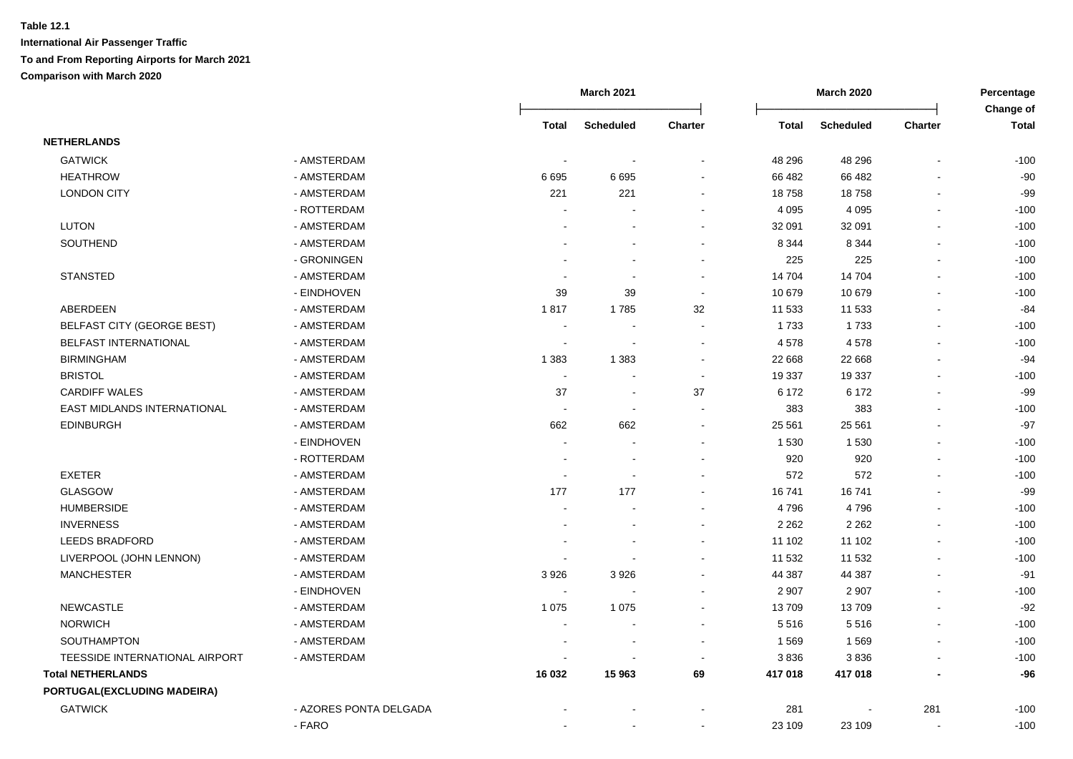|                                |                        |                | <b>March 2021</b>        |                |              | <b>March 2020</b> |                          | Percentage<br>Change of |  |
|--------------------------------|------------------------|----------------|--------------------------|----------------|--------------|-------------------|--------------------------|-------------------------|--|
|                                |                        | Total          | <b>Scheduled</b>         | <b>Charter</b> | <b>Total</b> | <b>Scheduled</b>  | Charter                  | <b>Total</b>            |  |
| <b>NETHERLANDS</b>             |                        |                |                          |                |              |                   |                          |                         |  |
| <b>GATWICK</b>                 | - AMSTERDAM            |                |                          |                | 48 29 6      | 48 29 6           |                          | $-100$                  |  |
| <b>HEATHROW</b>                | - AMSTERDAM            | 6695           | 6695                     |                | 66 482       | 66 482            |                          | $-90$                   |  |
| <b>LONDON CITY</b>             | - AMSTERDAM            | 221            | 221                      |                | 18758        | 18758             |                          | $-99$                   |  |
|                                | - ROTTERDAM            |                |                          |                | 4 0 9 5      | 4 0 9 5           | $\overline{a}$           | $-100$                  |  |
| <b>LUTON</b>                   | - AMSTERDAM            |                |                          |                | 32 091       | 32 091            | $\overline{a}$           | $-100$                  |  |
| SOUTHEND                       | - AMSTERDAM            |                |                          |                | 8 3 4 4      | 8 3 4 4           | $\mathbf{r}$             | $-100$                  |  |
|                                | - GRONINGEN            |                |                          |                | 225          | 225               |                          | $-100$                  |  |
| <b>STANSTED</b>                | - AMSTERDAM            |                | $\sim$                   | $\sim$         | 14 704       | 14 704            | $\overline{a}$           | $-100$                  |  |
|                                | - EINDHOVEN            | 39             | 39                       | $\sim$         | 10 679       | 10 679            | $\overline{a}$           | $-100$                  |  |
| <b>ABERDEEN</b>                | - AMSTERDAM            | 1817           | 1785                     | 32             | 11 533       | 11 533            |                          | $-84$                   |  |
| BELFAST CITY (GEORGE BEST)     | - AMSTERDAM            |                |                          |                | 1 7 3 3      | 1733              | $\blacksquare$           | $-100$                  |  |
| BELFAST INTERNATIONAL          | - AMSTERDAM            |                |                          |                | 4578         | 4578              |                          | $-100$                  |  |
| <b>BIRMINGHAM</b>              | - AMSTERDAM            | 1 3 8 3        | 1 3 8 3                  |                | 22 6 68      | 22 668            |                          | $-94$                   |  |
| <b>BRISTOL</b>                 | - AMSTERDAM            | $\sim$         |                          | $\sim$         | 19 337       | 19 337            |                          | $-100$                  |  |
| <b>CARDIFF WALES</b>           | - AMSTERDAM            | 37             | $\sim$                   | 37             | 6 172        | 6 172             |                          | $-99$                   |  |
| EAST MIDLANDS INTERNATIONAL    | - AMSTERDAM            | $\blacksquare$ | $\blacksquare$           | $\sim$         | 383          | 383               | $\overline{a}$           | $-100$                  |  |
| <b>EDINBURGH</b>               | - AMSTERDAM            | 662            | 662                      | $\sim$         | 25 5 61      | 25 561            |                          | $-97$                   |  |
|                                | - EINDHOVEN            | $\blacksquare$ |                          |                | 1 5 3 0      | 1530              |                          | $-100$                  |  |
|                                | - ROTTERDAM            | ÷.             | $\sim$                   |                | 920          | 920               | $\overline{a}$           | $-100$                  |  |
| <b>EXETER</b>                  | - AMSTERDAM            | $\blacksquare$ | $\overline{\phantom{a}}$ |                | 572          | 572               |                          | $-100$                  |  |
| <b>GLASGOW</b>                 | - AMSTERDAM            | 177            | 177                      |                | 16741        | 16741             | $\overline{a}$           | $-99$                   |  |
| <b>HUMBERSIDE</b>              | - AMSTERDAM            |                |                          |                | 4796         | 4796              | $\blacksquare$           | $-100$                  |  |
| <b>INVERNESS</b>               | - AMSTERDAM            |                |                          |                | 2 2 6 2      | 2 2 6 2           |                          | $-100$                  |  |
| LEEDS BRADFORD                 | - AMSTERDAM            |                |                          |                | 11 102       | 11 102            | $\overline{a}$           | $-100$                  |  |
| LIVERPOOL (JOHN LENNON)        | - AMSTERDAM            |                |                          |                | 11 532       | 11 532            | $\overline{a}$           | $-100$                  |  |
| <b>MANCHESTER</b>              | - AMSTERDAM            | 3926           | 3926                     |                | 44 387       | 44 387            | $\blacksquare$           | $-91$                   |  |
|                                | - EINDHOVEN            | $\blacksquare$ | $\blacksquare$           |                | 2 9 0 7      | 2 9 0 7           | $\sim$                   | $-100$                  |  |
| <b>NEWCASTLE</b>               | - AMSTERDAM            | 1 0 7 5        | 1075                     | $\sim$         | 13709        | 13709             | $\overline{\phantom{a}}$ | $-92$                   |  |
| <b>NORWICH</b>                 | - AMSTERDAM            | $\blacksquare$ | $\overline{\phantom{a}}$ | $\sim$         | 5516         | 5516              | $\blacksquare$           | $-100$                  |  |
| SOUTHAMPTON                    | - AMSTERDAM            |                | $\overline{\phantom{a}}$ | $\sim$         | 1569         | 1569              | $\blacksquare$           | $-100$                  |  |
| TEESSIDE INTERNATIONAL AIRPORT | - AMSTERDAM            |                |                          |                | 3836         | 3836              |                          | $-100$                  |  |
| <b>Total NETHERLANDS</b>       |                        | 16 032         | 15 963                   | 69             | 417 018      | 417 018           |                          | $-96$                   |  |
| PORTUGAL(EXCLUDING MADEIRA)    |                        |                |                          |                |              |                   |                          |                         |  |
| <b>GATWICK</b>                 | - AZORES PONTA DELGADA |                |                          |                | 281          | $\overline{a}$    | 281                      | $-100$                  |  |
|                                | - FARO                 |                |                          |                | 23 109       | 23 109            |                          | $-100$                  |  |
|                                |                        |                |                          |                |              |                   |                          |                         |  |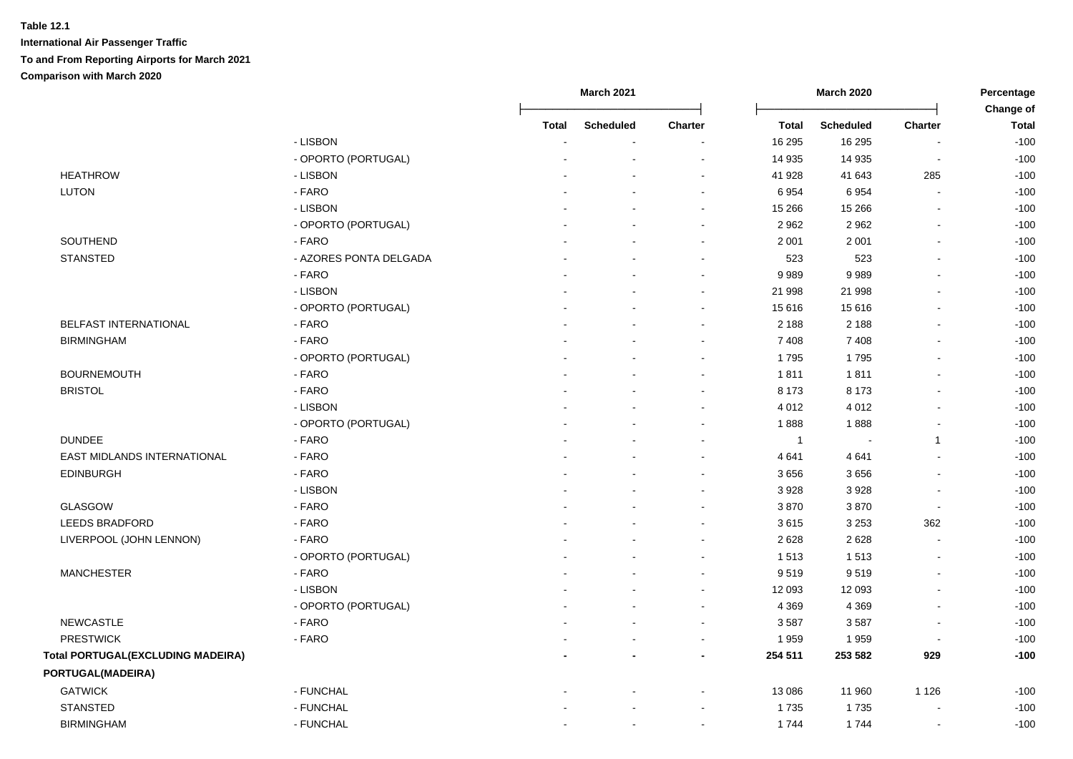|                                          |                        |              | March 2021       |                          |              | <b>March 2020</b> |                          | Percentage<br>Change of |  |
|------------------------------------------|------------------------|--------------|------------------|--------------------------|--------------|-------------------|--------------------------|-------------------------|--|
|                                          |                        | <b>Total</b> | <b>Scheduled</b> | Charter                  | <b>Total</b> | <b>Scheduled</b>  | Charter                  | <b>Total</b>            |  |
|                                          | - LISBON               |              |                  |                          | 16 295       | 16 295            |                          | $-100$                  |  |
|                                          | - OPORTO (PORTUGAL)    |              |                  |                          | 14 935       | 14 9 35           |                          | $-100$                  |  |
| <b>HEATHROW</b>                          | - LISBON               |              |                  | $\overline{a}$           | 41 928       | 41 643            | 285                      | $-100$                  |  |
| <b>LUTON</b>                             | - FARO                 |              |                  | $\blacksquare$           | 6 9 5 4      | 6954              | $\overline{\phantom{a}}$ | $-100$                  |  |
|                                          | - LISBON               |              |                  | $\sim$                   | 15 266       | 15 26 6           | $\sim$                   | $-100$                  |  |
|                                          | - OPORTO (PORTUGAL)    |              |                  | $\sim$                   | 2 9 6 2      | 2962              | $\sim$                   | $-100$                  |  |
| SOUTHEND                                 | - FARO                 |              |                  | $\blacksquare$           | 2 0 0 1      | 2 0 0 1           | $\blacksquare$           | $-100$                  |  |
| <b>STANSTED</b>                          | - AZORES PONTA DELGADA |              |                  | $\overline{\phantom{a}}$ | 523          | 523               |                          | $-100$                  |  |
|                                          | - FARO                 |              |                  | $\overline{\phantom{a}}$ | 9989         | 9989              |                          | $-100$                  |  |
|                                          | - LISBON               |              |                  | $\sim$                   | 21 998       | 21 998            |                          | $-100$                  |  |
|                                          | - OPORTO (PORTUGAL)    |              |                  | $\blacksquare$           | 15 616       | 15 616            |                          | $-100$                  |  |
| <b>BELFAST INTERNATIONAL</b>             | - FARO                 |              |                  | $\sim$                   | 2 1 8 8      | 2 1 8 8           |                          | $-100$                  |  |
| <b>BIRMINGHAM</b>                        | - FARO                 |              |                  | $\blacksquare$           | 7 4 0 8      | 7 4 0 8           |                          | $-100$                  |  |
|                                          | - OPORTO (PORTUGAL)    |              |                  |                          | 1795         | 1795              |                          | $-100$                  |  |
| <b>BOURNEMOUTH</b>                       | - FARO                 |              |                  |                          | 1811         | 1811              |                          | $-100$                  |  |
| <b>BRISTOL</b>                           | - FARO                 |              |                  | $\sim$                   | 8 1 7 3      | 8 1 7 3           |                          | $-100$                  |  |
|                                          | - LISBON               |              |                  | $\sim$                   | 4 0 1 2      | 4 0 1 2           |                          | $-100$                  |  |
|                                          | - OPORTO (PORTUGAL)    |              |                  | $\sim$                   | 1888         | 1888              |                          | $-100$                  |  |
| <b>DUNDEE</b>                            | - FARO                 |              |                  | $\blacksquare$           | $\mathbf{1}$ | $\sim$            | 1                        | $-100$                  |  |
| EAST MIDLANDS INTERNATIONAL              | - FARO                 |              |                  | $\blacksquare$           | 4 6 4 1      | 4641              |                          | $-100$                  |  |
| <b>EDINBURGH</b>                         | - FARO                 |              |                  | $\sim$                   | 3656         | 3656              |                          | $-100$                  |  |
|                                          | - LISBON               |              |                  | $\sim$                   | 3 9 28       | 3928              |                          | $-100$                  |  |
| <b>GLASGOW</b>                           | - FARO                 |              |                  | $\blacksquare$           | 3870         | 3870              | $\overline{\phantom{a}}$ | $-100$                  |  |
| <b>LEEDS BRADFORD</b>                    | - FARO                 |              |                  | $\overline{\phantom{a}}$ | 3615         | 3 2 5 3           | 362                      | $-100$                  |  |
| LIVERPOOL (JOHN LENNON)                  | - FARO                 |              |                  | $\blacksquare$           | 2 6 2 8      | 2628              |                          | $-100$                  |  |
|                                          | - OPORTO (PORTUGAL)    |              |                  | $\overline{a}$           | 1513         | 1513              |                          | $-100$                  |  |
| <b>MANCHESTER</b>                        | - FARO                 |              |                  | $\blacksquare$           | 9519         | 9519              |                          | $-100$                  |  |
|                                          | - LISBON               |              |                  | $\overline{a}$           | 12 093       | 12 093            |                          | $-100$                  |  |
|                                          | - OPORTO (PORTUGAL)    |              |                  | $\sim$                   | 4 3 6 9      | 4 3 6 9           |                          | $-100$                  |  |
| <b>NEWCASTLE</b>                         | - FARO                 |              |                  | $\overline{\phantom{a}}$ | 3587         | 3587              | $\overline{\phantom{a}}$ | $-100$                  |  |
| <b>PRESTWICK</b>                         | - FARO                 |              |                  | $\sim$                   | 1959         | 1959              | $\sim$                   | $-100$                  |  |
| <b>Total PORTUGAL(EXCLUDING MADEIRA)</b> |                        |              |                  | $\blacksquare$           | 254 511      | 253 582           | 929                      | $-100$                  |  |
| PORTUGAL(MADEIRA)                        |                        |              |                  |                          |              |                   |                          |                         |  |
| <b>GATWICK</b>                           | - FUNCHAL              |              |                  | $\blacksquare$           | 13 086       | 11 960            | 1 1 2 6                  | $-100$                  |  |
| <b>STANSTED</b>                          | - FUNCHAL              |              |                  | $\blacksquare$           | 1735         | 1735              |                          | $-100$                  |  |
| <b>BIRMINGHAM</b>                        | - FUNCHAL              |              |                  | $\blacksquare$           | 1744         | 1744              |                          | $-100$                  |  |
|                                          |                        |              |                  |                          |              |                   |                          |                         |  |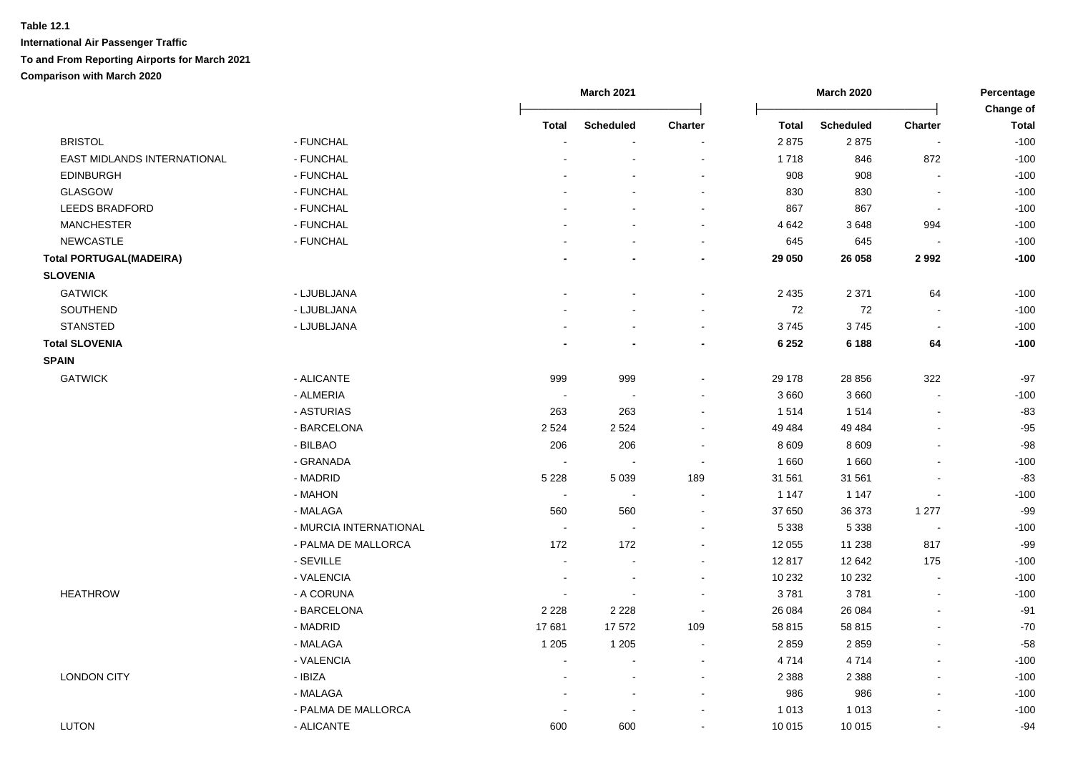|                                |                        |                          | <b>March 2021</b>        |                          |              | <b>March 2020</b> |                | Percentage<br>Change of |  |
|--------------------------------|------------------------|--------------------------|--------------------------|--------------------------|--------------|-------------------|----------------|-------------------------|--|
|                                |                        | <b>Total</b>             | <b>Scheduled</b>         | Charter                  | <b>Total</b> | <b>Scheduled</b>  | Charter        | <b>Total</b>            |  |
| <b>BRISTOL</b>                 | - FUNCHAL              |                          |                          |                          | 2875         | 2875              | ÷,             | $-100$                  |  |
| EAST MIDLANDS INTERNATIONAL    | - FUNCHAL              |                          | ÷                        | $\sim$                   | 1718         | 846               | 872            | $-100$                  |  |
| <b>EDINBURGH</b>               | - FUNCHAL              |                          |                          | $\blacksquare$           | 908          | 908               |                | $-100$                  |  |
| GLASGOW                        | - FUNCHAL              |                          |                          | $\blacksquare$           | 830          | 830               | $\blacksquare$ | $-100$                  |  |
| <b>LEEDS BRADFORD</b>          | - FUNCHAL              |                          |                          | $\sim$                   | 867          | 867               | $\sim$         | $-100$                  |  |
| <b>MANCHESTER</b>              | - FUNCHAL              |                          |                          | $\blacksquare$           | 4 6 4 2      | 3648              | 994            | $-100$                  |  |
| <b>NEWCASTLE</b>               | - FUNCHAL              |                          |                          | $\blacksquare$           | 645          | 645               |                | $-100$                  |  |
| <b>Total PORTUGAL(MADEIRA)</b> |                        |                          | $\blacksquare$           | $\overline{\phantom{a}}$ | 29 050       | 26 058            | 2992           | $-100$                  |  |
| <b>SLOVENIA</b>                |                        |                          |                          |                          |              |                   |                |                         |  |
| <b>GATWICK</b>                 | - LJUBLJANA            |                          |                          | $\blacksquare$           | 2 4 3 5      | 2 3 7 1           | 64             | $-100$                  |  |
| SOUTHEND                       | - LJUBLJANA            |                          | $\blacksquare$           | $\sim$                   | 72           | 72                | $\blacksquare$ | $-100$                  |  |
| <b>STANSTED</b>                | - LJUBLJANA            |                          | $\overline{\phantom{a}}$ | $\blacksquare$           | 3745         | 3745              | $\sim$         | $-100$                  |  |
| <b>Total SLOVENIA</b>          |                        |                          |                          | $\blacksquare$           | 6 2 5 2      | 6 1 8 8           | 64             | $-100$                  |  |
| <b>SPAIN</b>                   |                        |                          |                          |                          |              |                   |                |                         |  |
| <b>GATWICK</b>                 | - ALICANTE             | 999                      | 999                      | $\blacksquare$           | 29 178       | 28 856            | 322            | $-97$                   |  |
|                                | - ALMERIA              | $\sim$                   | $\sim$                   | $\blacksquare$           | 3 6 6 0      | 3 6 6 0           |                | $-100$                  |  |
|                                | - ASTURIAS             | 263                      | 263                      |                          | 1514         | 1514              | $\overline{a}$ | $-83$                   |  |
|                                | - BARCELONA            | 2 5 2 4                  | 2 5 2 4                  |                          | 49 4 84      | 49 4 84           |                | $-95$                   |  |
|                                | - BILBAO               | 206                      | 206                      |                          | 8 6 0 9      | 8 6 0 9           |                | $-98$                   |  |
|                                | - GRANADA              | $\overline{\phantom{a}}$ | $\sim$                   | $\sim$                   | 1 6 6 0      | 1660              |                | $-100$                  |  |
|                                | - MADRID               | 5 2 2 8                  | 5 0 3 9                  | 189                      | 31 561       | 31 561            |                | $-83$                   |  |
|                                | - MAHON                | $\overline{\phantom{a}}$ | $\sim$                   | $\sim$                   | 1 1 4 7      | 1 1 4 7           | $\overline{a}$ | $-100$                  |  |
|                                | - MALAGA               | 560                      | 560                      | $\blacksquare$           | 37 650       | 36 373            | 1 277          | $-99$                   |  |
|                                | - MURCIA INTERNATIONAL | $\sim$                   | $\sim$                   | $\blacksquare$           | 5 3 3 8      | 5 3 3 8           | $\blacksquare$ | $-100$                  |  |
|                                | - PALMA DE MALLORCA    | 172                      | 172                      |                          | 12 055       | 11 238            | 817            | $-99$                   |  |
|                                | - SEVILLE              | $\blacksquare$           | $\blacksquare$           | $\blacksquare$           | 12817        | 12 642            | 175            | $-100$                  |  |
|                                | - VALENCIA             | $\blacksquare$           | $\overline{\phantom{a}}$ | $\blacksquare$           | 10 232       | 10 232            | $\overline{a}$ | $-100$                  |  |
| <b>HEATHROW</b>                | - A CORUNA             | $\sim$                   | $\overline{\phantom{a}}$ | $\overline{\phantom{a}}$ | 3781         | 3781              | L.             | $-100$                  |  |
|                                | - BARCELONA            | 2 2 2 8                  | 2 2 2 8                  | $\blacksquare$           | 26 084       | 26 084            | $\overline{a}$ | $-91$                   |  |
|                                | - MADRID               | 17681                    | 17572                    | 109                      | 58 815       | 58 815            |                | $-70$                   |  |
|                                | - MALAGA               | 1 2 0 5                  | 1 2 0 5                  | $\overline{\phantom{a}}$ | 2859         | 2859              | $\blacksquare$ | $-58$                   |  |
|                                | - VALENCIA             | $\sim$                   | $\overline{a}$           | $\sim$                   | 4714         | 4714              |                | $-100$                  |  |
| <b>LONDON CITY</b>             | - IBIZA                | $\sim$                   | $\sim$                   | $\sim$                   | 2 3 8 8      | 2 3 8 8           | $\sim$         | $-100$                  |  |
|                                | - MALAGA               |                          | $\sim$                   | $\overline{a}$           | 986          | 986               | $\blacksquare$ | $-100$                  |  |
|                                | - PALMA DE MALLORCA    |                          | ÷                        | ÷                        | 1 0 1 3      | 1 0 1 3           | $\overline{a}$ | $-100$                  |  |
| <b>LUTON</b>                   | - ALICANTE             | 600                      | 600                      | $\blacksquare$           | 10 015       | 10 015            | $\sim$         | $-94$                   |  |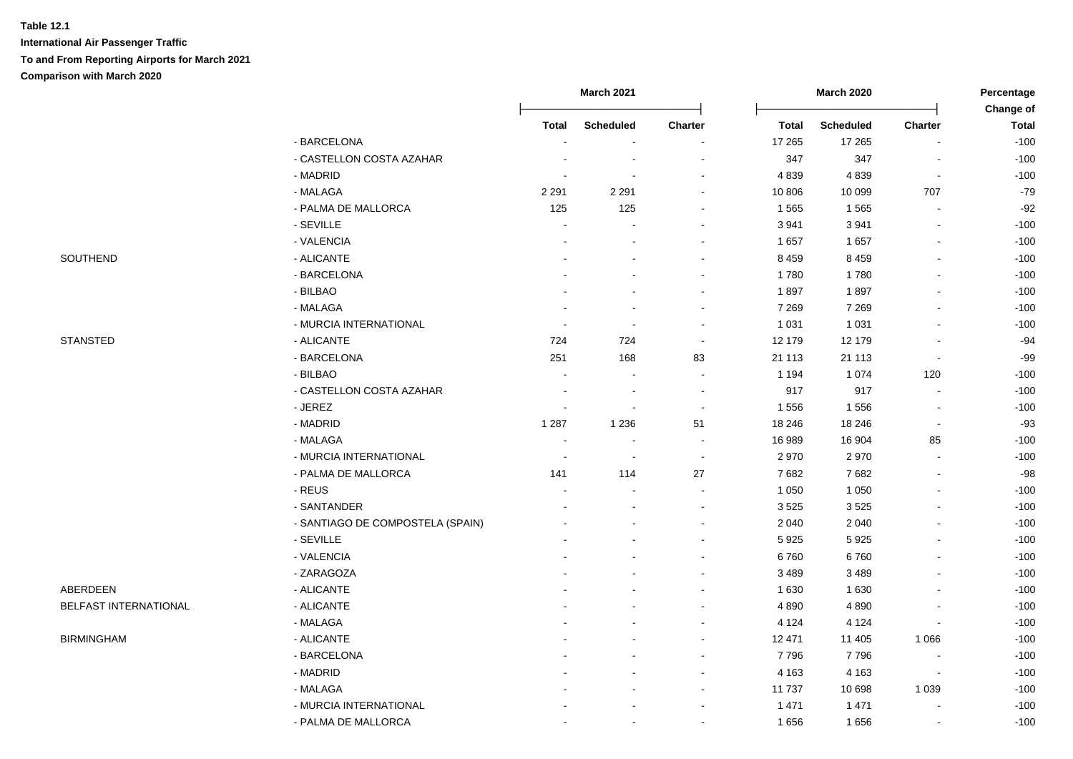|                       |                                  | <b>March 2021</b>        |                          |                          | <b>March 2020</b> | Percentage       |                          |                           |
|-----------------------|----------------------------------|--------------------------|--------------------------|--------------------------|-------------------|------------------|--------------------------|---------------------------|
|                       |                                  | <b>Total</b>             | <b>Scheduled</b>         | Charter                  | Total             | <b>Scheduled</b> | <b>Charter</b>           | Change of<br><b>Total</b> |
|                       | - BARCELONA                      |                          | $\sim$                   |                          | 17 265            | 17 265           | $\blacksquare$           | $-100$                    |
|                       | - CASTELLON COSTA AZAHAR         |                          |                          |                          | 347               | 347              | $\blacksquare$           | $-100$                    |
|                       | - MADRID                         |                          |                          |                          | 4839              | 4839             | $\overline{\phantom{a}}$ | $-100$                    |
|                       | - MALAGA                         | 2 2 9 1                  | 2 2 9 1                  |                          | 10 806            | 10 099           | 707                      | $-79$                     |
|                       | - PALMA DE MALLORCA              | 125                      | 125                      |                          | 1 5 6 5           | 1565             |                          | $-92$                     |
|                       | - SEVILLE                        |                          |                          |                          | 3 9 4 1           | 3 9 4 1          | $\blacksquare$           | $-100$                    |
|                       | - VALENCIA                       |                          |                          |                          | 1657              | 1657             | $\sim$                   | $-100$                    |
| SOUTHEND              | - ALICANTE                       |                          |                          | $\sim$                   | 8 4 5 9           | 8 4 5 9          | $\blacksquare$           | $-100$                    |
|                       | - BARCELONA                      |                          |                          |                          | 1780              | 1780             | $\blacksquare$           | $-100$                    |
|                       | - BILBAO                         |                          |                          | $\sim$                   | 1897              | 1897             | $\sim$                   | $-100$                    |
|                       | - MALAGA                         |                          | $\sim$                   | $\sim$                   | 7 2 6 9           | 7 2 6 9          | $\sim$                   | $-100$                    |
|                       | - MURCIA INTERNATIONAL           |                          | $\overline{\phantom{a}}$ |                          | 1 0 3 1           | 1 0 3 1          | $\blacksquare$           | $-100$                    |
| <b>STANSTED</b>       | - ALICANTE                       | 724                      | 724                      |                          | 12 179            | 12 179           | $\blacksquare$           | $-94$                     |
|                       | - BARCELONA                      | 251                      | 168                      | 83                       | 21 113            | 21 113           | $\overline{\phantom{a}}$ | $-99$                     |
|                       | - BILBAO                         |                          | $\sim$                   | $\sim$                   | 1 1 9 4           | 1 0 7 4          | 120                      | $-100$                    |
|                       | - CASTELLON COSTA AZAHAR         |                          | $\blacksquare$           |                          | 917               | 917              | $\overline{\phantom{a}}$ | $-100$                    |
|                       | - JEREZ                          |                          |                          |                          | 1556              | 1556             |                          | $-100$                    |
|                       | - MADRID                         | 1 2 8 7                  | 1 2 3 6                  | 51                       | 18 24 6           | 18 24 6          | $\sim$                   | $-93$                     |
|                       | - MALAGA                         |                          |                          |                          | 16 989            | 16 904           | 85                       | $-100$                    |
|                       | - MURCIA INTERNATIONAL           | $\overline{\phantom{a}}$ | $\sim$                   | $\overline{\phantom{a}}$ | 2970              | 2970             | $\sim$                   | $-100$                    |
|                       | - PALMA DE MALLORCA              | 141                      | 114                      | 27                       | 7682              | 7682             | $\blacksquare$           | $-98$                     |
|                       | - REUS                           | $\overline{a}$           | $\overline{\phantom{a}}$ | $\sim$                   | 1 0 5 0           | 1 0 5 0          | $\blacksquare$           | $-100$                    |
|                       | - SANTANDER                      |                          |                          | $\sim$                   | 3 5 2 5           | 3525             | $\blacksquare$           | $-100$                    |
|                       | - SANTIAGO DE COMPOSTELA (SPAIN) |                          |                          |                          | 2 0 4 0           | 2 0 4 0          |                          | $-100$                    |
|                       | - SEVILLE                        |                          |                          |                          | 5925              | 5925             |                          | $-100$                    |
|                       | - VALENCIA                       |                          |                          |                          | 6760              | 6760             |                          | $-100$                    |
|                       | - ZARAGOZA                       |                          |                          |                          | 3 4 8 9           | 3 4 8 9          | $\overline{a}$           | $-100$                    |
| ABERDEEN              | - ALICANTE                       |                          |                          |                          | 1 6 3 0           | 1 6 3 0          | $\blacksquare$           | $-100$                    |
| BELFAST INTERNATIONAL | - ALICANTE                       |                          |                          |                          | 4 8 9 0           | 4 8 9 0          | $\blacksquare$           | $-100$                    |
|                       | - MALAGA                         |                          |                          |                          | 4 1 2 4           | 4 1 2 4          | $\blacksquare$           | $-100$                    |
| <b>BIRMINGHAM</b>     | - ALICANTE                       |                          |                          |                          | 12 471            | 11 405           | 1 0 6 6                  | $-100$                    |
|                       | - BARCELONA                      |                          |                          |                          | 7796              | 7796             |                          | $-100$                    |
|                       | - MADRID                         |                          |                          |                          | 4 1 6 3           | 4 1 6 3          | $\overline{\phantom{a}}$ | $-100$                    |
|                       | - MALAGA                         |                          |                          |                          | 11 737            | 10 698           | 1 0 3 9                  | $-100$                    |
|                       | - MURCIA INTERNATIONAL           |                          |                          |                          | 1 4 7 1           | 1 4 7 1          | $\sim$                   | $-100$                    |
|                       | - PALMA DE MALLORCA              |                          | $\overline{\phantom{a}}$ | $\sim$                   | 1656              | 1656             | $\blacksquare$           | $-100$                    |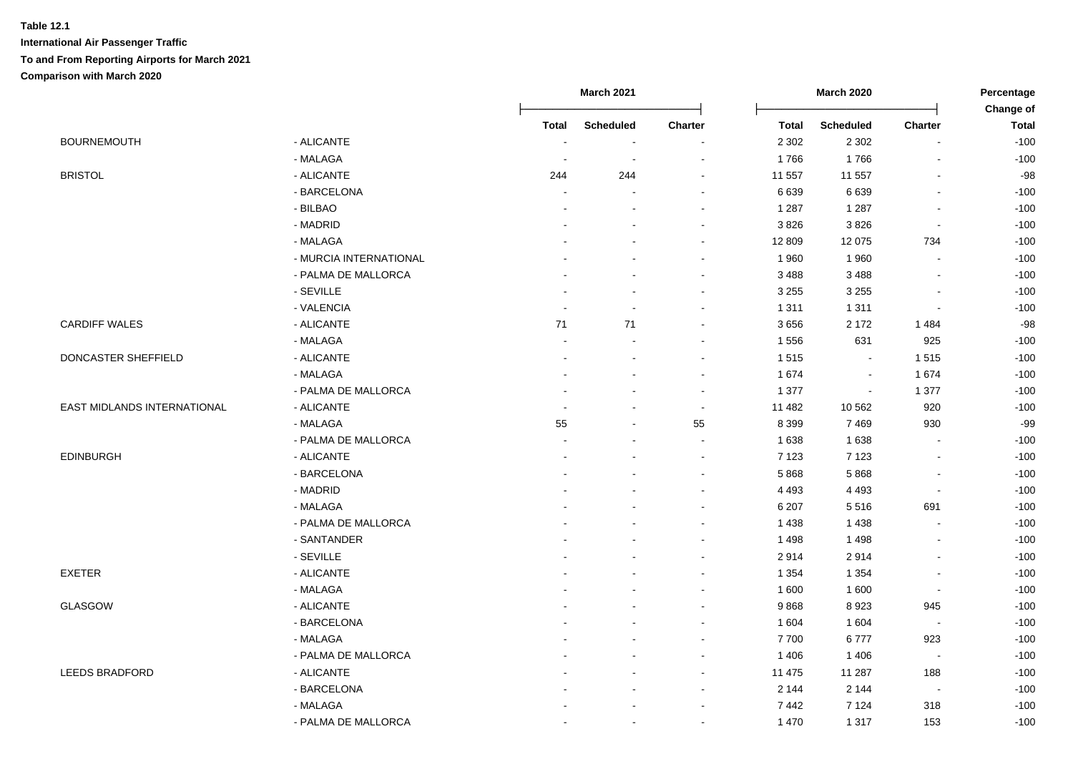|                             |                        |                          | <b>March 2021</b>        |                          |              | <b>March 2020</b> |                          | Percentage                |  |
|-----------------------------|------------------------|--------------------------|--------------------------|--------------------------|--------------|-------------------|--------------------------|---------------------------|--|
|                             |                        | Total                    | <b>Scheduled</b>         | Charter                  | <b>Total</b> | <b>Scheduled</b>  | <b>Charter</b>           | Change of<br><b>Total</b> |  |
| <b>BOURNEMOUTH</b>          | - ALICANTE             | $\overline{\phantom{a}}$ | $\blacksquare$           |                          | 2 3 0 2      | 2 3 0 2           | $\overline{\phantom{a}}$ | $-100$                    |  |
|                             | - MALAGA               |                          | $\overline{\phantom{a}}$ |                          | 1766         | 1766              | L,                       | $-100$                    |  |
| <b>BRISTOL</b>              | - ALICANTE             | 244                      | 244                      | $\sim$                   | 11 557       | 11 557            | $\overline{a}$           | $-98$                     |  |
|                             | - BARCELONA            | $\overline{a}$           |                          | $\sim$                   | 6 6 3 9      | 6639              | $\mathbf{r}$             | $-100$                    |  |
|                             | - BILBAO               | $\blacksquare$           |                          |                          | 1 2 8 7      | 1 2 8 7           | $\blacksquare$           | $-100$                    |  |
|                             | - MADRID               |                          |                          |                          | 3826         | 3826              | $\sim$                   | $-100$                    |  |
|                             | - MALAGA               |                          |                          | $\blacksquare$           | 12 809       | 12 075            | 734                      | $-100$                    |  |
|                             | - MURCIA INTERNATIONAL |                          |                          | $\overline{\phantom{a}}$ | 1960         | 1960              | $\blacksquare$           | $-100$                    |  |
|                             | - PALMA DE MALLORCA    |                          |                          | $\sim$                   | 3 4 8 8      | 3488              | $\blacksquare$           | $-100$                    |  |
|                             | - SEVILLE              |                          |                          | $\blacksquare$           | 3 2 5 5      | 3 2 5 5           | $\overline{a}$           | $-100$                    |  |
|                             | - VALENCIA             | $\overline{a}$           |                          | $\sim$                   | 1 3 1 1      | 1 3 1 1           | $\overline{a}$           | $-100$                    |  |
| <b>CARDIFF WALES</b>        | - ALICANTE             | 71                       | 71                       | $\sim$                   | 3656         | 2 1 7 2           | 1484                     | $-98$                     |  |
|                             | - MALAGA               | $\overline{a}$           |                          |                          | 1 5 5 6      | 631               | 925                      | $-100$                    |  |
| DONCASTER SHEFFIELD         | - ALICANTE             |                          |                          | $\sim$                   | 1515         | $\sim$            | 1515                     | $-100$                    |  |
|                             | - MALAGA               |                          |                          | $\sim$                   | 1 674        | $\sim$            | 1 674                    | $-100$                    |  |
|                             | - PALMA DE MALLORCA    |                          |                          |                          | 1 3 7 7      | $\sim$            | 1 377                    | $-100$                    |  |
| EAST MIDLANDS INTERNATIONAL | - ALICANTE             |                          |                          | $\blacksquare$           | 11 482       | 10 562            | 920                      | $-100$                    |  |
|                             | - MALAGA               | 55                       |                          | 55                       | 8 3 9 9      | 7469              | 930                      | $-99$                     |  |
|                             | - PALMA DE MALLORCA    |                          |                          | $\sim$                   | 1 6 3 8      | 1 6 3 8           | $\blacksquare$           | $-100$                    |  |
| <b>EDINBURGH</b>            | - ALICANTE             | $\overline{a}$           |                          | $\sim$                   | 7 1 2 3      | 7 1 2 3           | $\blacksquare$           | $-100$                    |  |
|                             | - BARCELONA            |                          |                          | $\sim$                   | 5868         | 5868              | $\overline{\phantom{a}}$ | $-100$                    |  |
|                             | - MADRID               |                          |                          | $\blacksquare$           | 4 4 9 3      | 4 4 9 3           | $\blacksquare$           | $-100$                    |  |
|                             | - MALAGA               |                          |                          |                          | 6 207        | 5516              | 691                      | $-100$                    |  |
|                             | - PALMA DE MALLORCA    |                          |                          | $\sim$                   | 1 4 3 8      | 1438              | $\overline{\phantom{a}}$ | $-100$                    |  |
|                             | - SANTANDER            |                          |                          | $\sim$                   | 1498         | 1498              | $\sim$                   | $-100$                    |  |
|                             | - SEVILLE              |                          |                          |                          | 2914         | 2914              | $\overline{a}$           | $-100$                    |  |
| <b>EXETER</b>               | - ALICANTE             |                          |                          | $\blacksquare$           | 1 3 5 4      | 1 3 5 4           | $\overline{\phantom{a}}$ | $-100$                    |  |
|                             | - MALAGA               |                          |                          |                          | 1 600        | 1 600             | $\blacksquare$           | $-100$                    |  |
| <b>GLASGOW</b>              | - ALICANTE             |                          |                          |                          | 9868         | 8923              | 945                      | $-100$                    |  |
|                             | - BARCELONA            |                          |                          |                          | 1 604        | 1 604             | $\overline{\phantom{a}}$ | $-100$                    |  |
|                             | - MALAGA               |                          |                          |                          | 7700         | 6777              | 923                      | $-100$                    |  |
|                             | - PALMA DE MALLORCA    |                          |                          |                          | 1 4 0 6      | 1 4 0 6           | $\sim$                   | $-100$                    |  |
| <b>LEEDS BRADFORD</b>       | - ALICANTE             |                          |                          | $\sim$                   | 11 475       | 11 287            | 188                      | $-100$                    |  |
|                             | - BARCELONA            |                          |                          | $\blacksquare$           | 2 1 4 4      | 2 1 4 4           | $\overline{\phantom{a}}$ | $-100$                    |  |
|                             | - MALAGA               |                          |                          | $\blacksquare$           | 7442         | 7 1 2 4           | 318                      | $-100$                    |  |
|                             | - PALMA DE MALLORCA    |                          |                          | $\blacksquare$           | 1 4 7 0      | 1 3 1 7           | 153                      | $-100$                    |  |
|                             |                        |                          |                          |                          |              |                   |                          |                           |  |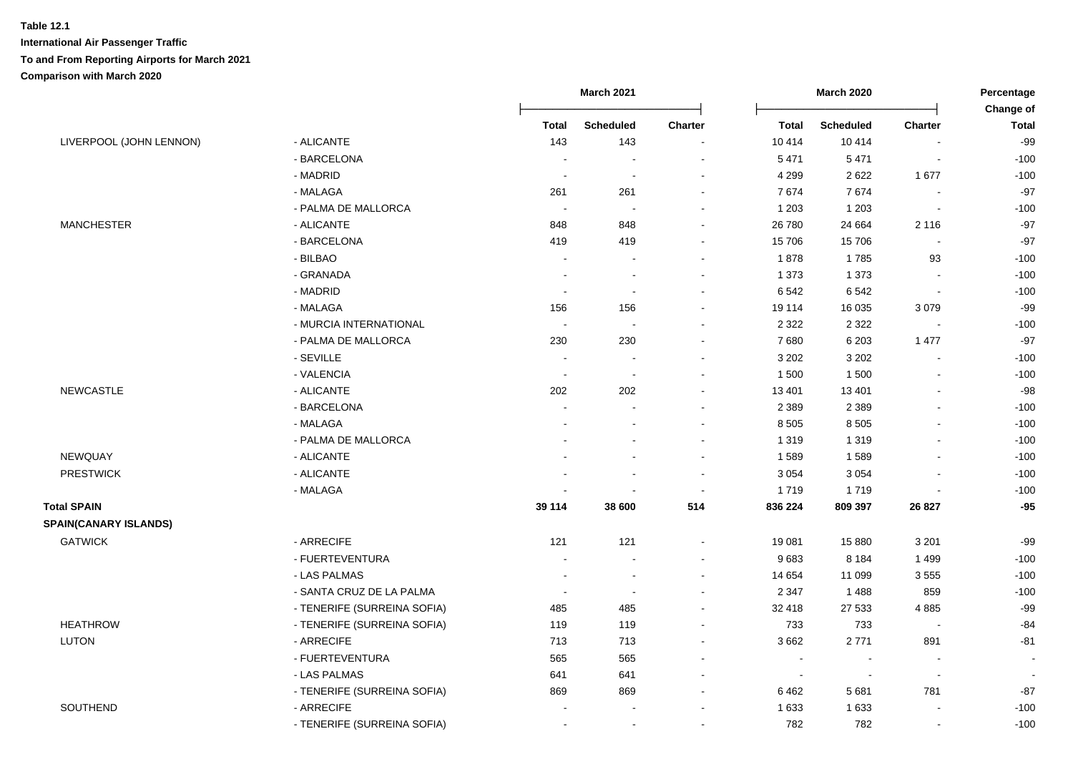| LIVERPOOL (JOHN LENNON)<br>- ALICANTE          | <b>Total</b><br>143<br>$\sim$ | <b>Scheduled</b><br>143  | Charter                  | <b>Total</b> | <b>Scheduled</b>         | Charter                  | Change of<br><b>Total</b> |
|------------------------------------------------|-------------------------------|--------------------------|--------------------------|--------------|--------------------------|--------------------------|---------------------------|
|                                                |                               |                          |                          |              |                          |                          |                           |
|                                                |                               |                          |                          | 10 4 14      | 10414                    |                          | $-99$                     |
| - BARCELONA                                    |                               |                          |                          | 5 4 7 1      | 5 4 7 1                  |                          | $-100$                    |
| - MADRID                                       |                               | J.                       |                          | 4 2 9 9      | 2622                     | 1677                     | $-100$                    |
| - MALAGA                                       | 261                           | 261                      |                          | 7674         | 7674                     | ÷,                       | $-97$                     |
| - PALMA DE MALLORCA                            | $\sim$                        | $\overline{\phantom{a}}$ |                          | 1 2 0 3      | 1 2 0 3                  | $\sim$                   | $-100$                    |
| <b>MANCHESTER</b><br>- ALICANTE                | 848                           | 848                      | $\overline{\phantom{a}}$ | 26 780       | 24 6 64                  | 2 1 1 6                  | $-97$                     |
| - BARCELONA                                    | 419                           | 419                      | $\sim$                   | 15 706       | 15706                    | $\overline{\phantom{a}}$ | $-97$                     |
| - BILBAO                                       |                               |                          | $\overline{\phantom{a}}$ | 1878         | 1785                     | 93                       | $-100$                    |
| - GRANADA                                      | $\overline{a}$                | ÷.                       | $\sim$                   | 1 3 7 3      | 1 3 7 3                  | $\blacksquare$           | $-100$                    |
| - MADRID                                       | $\overline{\phantom{a}}$      | $\overline{\phantom{a}}$ | $\sim$                   | 6 5 4 2      | 6542                     | L,                       | $-100$                    |
| - MALAGA                                       | 156                           | 156                      | $\blacksquare$           | 19 114       | 16 0 35                  | 3079                     | $-99$                     |
| - MURCIA INTERNATIONAL                         | $\sim$                        | $\sim$                   |                          | 2 3 2 2      | 2 3 2 2                  | $\sim$                   | $-100$                    |
| - PALMA DE MALLORCA                            | 230                           | 230                      |                          | 7680         | 6 2 0 3                  | 1 477                    | $-97$                     |
| - SEVILLE                                      |                               |                          |                          | 3 2 0 2      | 3 2 0 2                  |                          | $-100$                    |
| - VALENCIA                                     | $\overline{\phantom{a}}$      | $\overline{\phantom{a}}$ |                          | 1 500        | 1500                     | L,                       | $-100$                    |
| <b>NEWCASTLE</b><br>- ALICANTE                 | 202                           | 202                      |                          | 13 401       | 13 4 01                  | L,                       | $-98$                     |
| - BARCELONA                                    | $\blacksquare$                |                          |                          | 2 3 8 9      | 2 3 8 9                  | $\blacksquare$           | $-100$                    |
| - MALAGA                                       |                               |                          |                          | 8 5 0 5      | 8 5 0 5                  |                          | $-100$                    |
| - PALMA DE MALLORCA                            |                               |                          | $\sim$                   | 1 3 1 9      | 1 3 1 9                  | $\blacksquare$           | $-100$                    |
| NEWQUAY<br>- ALICANTE                          |                               |                          | $\sim$                   | 1589         | 1589                     |                          | $-100$                    |
| - ALICANTE<br><b>PRESTWICK</b>                 |                               |                          | $\blacksquare$           | 3 0 5 4      | 3 0 5 4                  |                          | $-100$                    |
| - MALAGA                                       |                               |                          | $\blacksquare$           | 1719         | 1719                     | $\overline{a}$           | $-100$                    |
| <b>Total SPAIN</b>                             | 39 114                        | 38 600                   | 514                      | 836 224      | 809 397                  | 26 8 27                  | $-95$                     |
| <b>SPAIN(CANARY ISLANDS)</b>                   |                               |                          |                          |              |                          |                          |                           |
| <b>GATWICK</b><br>- ARRECIFE                   | 121                           | 121                      |                          | 19 081       | 15 880                   | 3 2 0 1                  | $-99$                     |
| - FUERTEVENTURA                                | ÷,                            |                          |                          | 9683         | 8 1 8 4                  | 1499                     | $-100$                    |
| - LAS PALMAS                                   | $\overline{a}$                | ÷,                       | $\sim$                   | 14 654       | 11 099                   | 3555                     | $-100$                    |
| - SANTA CRUZ DE LA PALMA                       | $\overline{\phantom{a}}$      | $\overline{\phantom{a}}$ | $\sim$                   | 2 3 4 7      | 1488                     | 859                      | $-100$                    |
| - TENERIFE (SURREINA SOFIA)                    | 485                           | 485                      | $\sim$                   | 32 418       | 27 533                   | 4885                     | $-99$                     |
| <b>HEATHROW</b><br>- TENERIFE (SURREINA SOFIA) | 119                           | 119                      |                          | 733          | 733                      | $\overline{\phantom{a}}$ | $-84$                     |
| <b>LUTON</b><br>- ARRECIFE                     | 713                           | 713                      |                          | 3 6 6 2      | 2771                     | 891                      | $-81$                     |
| - FUERTEVENTURA                                | 565                           | 565                      |                          | $\sim$       | $\overline{\phantom{a}}$ | $\blacksquare$           | $\sim$                    |
| - LAS PALMAS                                   | 641                           | 641                      |                          | $\sim$       | $\overline{\phantom{a}}$ | $\sim$                   | $\overline{\phantom{a}}$  |
| - TENERIFE (SURREINA SOFIA)                    | 869                           | 869                      | $\overline{\phantom{a}}$ | 6462         | 5681                     | 781                      | $-87$                     |
| SOUTHEND<br>- ARRECIFE                         |                               |                          |                          | 1 6 3 3      | 1 6 3 3                  | $\overline{a}$           | $-100$                    |
| - TENERIFE (SURREINA SOFIA)                    |                               | $\sim$                   |                          | 782          | 782                      | $\blacksquare$           | $-100$                    |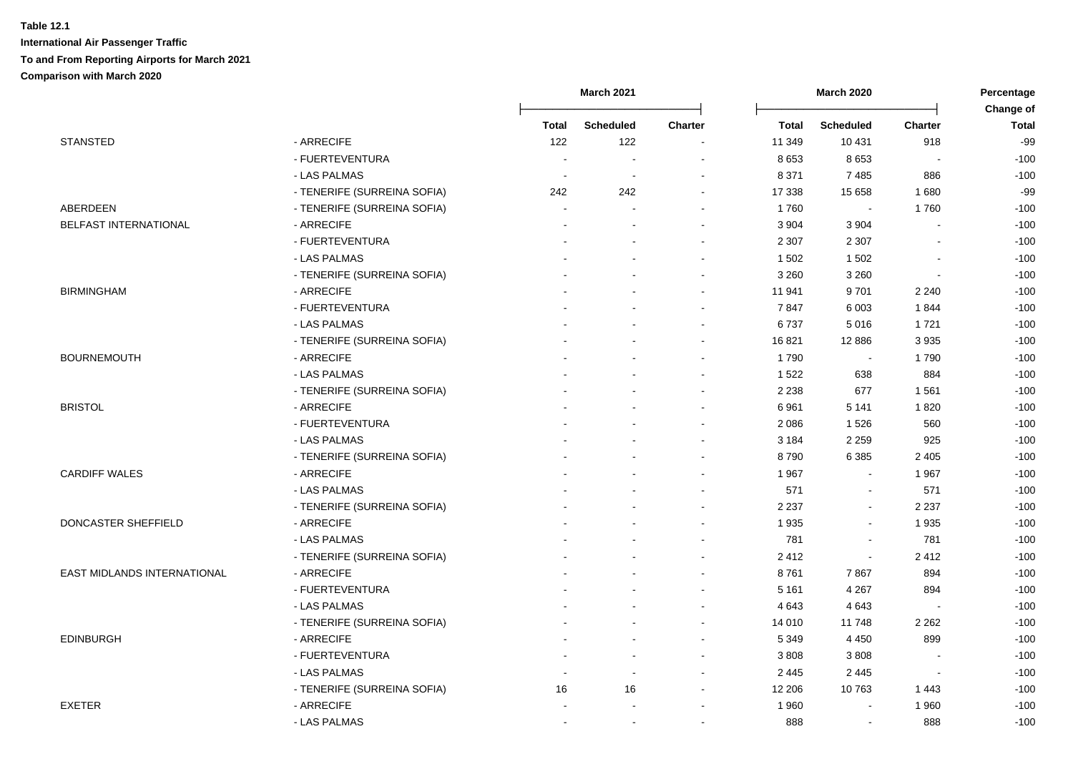|                              |                             |                          | March 2021       |                          |              | <b>March 2020</b> |                          | Percentage<br>Change of |  |
|------------------------------|-----------------------------|--------------------------|------------------|--------------------------|--------------|-------------------|--------------------------|-------------------------|--|
|                              |                             | Total                    | <b>Scheduled</b> | <b>Charter</b>           | <b>Total</b> | <b>Scheduled</b>  | <b>Charter</b>           | <b>Total</b>            |  |
| <b>STANSTED</b>              | - ARRECIFE                  | 122                      | 122              | $\overline{\phantom{a}}$ | 11 349       | 10 4 31           | 918                      | $-99$                   |  |
|                              | - FUERTEVENTURA             | ÷,                       | $\sim$           |                          | 8 6 5 3      | 8653              | $\sim$                   | $-100$                  |  |
|                              | - LAS PALMAS                | $\overline{\phantom{a}}$ |                  |                          | 8 3 7 1      | 7485              | 886                      | $-100$                  |  |
|                              | - TENERIFE (SURREINA SOFIA) | 242                      | 242              | $\blacksquare$           | 17 338       | 15 658            | 1680                     | $-99$                   |  |
| ABERDEEN                     | - TENERIFE (SURREINA SOFIA) | $\sim$                   |                  | $\blacksquare$           | 1760         | $\blacksquare$    | 1760                     | $-100$                  |  |
| <b>BELFAST INTERNATIONAL</b> | - ARRECIFE                  |                          |                  | $\sim$                   | 3 9 0 4      | 3 9 0 4           |                          | $-100$                  |  |
|                              | - FUERTEVENTURA             |                          |                  | $\blacksquare$           | 2 3 0 7      | 2 3 0 7           |                          | $-100$                  |  |
|                              | - LAS PALMAS                |                          |                  | $\blacksquare$           | 1 502        | 1 5 0 2           |                          | $-100$                  |  |
|                              | - TENERIFE (SURREINA SOFIA) |                          |                  | $\blacksquare$           | 3 2 6 0      | 3 2 6 0           | $\overline{\phantom{a}}$ | $-100$                  |  |
| <b>BIRMINGHAM</b>            | - ARRECIFE                  |                          |                  | $\blacksquare$           | 11 941       | 9701              | 2 2 4 0                  | $-100$                  |  |
|                              | - FUERTEVENTURA             |                          |                  | $\sim$                   | 7847         | 6 0 0 3           | 1844                     | $-100$                  |  |
|                              | - LAS PALMAS                |                          |                  | $\blacksquare$           | 6737         | 5016              | 1721                     | $-100$                  |  |
|                              | - TENERIFE (SURREINA SOFIA) |                          |                  | $\sim$                   | 16821        | 12 8 86           | 3935                     | $-100$                  |  |
| <b>BOURNEMOUTH</b>           | - ARRECIFE                  |                          |                  | $\blacksquare$           | 1790         | $\sim$            | 1790                     | $-100$                  |  |
|                              | - LAS PALMAS                |                          |                  |                          | 1 5 2 2      | 638               | 884                      | $-100$                  |  |
|                              | - TENERIFE (SURREINA SOFIA) |                          |                  |                          | 2 2 3 8      | 677               | 1 5 6 1                  | $-100$                  |  |
| <b>BRISTOL</b>               | - ARRECIFE                  |                          |                  |                          | 6961         | 5 1 4 1           | 1820                     | $-100$                  |  |
|                              | - FUERTEVENTURA             |                          |                  |                          | 2 0 8 6      | 1526              | 560                      | $-100$                  |  |
|                              | - LAS PALMAS                |                          |                  | $\sim$                   | 3 1 8 4      | 2 2 5 9           | 925                      | $-100$                  |  |
|                              | - TENERIFE (SURREINA SOFIA) |                          |                  | $\sim$                   | 8790         | 6 3 8 5           | 2 4 0 5                  | $-100$                  |  |
| <b>CARDIFF WALES</b>         | - ARRECIFE                  |                          |                  | $\sim$                   | 1967         | $\sim$            | 1967                     | $-100$                  |  |
|                              | - LAS PALMAS                |                          |                  | $\overline{\phantom{a}}$ | 571          | $\sim$            | 571                      | $-100$                  |  |
|                              | - TENERIFE (SURREINA SOFIA) |                          |                  | $\sim$                   | 2 2 3 7      | $\blacksquare$    | 2 2 3 7                  | $-100$                  |  |
| DONCASTER SHEFFIELD          | - ARRECIFE                  |                          |                  |                          | 1935         | $\sim$            | 1935                     | $-100$                  |  |
|                              | - LAS PALMAS                |                          |                  | $\sim$                   | 781          | $\blacksquare$    | 781                      | $-100$                  |  |
|                              | - TENERIFE (SURREINA SOFIA) |                          |                  | $\sim$                   | 2412         | $\blacksquare$    | 2412                     | $-100$                  |  |
| EAST MIDLANDS INTERNATIONAL  | - ARRECIFE                  |                          |                  | $\blacksquare$           | 8761         | 7867              | 894                      | $-100$                  |  |
|                              | - FUERTEVENTURA             |                          |                  | $\blacksquare$           | 5 1 6 1      | 4 2 6 7           | 894                      | $-100$                  |  |
|                              | - LAS PALMAS                |                          |                  | $\blacksquare$           | 4 6 4 3      | 4643              |                          | $-100$                  |  |
|                              | - TENERIFE (SURREINA SOFIA) |                          |                  |                          | 14 010       | 11748             | 2 2 6 2                  | $-100$                  |  |
| <b>EDINBURGH</b>             | - ARRECIFE                  |                          |                  |                          | 5 3 4 9      | 4 4 5 0           | 899                      | $-100$                  |  |
|                              | - FUERTEVENTURA             |                          |                  | $\sim$                   | 3 8 0 8      | 3808              |                          | $-100$                  |  |
|                              | - LAS PALMAS                | $\overline{a}$           |                  | $\sim$                   | 2 4 4 5      | 2 4 4 5           | $\sim$                   | $-100$                  |  |
|                              | - TENERIFE (SURREINA SOFIA) | 16                       | 16               | $\sim$                   | 12 206       | 10763             | 1443                     | $-100$                  |  |
| <b>EXETER</b>                | - ARRECIFE                  |                          |                  | $\overline{\phantom{a}}$ | 1 960        | $\blacksquare$    | 1960                     | $-100$                  |  |
|                              | - LAS PALMAS                | $\blacksquare$           |                  | $\overline{\phantom{a}}$ | 888          | $\blacksquare$    | 888                      | $-100$                  |  |
|                              |                             |                          |                  |                          |              |                   |                          |                         |  |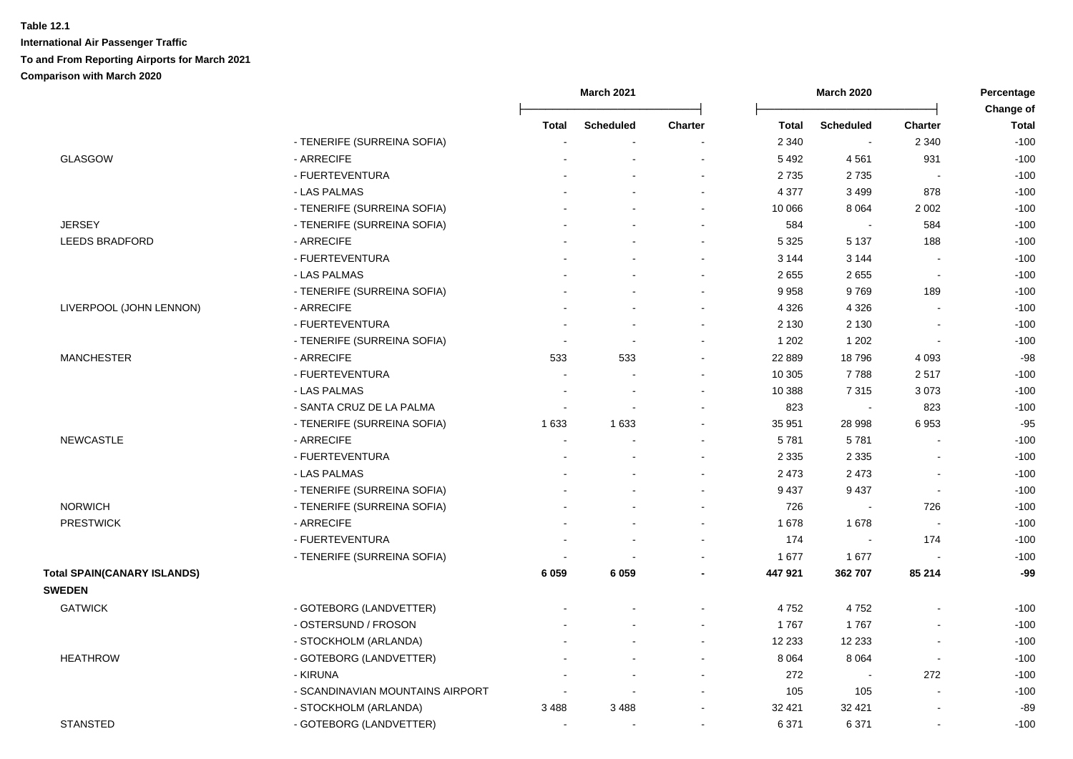|                                    |                                  | March 2021               |                          |                | <b>March 2020</b> |                  |                          | Percentage                |
|------------------------------------|----------------------------------|--------------------------|--------------------------|----------------|-------------------|------------------|--------------------------|---------------------------|
|                                    |                                  | Total                    | <b>Scheduled</b>         | <b>Charter</b> | <b>Total</b>      | <b>Scheduled</b> | <b>Charter</b>           | Change of<br><b>Total</b> |
|                                    | - TENERIFE (SURREINA SOFIA)      |                          |                          |                | 2 3 4 0           | $\sim$           | 2 3 4 0                  | $-100$                    |
| <b>GLASGOW</b>                     | - ARRECIFE                       |                          |                          |                | 5 4 9 2           | 4561             | 931                      | $-100$                    |
|                                    | - FUERTEVENTURA                  |                          |                          |                | 2735              | 2735             |                          | $-100$                    |
|                                    | - LAS PALMAS                     |                          |                          |                | 4 3 7 7           | 3 4 9 9          | 878                      | $-100$                    |
|                                    | - TENERIFE (SURREINA SOFIA)      |                          |                          |                | 10 066            | 8 0 6 4          | 2 0 0 2                  | $-100$                    |
| <b>JERSEY</b>                      | - TENERIFE (SURREINA SOFIA)      |                          |                          |                | 584               | $\sim$           | 584                      | $-100$                    |
| <b>LEEDS BRADFORD</b>              | - ARRECIFE                       |                          |                          |                | 5 3 2 5           | 5 1 3 7          | 188                      | $-100$                    |
|                                    | - FUERTEVENTURA                  |                          |                          |                | 3 1 4 4           | 3 1 4 4          | $\sim$                   | $-100$                    |
|                                    | - LAS PALMAS                     |                          |                          |                | 2655              | 2655             | $\sim$                   | $-100$                    |
|                                    | - TENERIFE (SURREINA SOFIA)      |                          |                          | $\sim$         | 9 9 5 8           | 9769             | 189                      | $-100$                    |
| LIVERPOOL (JOHN LENNON)            | - ARRECIFE                       |                          |                          |                | 4 3 2 6           | 4 3 2 6          |                          | $-100$                    |
|                                    | - FUERTEVENTURA                  |                          |                          |                | 2 1 3 0           | 2 1 3 0          |                          | $-100$                    |
|                                    | - TENERIFE (SURREINA SOFIA)      |                          | $\sim$                   |                | 1 202             | 1 2 0 2          | $\blacksquare$           | $-100$                    |
| <b>MANCHESTER</b>                  | - ARRECIFE                       | 533                      | 533                      |                | 22 8 89           | 18796            | 4 0 9 3                  | $-98$                     |
|                                    | - FUERTEVENTURA                  |                          |                          |                | 10 305            | 7788             | 2517                     | $-100$                    |
|                                    | - LAS PALMAS                     |                          | $\overline{\phantom{a}}$ |                | 10 388            | 7315             | 3073                     | $-100$                    |
|                                    | - SANTA CRUZ DE LA PALMA         |                          |                          |                | 823               | $\sim$           | 823                      | $-100$                    |
|                                    | - TENERIFE (SURREINA SOFIA)      | 1 6 3 3                  | 1633                     |                | 35 951            | 28 998           | 6953                     | $-95$                     |
| <b>NEWCASTLE</b>                   | - ARRECIFE                       |                          |                          |                | 5781              | 5781             |                          | $-100$                    |
|                                    | - FUERTEVENTURA                  |                          |                          |                | 2 3 3 5           | 2 3 3 5          |                          | $-100$                    |
|                                    | - LAS PALMAS                     |                          |                          |                | 2 4 7 3           | 2 4 7 3          | $\overline{a}$           | $-100$                    |
|                                    | - TENERIFE (SURREINA SOFIA)      |                          |                          |                | 9 4 3 7           | 9 4 3 7          | $\blacksquare$           | $-100$                    |
| <b>NORWICH</b>                     | - TENERIFE (SURREINA SOFIA)      |                          |                          | $\sim$         | 726               | $\blacksquare$   | 726                      | $-100$                    |
| <b>PRESTWICK</b>                   | - ARRECIFE                       |                          |                          |                | 1 678             | 1678             |                          | $-100$                    |
|                                    | - FUERTEVENTURA                  |                          |                          |                | 174               | $\blacksquare$   | 174                      | $-100$                    |
|                                    | - TENERIFE (SURREINA SOFIA)      |                          |                          |                | 1677              | 1677             |                          | $-100$                    |
| <b>Total SPAIN(CANARY ISLANDS)</b> |                                  | 6 0 5 9                  | 6059                     |                | 447 921           | 362 707          | 85 214                   | -99                       |
| <b>SWEDEN</b>                      |                                  |                          |                          |                |                   |                  |                          |                           |
| <b>GATWICK</b>                     | - GOTEBORG (LANDVETTER)          |                          |                          |                | 4752              | 4752             |                          | $-100$                    |
|                                    | - OSTERSUND / FROSON             |                          |                          |                | 1767              | 1767             |                          | $-100$                    |
|                                    | - STOCKHOLM (ARLANDA)            |                          |                          |                | 12 2 3 3          | 12 2 33          | $\overline{\phantom{a}}$ | $-100$                    |
| <b>HEATHROW</b>                    | - GOTEBORG (LANDVETTER)          |                          |                          |                | 8 0 64            | 8 0 6 4          | $\overline{a}$           | $-100$                    |
|                                    | - KIRUNA                         |                          |                          |                | 272               | $\sim$           | 272                      | $-100$                    |
|                                    | - SCANDINAVIAN MOUNTAINS AIRPORT | $\overline{\phantom{a}}$ | $\sim$                   |                | 105               | 105              | L,                       | $-100$                    |
|                                    | - STOCKHOLM (ARLANDA)            | 3488                     | 3 4 8 8                  |                | 32 4 21           | 32 4 21          | $\overline{\phantom{a}}$ | $-89$                     |
| <b>STANSTED</b>                    | - GOTEBORG (LANDVETTER)          | $\blacksquare$           | $\sim$                   |                | 6 3 7 1           | 6 3 7 1          | $\blacksquare$           | $-100$                    |
|                                    |                                  |                          |                          |                |                   |                  |                          |                           |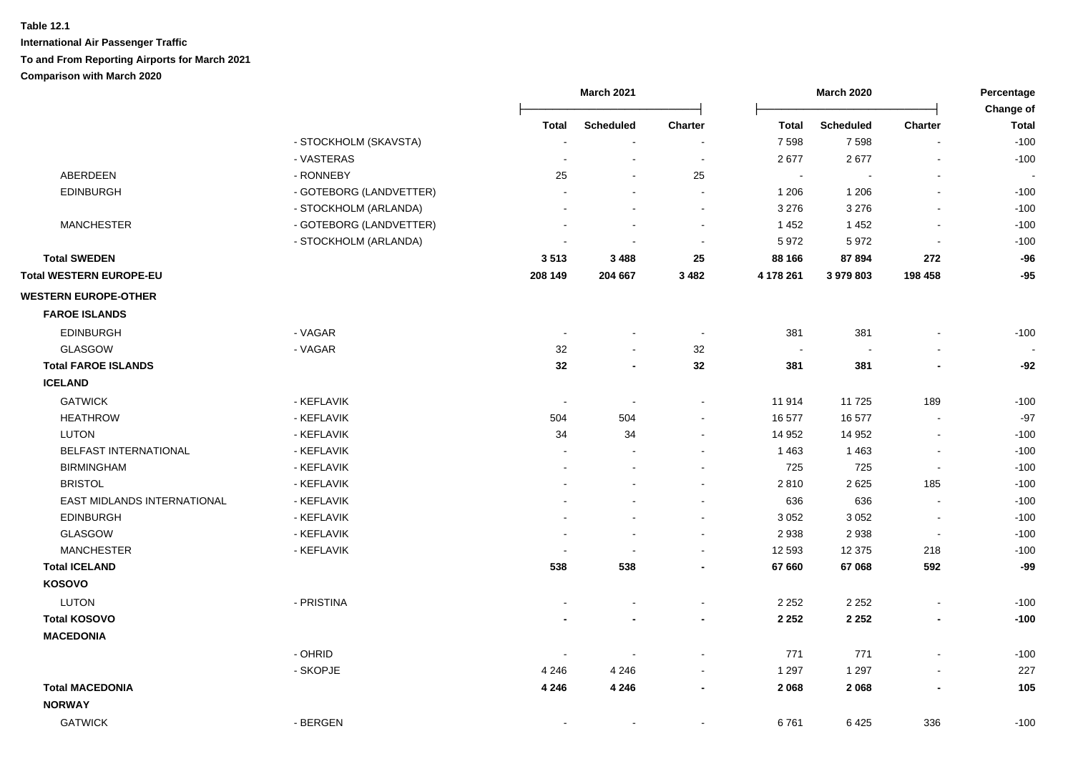|                             |                         |         | <b>March 2021</b>        |                |              | <b>March 2020</b> |                          | Percentage<br>Change of |  |
|-----------------------------|-------------------------|---------|--------------------------|----------------|--------------|-------------------|--------------------------|-------------------------|--|
|                             |                         | Total   | <b>Scheduled</b>         | Charter        | <b>Total</b> | <b>Scheduled</b>  | Charter                  | <b>Total</b>            |  |
|                             | - STOCKHOLM (SKAVSTA)   |         | $\blacksquare$           |                | 7 5 9 8      | 7598              |                          | $-100$                  |  |
|                             | - VASTERAS              |         | $\blacksquare$           |                | 2677         | 2677              |                          | $-100$                  |  |
| ABERDEEN                    | - RONNEBY               | 25      |                          | 25             | $\sim$       |                   |                          |                         |  |
| <b>EDINBURGH</b>            | - GOTEBORG (LANDVETTER) |         |                          |                | 1 206        | 1 2 0 6           |                          | $-100$                  |  |
|                             | - STOCKHOLM (ARLANDA)   |         |                          | $\overline{a}$ | 3 2 7 6      | 3 2 7 6           | $\sim$                   | $-100$                  |  |
| <b>MANCHESTER</b>           | - GOTEBORG (LANDVETTER) |         | $\blacksquare$           | $\blacksquare$ | 1 4 5 2      | 1452              | $\sim$                   | $-100$                  |  |
|                             | - STOCKHOLM (ARLANDA)   |         | $\blacksquare$           | $\blacksquare$ | 5 9 7 2      | 5972              | $\overline{\phantom{a}}$ | $-100$                  |  |
| <b>Total SWEDEN</b>         |                         | 3513    | 3488                     | 25             | 88 166       | 87894             | 272                      | $-96$                   |  |
| Total WESTERN EUROPE-EU     |                         | 208 149 | 204 667                  | 3482           | 4 178 261    | 3 979 803         | 198 458                  | $-95$                   |  |
| <b>WESTERN EUROPE-OTHER</b> |                         |         |                          |                |              |                   |                          |                         |  |
| <b>FAROE ISLANDS</b>        |                         |         |                          |                |              |                   |                          |                         |  |
| <b>EDINBURGH</b>            | - VAGAR                 | $\sim$  | $\blacksquare$           |                | 381          | 381               |                          | $-100$                  |  |
| <b>GLASGOW</b>              | - VAGAR                 | 32      | ä,                       | 32             | $\sim$       |                   |                          |                         |  |
| <b>Total FAROE ISLANDS</b>  |                         | 32      | $\blacksquare$           | 32             | 381          | 381               |                          | $-92$                   |  |
| <b>ICELAND</b>              |                         |         |                          |                |              |                   |                          |                         |  |
| <b>GATWICK</b>              | - KEFLAVIK              | $\sim$  | $\sim$                   | $\sim$         | 11 914       | 11725             | 189                      | $-100$                  |  |
| <b>HEATHROW</b>             | - KEFLAVIK              | 504     | 504                      | $\sim$         | 16 577       | 16 577            |                          | $-97$                   |  |
| LUTON                       | - KEFLAVIK              | 34      | 34                       | $\sim$         | 14 952       | 14 952            |                          | $-100$                  |  |
| BELFAST INTERNATIONAL       | - KEFLAVIK              |         |                          |                | 1 4 6 3      | 1 4 6 3           |                          | $-100$                  |  |
| <b>BIRMINGHAM</b>           | - KEFLAVIK              |         |                          |                | 725          | 725               |                          | $-100$                  |  |
| <b>BRISTOL</b>              | - KEFLAVIK              |         |                          |                | 2810         | 2625              | 185                      | $-100$                  |  |
| EAST MIDLANDS INTERNATIONAL | - KEFLAVIK              |         |                          | $\sim$         | 636          | 636               | $\blacksquare$           | $-100$                  |  |
| <b>EDINBURGH</b>            | - KEFLAVIK              |         | $\overline{a}$           | $\blacksquare$ | 3 0 5 2      | 3 0 5 2           | $\blacksquare$           | $-100$                  |  |
| <b>GLASGOW</b>              | - KEFLAVIK              |         | $\sim$                   | $\blacksquare$ | 2 9 3 8      | 2938              | $\blacksquare$           | $-100$                  |  |
| <b>MANCHESTER</b>           | - KEFLAVIK              |         |                          | $\sim$         | 12 593       | 12 375            | 218                      | $-100$                  |  |
| <b>Total ICELAND</b>        |                         | 538     | 538                      | $\blacksquare$ | 67 660       | 67 068            | 592                      | $-99$                   |  |
| KOSOVO                      |                         |         |                          |                |              |                   |                          |                         |  |
| LUTON                       | - PRISTINA              |         |                          | $\sim$         | 2 2 5 2      | 2 2 5 2           | $\sim$                   | $-100$                  |  |
| <b>Total KOSOVO</b>         |                         |         |                          | $\blacksquare$ | 2 2 5 2      | 2 2 5 2           | $\blacksquare$           | $-100$                  |  |
| <b>MACEDONIA</b>            |                         |         |                          |                |              |                   |                          |                         |  |
|                             | - OHRID                 |         |                          |                | 771          | 771               |                          | $-100$                  |  |
|                             | - SKOPJE                | 4 2 4 6 | 4 2 4 6                  | $\sim$         | 1 2 9 7      | 1 2 9 7           | $\overline{\phantom{a}}$ | 227                     |  |
| <b>Total MACEDONIA</b>      |                         | 4 2 4 6 | 4 2 4 6                  | $\blacksquare$ | 2 0 6 8      | 2068              |                          | 105                     |  |
| <b>NORWAY</b>               |                         |         |                          |                |              |                   |                          |                         |  |
| <b>GATWICK</b>              | - BERGEN                |         | $\overline{\phantom{a}}$ | $\blacksquare$ | 6761         | 6425              | 336                      | $-100$                  |  |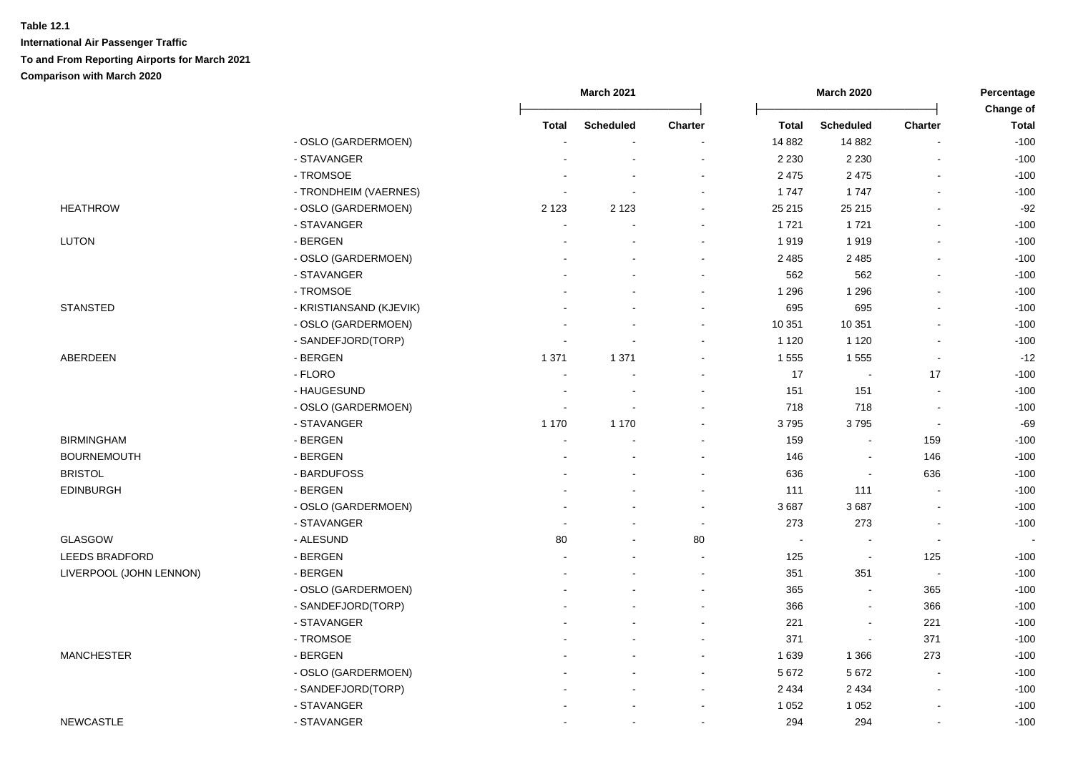|                         |                         | March 2021 |                  |                          |              | <b>March 2020</b>        | Percentage<br>Change of  |                          |
|-------------------------|-------------------------|------------|------------------|--------------------------|--------------|--------------------------|--------------------------|--------------------------|
|                         |                         | Total      | <b>Scheduled</b> | <b>Charter</b>           | <b>Total</b> | <b>Scheduled</b>         | <b>Charter</b>           | <b>Total</b>             |
|                         | - OSLO (GARDERMOEN)     |            |                  |                          | 14 8 82      | 14 8 82                  |                          | $-100$                   |
|                         | - STAVANGER             |            |                  | $\blacksquare$           | 2 2 3 0      | 2 2 3 0                  |                          | $-100$                   |
|                         | - TROMSOE               |            |                  |                          | 2 4 7 5      | 2 4 7 5                  |                          | $-100$                   |
|                         | - TRONDHEIM (VAERNES)   |            |                  |                          | 1747         | 1747                     | $\overline{\phantom{a}}$ | $-100$                   |
| <b>HEATHROW</b>         | - OSLO (GARDERMOEN)     | 2 1 2 3    | 2 1 2 3          | $\blacksquare$           | 25 215       | 25 215                   | $\overline{\phantom{a}}$ | $-92$                    |
|                         | - STAVANGER             |            |                  | $\blacksquare$           | 1721         | 1721                     | $\blacksquare$           | $-100$                   |
| <b>LUTON</b>            | - BERGEN                |            |                  | $\blacksquare$           | 1919         | 1919                     | $\blacksquare$           | $-100$                   |
|                         | - OSLO (GARDERMOEN)     |            |                  | $\blacksquare$           | 2 4 8 5      | 2 4 8 5                  | $\blacksquare$           | $-100$                   |
|                         | - STAVANGER             |            |                  | $\overline{\phantom{a}}$ | 562          | 562                      | $\blacksquare$           | $-100$                   |
|                         | - TROMSOE               |            |                  | $\blacksquare$           | 1 2 9 6      | 1 2 9 6                  |                          | $-100$                   |
| <b>STANSTED</b>         | - KRISTIANSAND (KJEVIK) |            |                  | $\blacksquare$           | 695          | 695                      |                          | $-100$                   |
|                         | - OSLO (GARDERMOEN)     |            |                  | $\blacksquare$           | 10 351       | 10 351                   | $\overline{a}$           | $-100$                   |
|                         | - SANDEFJORD(TORP)      |            |                  | $\sim$                   | 1 1 2 0      | 1 1 2 0                  | $\overline{\phantom{a}}$ | $-100$                   |
| ABERDEEN                | - BERGEN                | 1 3 7 1    | 1 3 7 1          | $\blacksquare$           | 1 5 5 5      | 1555                     | $\overline{a}$           | $-12$                    |
|                         | - FLORO                 |            |                  | $\blacksquare$           | 17           | $\blacksquare$           | 17                       | $-100$                   |
|                         | - HAUGESUND             |            |                  |                          | 151          | 151                      |                          | $-100$                   |
|                         | - OSLO (GARDERMOEN)     |            |                  |                          | 718          | 718                      | L,                       | $-100$                   |
|                         | - STAVANGER             | 1 1 7 0    | 1 1 7 0          | $\blacksquare$           | 3795         | 3795                     | $\blacksquare$           | $-69$                    |
| <b>BIRMINGHAM</b>       | - BERGEN                | $\sim$     |                  | $\blacksquare$           | 159          | $\blacksquare$           | 159                      | $-100$                   |
| <b>BOURNEMOUTH</b>      | - BERGEN                |            |                  | $\blacksquare$           | 146          | $\overline{\phantom{a}}$ | 146                      | $-100$                   |
| <b>BRISTOL</b>          | - BARDUFOSS             |            |                  | $\blacksquare$           | 636          | $\overline{\phantom{a}}$ | 636                      | $-100$                   |
| <b>EDINBURGH</b>        | - BERGEN                |            |                  | $\overline{\phantom{a}}$ | 111          | 111                      | $\blacksquare$           | $-100$                   |
|                         | - OSLO (GARDERMOEN)     |            |                  | $\sim$                   | 3687         | 3687                     |                          | $-100$                   |
|                         | - STAVANGER             |            |                  | $\tilde{\phantom{a}}$    | 273          | 273                      |                          | $-100$                   |
| <b>GLASGOW</b>          | - ALESUND               | 80         |                  | 80                       | $\sim$       | $\overline{a}$           | $\overline{\phantom{a}}$ | $\overline{\phantom{a}}$ |
| <b>LEEDS BRADFORD</b>   | - BERGEN                |            |                  | $\sim$                   | 125          | $\sim$                   | 125                      | $-100$                   |
| LIVERPOOL (JOHN LENNON) | - BERGEN                |            |                  | $\blacksquare$           | 351          | 351                      | $\blacksquare$           | $-100$                   |
|                         | - OSLO (GARDERMOEN)     |            |                  | $\blacksquare$           | 365          | $\overline{\phantom{a}}$ | 365                      | $-100$                   |
|                         | - SANDEFJORD(TORP)      |            |                  |                          | 366          | $\blacksquare$           | 366                      | $-100$                   |
|                         | - STAVANGER             |            |                  |                          | 221          | $\blacksquare$           | 221                      | $-100$                   |
|                         | - TROMSOE               |            |                  | ÷                        | 371          | $\overline{\phantom{a}}$ | 371                      | $-100$                   |
| <b>MANCHESTER</b>       | - BERGEN                |            |                  | $\blacksquare$           | 1 6 3 9      | 1 3 6 6                  | 273                      | $-100$                   |
|                         | - OSLO (GARDERMOEN)     |            |                  | $\blacksquare$           | 5 6 7 2      | 5 6 7 2                  | $\blacksquare$           | $-100$                   |
|                         | - SANDEFJORD(TORP)      |            |                  | $\blacksquare$           | 2 4 3 4      | 2 4 3 4                  | $\overline{a}$           | $-100$                   |
|                         | - STAVANGER             |            |                  | $\blacksquare$           | 1 0 5 2      | 1 0 5 2                  |                          | $-100$                   |
| <b>NEWCASTLE</b>        | - STAVANGER             |            |                  | $\sim$                   | 294          | 294                      | L,                       | $-100$                   |
|                         |                         |            |                  |                          |              |                          |                          |                          |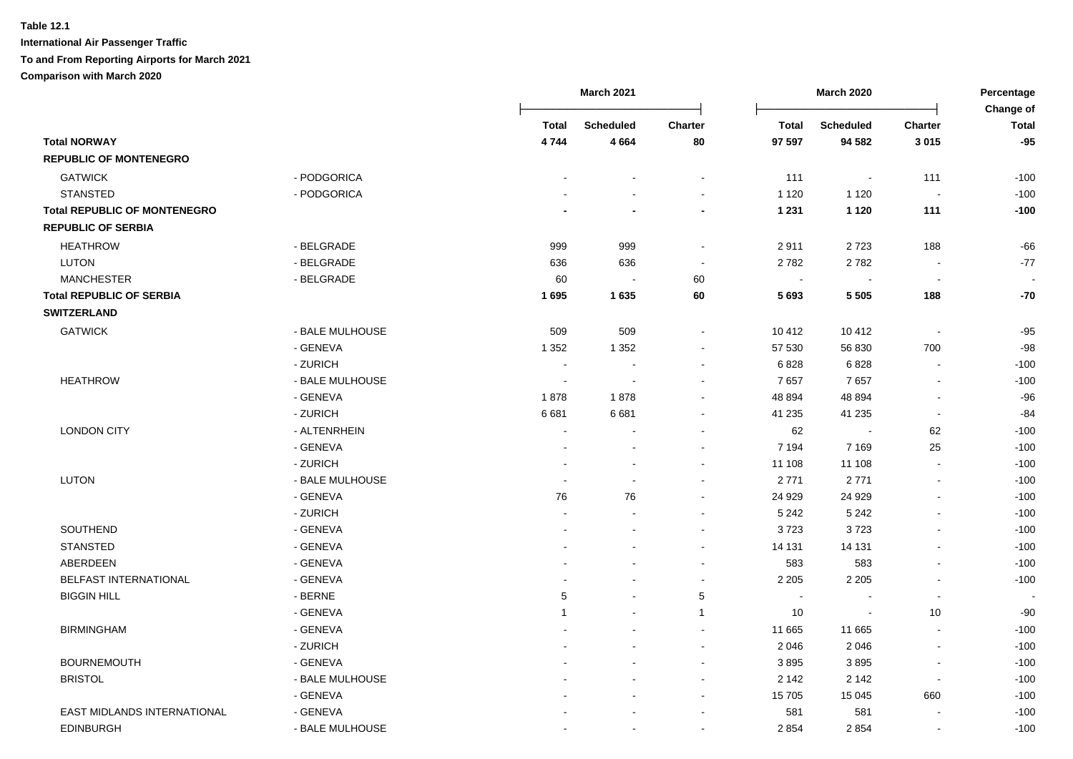|                                     |                 |                          | <b>March 2021</b>        |                          |                | <b>March 2020</b> |                          | Percentage<br>Change of |
|-------------------------------------|-----------------|--------------------------|--------------------------|--------------------------|----------------|-------------------|--------------------------|-------------------------|
|                                     |                 | Total                    | <b>Scheduled</b>         | Charter                  | <b>Total</b>   | <b>Scheduled</b>  | <b>Charter</b>           | <b>Total</b>            |
| <b>Total NORWAY</b>                 |                 | 4744                     | 4664                     | 80                       | 97 597         | 94 582            | 3015                     | $-95$                   |
| <b>REPUBLIC OF MONTENEGRO</b>       |                 |                          |                          |                          |                |                   |                          |                         |
| <b>GATWICK</b>                      | - PODGORICA     |                          |                          |                          | 111            | $\sim$            | 111                      | $-100$                  |
| <b>STANSTED</b>                     | - PODGORICA     |                          |                          | $\blacksquare$           | 1 1 2 0        | 1 1 2 0           | $\sim$                   | $-100$                  |
| <b>Total REPUBLIC OF MONTENEGRO</b> |                 |                          |                          | $\blacksquare$           | 1 2 3 1        | 1 1 2 0           | 111                      | $-100$                  |
| <b>REPUBLIC OF SERBIA</b>           |                 |                          |                          |                          |                |                   |                          |                         |
| <b>HEATHROW</b>                     | - BELGRADE      | 999                      | 999                      | $\overline{\phantom{a}}$ | 2911           | 2723              | 188                      | $-66$                   |
| LUTON                               | - BELGRADE      | 636                      | 636                      | $\sim$                   | 2782           | 2782              | $\blacksquare$           | $-77$                   |
| <b>MANCHESTER</b>                   | - BELGRADE      | 60                       | $\blacksquare$           | 60                       | $\blacksquare$ |                   | $\blacksquare$           |                         |
| <b>Total REPUBLIC OF SERBIA</b>     |                 | 1695                     | 1635                     | 60                       | 5693           | 5 5 0 5           | 188                      | $-70$                   |
| <b>SWITZERLAND</b>                  |                 |                          |                          |                          |                |                   |                          |                         |
| <b>GATWICK</b>                      | - BALE MULHOUSE | 509                      | 509                      | $\sim$                   | 10 412         | 10 412            | $\overline{\phantom{a}}$ | $-95$                   |
|                                     | - GENEVA        | 1 3 5 2                  | 1 3 5 2                  | $\blacksquare$           | 57 530         | 56 830            | 700                      | $-98$                   |
|                                     | - ZURICH        | $\overline{\phantom{a}}$ | $\blacksquare$           | $\sim$                   | 6828           | 6828              | $\blacksquare$           | $-100$                  |
| <b>HEATHROW</b>                     | - BALE MULHOUSE | $\blacksquare$           | $\overline{\phantom{a}}$ |                          | 7657           | 7657              | $\blacksquare$           | $-100$                  |
|                                     | - GENEVA        | 1878                     | 1878                     |                          | 48 894         | 48 894            | $\blacksquare$           | $-96$                   |
|                                     | - ZURICH        | 6681                     | 6681                     |                          | 41 235         | 41 235            | $\overline{\phantom{a}}$ | $-84$                   |
| <b>LONDON CITY</b>                  | - ALTENRHEIN    |                          |                          |                          | 62             |                   | 62                       | $-100$                  |
|                                     | - GENEVA        |                          |                          |                          | 7 1 9 4        | 7 1 6 9           | 25                       | $-100$                  |
|                                     | - ZURICH        |                          |                          |                          | 11 108         | 11 108            | $\sim$                   | $-100$                  |
| LUTON                               | - BALE MULHOUSE | $\blacksquare$           |                          |                          | 2771           | 2771              | $\blacksquare$           | $-100$                  |
|                                     | - GENEVA        | 76                       | 76                       | $\sim$                   | 24 9 29        | 24 9 29           | ä,                       | $-100$                  |
|                                     | - ZURICH        | $\blacksquare$           |                          |                          | 5 2 4 2        | 5 2 4 2           | $\blacksquare$           | $-100$                  |
| SOUTHEND                            | - GENEVA        |                          |                          | $\blacksquare$           | 3723           | 3723              |                          | $-100$                  |
| <b>STANSTED</b>                     | - GENEVA        |                          |                          | $\sim$                   | 14 131         | 14 131            | $\overline{a}$           | $-100$                  |
| ABERDEEN                            | - GENEVA        |                          |                          | $\overline{\phantom{a}}$ | 583            | 583               | ä,                       | $-100$                  |
| BELFAST INTERNATIONAL               | - GENEVA        |                          |                          | $\blacksquare$           | 2 2 0 5        | 2 2 0 5           | $\blacksquare$           | $-100$                  |
| <b>BIGGIN HILL</b>                  | - BERNE         | 5                        |                          | 5                        | ÷,             |                   | $\sim$                   |                         |
|                                     | - GENEVA        | $\mathbf 1$              |                          | $\mathbf{1}$             | 10             |                   | 10                       | $-90$                   |
| <b>BIRMINGHAM</b>                   | - GENEVA        |                          |                          | $\sim$                   | 11 665         | 11 665            | $\sim$                   | $-100$                  |
|                                     | - ZURICH        |                          |                          | $\sim$                   | 2 0 4 6        | 2 0 4 6           | $\overline{\phantom{a}}$ | $-100$                  |
| <b>BOURNEMOUTH</b>                  | - GENEVA        |                          |                          | $\sim$                   | 3895           | 3895              | $\blacksquare$           | $-100$                  |
| <b>BRISTOL</b>                      | - BALE MULHOUSE |                          |                          | $\blacksquare$           | 2 142          | 2 1 4 2           | $\blacksquare$           | $-100$                  |
|                                     | - GENEVA        |                          |                          | $\sim$                   | 15 705         | 15 045            | 660                      | $-100$                  |
| <b>EAST MIDLANDS INTERNATIONAL</b>  | - GENEVA        |                          |                          |                          | 581            | 581               |                          | $-100$                  |
| <b>EDINBURGH</b>                    | - BALE MULHOUSE |                          |                          | $\sim$                   | 2 8 5 4        | 2854              | $\sim$                   | $-100$                  |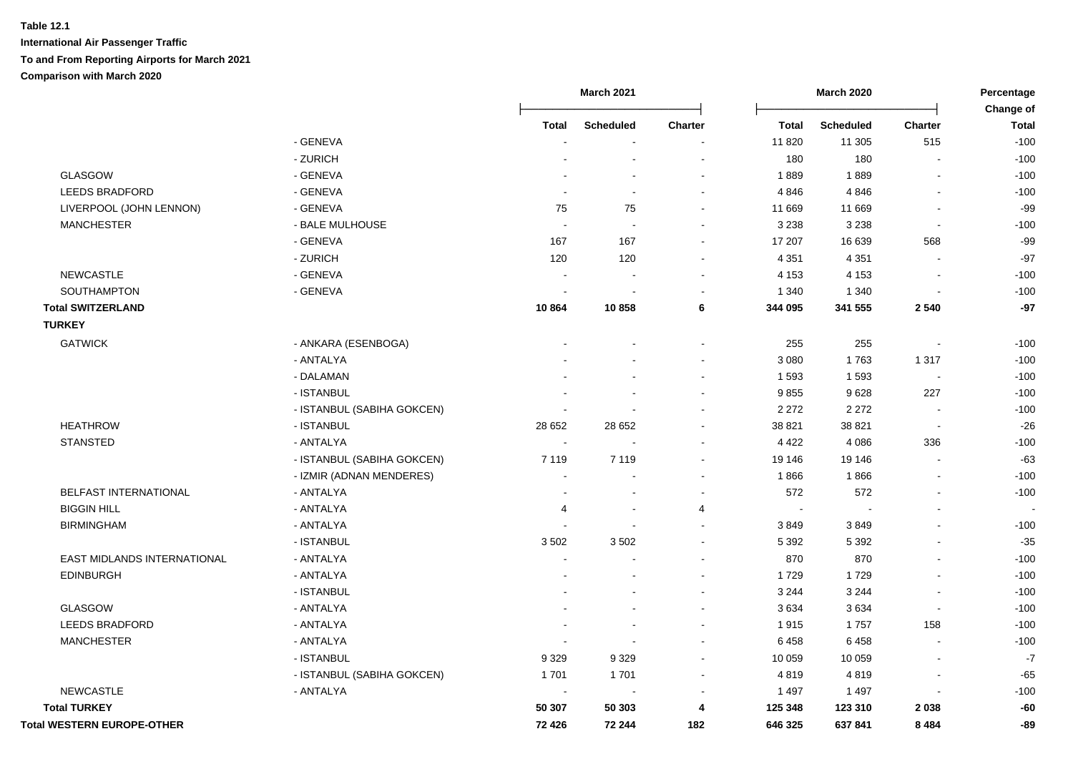|                                   |                            |                | <b>March 2021</b> |                          |                        | <b>March 2020</b>          |                          | Percentage             |  |
|-----------------------------------|----------------------------|----------------|-------------------|--------------------------|------------------------|----------------------------|--------------------------|------------------------|--|
|                                   |                            |                |                   |                          |                        |                            |                          | Change of              |  |
|                                   | - GENEVA                   | Total          | <b>Scheduled</b>  | Charter                  | <b>Total</b><br>11 820 | <b>Scheduled</b><br>11 305 | <b>Charter</b><br>515    | <b>Total</b><br>$-100$ |  |
|                                   | - ZURICH                   |                |                   |                          | 180                    | 180                        |                          | $-100$                 |  |
| GLASGOW                           | - GENEVA                   |                |                   |                          | 1889                   | 1889                       |                          | $-100$                 |  |
| LEEDS BRADFORD                    | - GENEVA                   |                |                   |                          | 4846                   | 4846                       | $\blacksquare$           | $-100$                 |  |
| LIVERPOOL (JOHN LENNON)           | - GENEVA                   | 75             | 75                |                          | 11 669                 | 11 669                     | $\overline{\phantom{a}}$ | $-99$                  |  |
| <b>MANCHESTER</b>                 | - BALE MULHOUSE            |                |                   |                          | 3 2 3 8                | 3 2 3 8                    | $\blacksquare$           | $-100$                 |  |
|                                   | - GENEVA                   | 167            | 167               | $\sim$                   | 17 207                 | 16 639                     | 568                      | $-99$                  |  |
|                                   | - ZURICH                   | 120            | 120               |                          | 4 3 5 1                | 4 3 5 1                    |                          | $-97$                  |  |
| <b>NEWCASTLE</b>                  | - GENEVA                   |                |                   |                          | 4 1 5 3                | 4 1 5 3                    |                          | $-100$                 |  |
| SOUTHAMPTON                       | - GENEVA                   |                |                   |                          | 1 3 4 0                | 1 3 4 0                    |                          | $-100$                 |  |
| <b>Total SWITZERLAND</b>          |                            | 10864          | 10858             | 6                        | 344 095                | 341 555                    | 2 5 4 0                  | $-97$                  |  |
| <b>TURKEY</b>                     |                            |                |                   |                          |                        |                            |                          |                        |  |
| <b>GATWICK</b>                    | - ANKARA (ESENBOGA)        |                |                   |                          | 255                    | 255                        |                          | $-100$                 |  |
|                                   | - ANTALYA                  |                |                   |                          | 3 0 8 0                | 1763                       | 1 3 1 7                  | $-100$                 |  |
|                                   | - DALAMAN                  |                |                   |                          | 1 5 9 3                | 1593                       | $\sim$                   | $-100$                 |  |
|                                   | - ISTANBUL                 |                |                   |                          | 9855                   | 9628                       | 227                      | $-100$                 |  |
|                                   | - ISTANBUL (SABIHA GOKCEN) |                |                   |                          | 2 2 7 2                | 2 2 7 2                    |                          | $-100$                 |  |
| <b>HEATHROW</b>                   | - ISTANBUL                 | 28 652         | 28 652            |                          | 38 821                 | 38 821                     |                          | $-26$                  |  |
| <b>STANSTED</b>                   | - ANTALYA                  |                |                   |                          | 4 4 2 2                | 4 0 8 6                    | 336                      | $-100$                 |  |
|                                   | - ISTANBUL (SABIHA GOKCEN) | 7 1 1 9        | 7 1 1 9           |                          | 19 146                 | 19 14 6                    | $\overline{\phantom{a}}$ | $-63$                  |  |
|                                   | - IZMIR (ADNAN MENDERES)   |                |                   |                          | 1866                   | 1866                       |                          | $-100$                 |  |
| BELFAST INTERNATIONAL             | - ANTALYA                  |                |                   | $\sim$                   | 572                    | 572                        | $\blacksquare$           | $-100$                 |  |
| <b>BIGGIN HILL</b>                | - ANTALYA                  | 4              | $\blacksquare$    | 4                        | $\sim$                 |                            | $\blacksquare$           |                        |  |
| <b>BIRMINGHAM</b>                 | - ANTALYA                  |                |                   | $\overline{\phantom{a}}$ | 3849                   | 3849                       |                          | $-100$                 |  |
|                                   | - ISTANBUL                 | 3502           | 3502              |                          | 5 3 9 2                | 5 3 9 2                    |                          | $-35$                  |  |
| EAST MIDLANDS INTERNATIONAL       | - ANTALYA                  | $\blacksquare$ |                   |                          | 870                    | 870                        |                          | $-100$                 |  |
| <b>EDINBURGH</b>                  | - ANTALYA                  |                |                   |                          | 1729                   | 1729                       |                          | $-100$                 |  |
|                                   | - ISTANBUL                 |                |                   |                          | 3 2 4 4                | 3 2 4 4                    |                          | $-100$                 |  |
| <b>GLASGOW</b>                    | - ANTALYA                  |                |                   |                          | 3634                   | 3634                       | $\overline{a}$           | $-100$                 |  |
| <b>LEEDS BRADFORD</b>             | - ANTALYA                  |                |                   |                          | 1915                   | 1757                       | 158                      | $-100$                 |  |
| <b>MANCHESTER</b>                 | - ANTALYA                  |                |                   |                          | 6458                   | 6458                       |                          | $-100$                 |  |
|                                   | - ISTANBUL                 | 9 3 2 9        | 9 3 2 9           |                          | 10 059                 | 10 059                     |                          | $-7$                   |  |
|                                   | - ISTANBUL (SABIHA GOKCEN) | 1701           | 1701              |                          | 4819                   | 4819                       | $\overline{a}$           | $-65$                  |  |
| <b>NEWCASTLE</b>                  | - ANTALYA                  | $\blacksquare$ | $\blacksquare$    |                          | 1 4 9 7                | 1 4 9 7                    | $\overline{a}$           | $-100$                 |  |
| <b>Total TURKEY</b>               |                            | 50 307         | 50 303            | 4                        | 125 348                | 123 310                    | 2038                     | -60                    |  |
| <b>Total WESTERN EUROPE-OTHER</b> |                            | 72 4 26        | 72 244            | 182                      | 646 325                | 637841                     | 8 4 8 4                  | -89                    |  |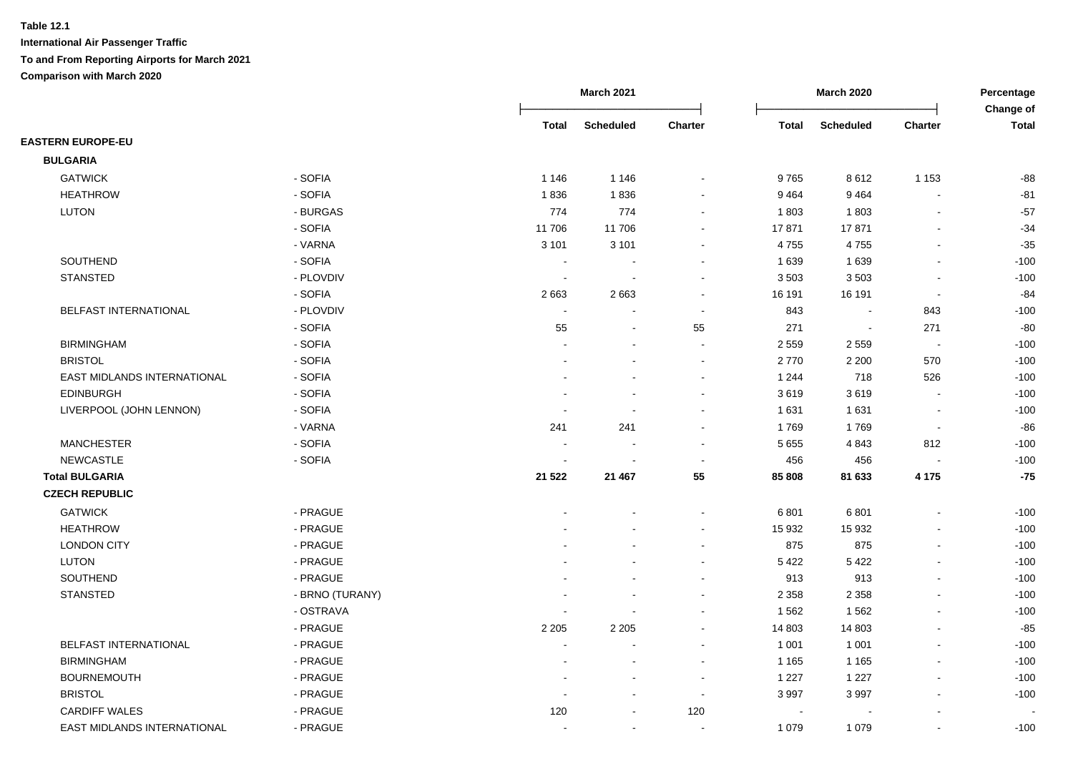|                             |                 |                          | <b>March 2021</b>        |                          | <b>March 2020</b>        |                  | Percentage<br>Change of  |              |
|-----------------------------|-----------------|--------------------------|--------------------------|--------------------------|--------------------------|------------------|--------------------------|--------------|
|                             |                 | <b>Total</b>             | <b>Scheduled</b>         | Charter                  | Total                    | <b>Scheduled</b> | <b>Charter</b>           | <b>Total</b> |
| <b>EASTERN EUROPE-EU</b>    |                 |                          |                          |                          |                          |                  |                          |              |
| <b>BULGARIA</b>             |                 |                          |                          |                          |                          |                  |                          |              |
| <b>GATWICK</b>              | - SOFIA         | 1 1 4 6                  | 1 1 4 6                  |                          | 9765                     | 8612             | 1 1 5 3                  | $-88$        |
| <b>HEATHROW</b>             | - SOFIA         | 1836                     | 1836                     |                          | 9464                     | 9464             |                          | $-81$        |
| <b>LUTON</b>                | - BURGAS        | 774                      | 774                      |                          | 1803                     | 1803             | $\overline{a}$           | $-57$        |
|                             | - SOFIA         | 11 706                   | 11706                    |                          | 17871                    | 17871            | Ē,                       | $-34$        |
|                             | - VARNA         | 3 1 0 1                  | 3 1 0 1                  |                          | 4755                     | 4755             | Ĭ.                       | $-35$        |
| SOUTHEND                    | - SOFIA         |                          |                          |                          | 1 6 3 9                  | 1 6 3 9          | $\overline{a}$           | $-100$       |
| <b>STANSTED</b>             | - PLOVDIV       | $\overline{\phantom{a}}$ | $\ddot{\phantom{a}}$     |                          | 3503                     | 3503             | $\overline{\phantom{a}}$ | $-100$       |
|                             | - SOFIA         | 2663                     | 2663                     |                          | 16 191                   | 16 191           | $\overline{\phantom{a}}$ | -84          |
| BELFAST INTERNATIONAL       | - PLOVDIV       |                          |                          | $\blacksquare$           | 843                      | $\blacksquare$   | 843                      | $-100$       |
|                             | - SOFIA         | 55                       | $\overline{\phantom{a}}$ | 55                       | 271                      | $\blacksquare$   | 271                      | $-80$        |
| <b>BIRMINGHAM</b>           | - SOFIA         |                          |                          | $\sim$                   | 2 5 5 9                  | 2 5 5 9          | $\sim$                   | $-100$       |
| <b>BRISTOL</b>              | - SOFIA         |                          |                          | $\sim$                   | 2770                     | 2 2 0 0          | 570                      | $-100$       |
| EAST MIDLANDS INTERNATIONAL | - SOFIA         |                          |                          |                          | 1 2 4 4                  | 718              | 526                      | $-100$       |
| <b>EDINBURGH</b>            | - SOFIA         |                          |                          |                          | 3619                     | 3619             |                          | $-100$       |
| LIVERPOOL (JOHN LENNON)     | - SOFIA         |                          |                          |                          | 1 631                    | 1631             |                          | $-100$       |
|                             | - VARNA         | 241                      | 241                      |                          | 1769                     | 1769             | $\sim$                   | $-86$        |
| <b>MANCHESTER</b>           | - SOFIA         |                          |                          |                          | 5 6 5 5                  | 4843             | 812                      | $-100$       |
| <b>NEWCASTLE</b>            | - SOFIA         |                          |                          |                          | 456                      | 456              |                          | $-100$       |
| <b>Total BULGARIA</b>       |                 | 21 5 22                  | 21 467                   | 55                       | 85 808                   | 81 633           | 4 1 7 5                  | $-75$        |
| <b>CZECH REPUBLIC</b>       |                 |                          |                          |                          |                          |                  |                          |              |
| <b>GATWICK</b>              | - PRAGUE        |                          |                          |                          | 6801                     | 6801             | Ĭ.                       | $-100$       |
| <b>HEATHROW</b>             | - PRAGUE        |                          |                          |                          | 15 932                   | 15 932           |                          | $-100$       |
| <b>LONDON CITY</b>          | - PRAGUE        |                          |                          |                          | 875                      | 875              | $\overline{a}$           | $-100$       |
| <b>LUTON</b>                | - PRAGUE        |                          |                          |                          | 5422                     | 5 4 2 2          |                          | $-100$       |
| SOUTHEND                    | - PRAGUE        |                          |                          |                          | 913                      | 913              |                          | $-100$       |
| <b>STANSTED</b>             | - BRNO (TURANY) |                          |                          |                          | 2 3 5 8                  | 2 3 5 8          | $\blacksquare$           | $-100$       |
|                             | - OSTRAVA       |                          |                          |                          | 1 5 6 2                  | 1562             | Ĭ.                       | $-100$       |
|                             | - PRAGUE        | 2 2 0 5                  | 2 2 0 5                  |                          | 14 803                   | 14 803           |                          | $-85$        |
| BELFAST INTERNATIONAL       | - PRAGUE        | $\blacksquare$           |                          |                          | 1 0 0 1                  | 1 0 0 1          | ä,                       | $-100$       |
| <b>BIRMINGHAM</b>           | - PRAGUE        |                          |                          |                          | 1 1 6 5                  | 1 1 6 5          |                          | $-100$       |
| <b>BOURNEMOUTH</b>          | - PRAGUE        |                          |                          |                          | 1 2 2 7                  | 1 2 2 7          |                          | $-100$       |
| <b>BRISTOL</b>              | - PRAGUE        |                          |                          | $\overline{\phantom{a}}$ | 3 9 9 7                  | 3 9 9 7          | $\blacksquare$           | $-100$       |
| <b>CARDIFF WALES</b>        | - PRAGUE        | 120                      |                          | 120                      | $\overline{\phantom{a}}$ |                  |                          |              |
| EAST MIDLANDS INTERNATIONAL | - PRAGUE        |                          | $\blacksquare$           |                          | 1 0 7 9                  | 1 0 7 9          |                          | $-100$       |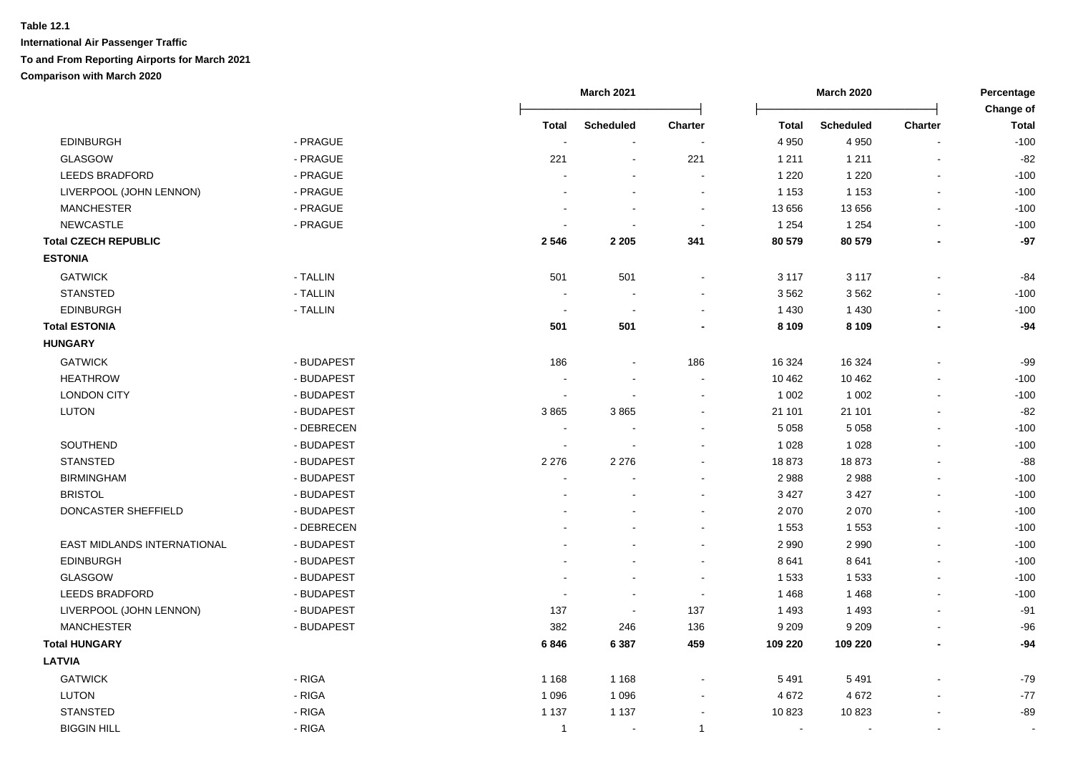|                             |            |                | <b>March 2021</b>        | <b>March 2020</b> |         |                          | Percentage<br>Change of  |              |
|-----------------------------|------------|----------------|--------------------------|-------------------|---------|--------------------------|--------------------------|--------------|
|                             |            | <b>Total</b>   | <b>Scheduled</b>         | <b>Charter</b>    | Total   | <b>Scheduled</b>         | <b>Charter</b>           | <b>Total</b> |
| <b>EDINBURGH</b>            | - PRAGUE   |                |                          |                   | 4 9 5 0 | 4 9 5 0                  |                          | $-100$       |
| <b>GLASGOW</b>              | - PRAGUE   | 221            | $\sim$                   | 221               | 1 2 1 1 | 1 2 1 1                  | $\blacksquare$           | $-82$        |
| <b>LEEDS BRADFORD</b>       | - PRAGUE   |                |                          |                   | 1 2 2 0 | 1 2 2 0                  | $\blacksquare$           | $-100$       |
| LIVERPOOL (JOHN LENNON)     | - PRAGUE   |                |                          | $\sim$            | 1 1 5 3 | 1 1 5 3                  | $\overline{a}$           | $-100$       |
| <b>MANCHESTER</b>           | - PRAGUE   |                | $\sim$                   | $\sim$            | 13 656  | 13 656                   | $\mathbf{r}$             | $-100$       |
| NEWCASTLE                   | - PRAGUE   |                |                          | $\sim$            | 1 2 5 4 | 1 2 5 4                  | $\overline{\phantom{a}}$ | $-100$       |
| <b>Total CZECH REPUBLIC</b> |            | 2546           | 2 2 0 5                  | 341               | 80 579  | 80 579                   |                          | $-97$        |
| <b>ESTONIA</b>              |            |                |                          |                   |         |                          |                          |              |
| <b>GATWICK</b>              | - TALLIN   | 501            | 501                      |                   | 3 1 1 7 | 3 1 1 7                  |                          | -84          |
| <b>STANSTED</b>             | - TALLIN   |                | $\overline{\phantom{a}}$ |                   | 3562    | 3562                     |                          | $-100$       |
| <b>EDINBURGH</b>            | - TALLIN   | $\sim$         | $\blacksquare$           | $\sim$            | 1 4 3 0 | 1 4 3 0                  | $\blacksquare$           | $-100$       |
| <b>Total ESTONIA</b>        |            | 501            | 501                      |                   | 8 1 0 9 | 8 1 0 9                  | $\blacksquare$           | $-94$        |
| <b>HUNGARY</b>              |            |                |                          |                   |         |                          |                          |              |
| <b>GATWICK</b>              | - BUDAPEST | 186            |                          | 186               | 16 324  | 16 3 24                  |                          | -99          |
| <b>HEATHROW</b>             | - BUDAPEST |                |                          |                   | 10 462  | 10 4 62                  |                          | $-100$       |
| <b>LONDON CITY</b>          | - BUDAPEST | $\blacksquare$ |                          |                   | 1 0 0 2 | 1 0 0 2                  | $\blacksquare$           | $-100$       |
| <b>LUTON</b>                | - BUDAPEST | 3865           | 3865                     |                   | 21 101  | 21 101                   |                          | $-82$        |
|                             | - DEBRECEN | $\sim$         |                          |                   | 5 0 5 8 | 5 0 5 8                  | $\overline{a}$           | $-100$       |
| SOUTHEND                    | - BUDAPEST | ÷.             |                          |                   | 1 0 2 8 | 1 0 2 8                  |                          | $-100$       |
| <b>STANSTED</b>             | - BUDAPEST | 2 2 7 6        | 2 2 7 6                  |                   | 18873   | 18873                    |                          | $-88$        |
| <b>BIRMINGHAM</b>           | - BUDAPEST | $\sim$         |                          |                   | 2988    | 2988                     | $\overline{a}$           | $-100$       |
| <b>BRISTOL</b>              | - BUDAPEST |                |                          |                   | 3 4 2 7 | 3 4 2 7                  |                          | $-100$       |
| DONCASTER SHEFFIELD         | - BUDAPEST |                |                          |                   | 2 0 7 0 | 2 0 7 0                  |                          | $-100$       |
|                             | - DEBRECEN |                |                          | $\sim$            | 1 5 5 3 | 1553                     | $\overline{a}$           | $-100$       |
| EAST MIDLANDS INTERNATIONAL | - BUDAPEST |                |                          | $\sim$            | 2 9 9 0 | 2 9 9 0                  |                          | $-100$       |
| <b>EDINBURGH</b>            | - BUDAPEST |                |                          | $\sim$            | 8641    | 8641                     |                          | $-100$       |
| GLASGOW                     | - BUDAPEST |                |                          |                   | 1 5 3 3 | 1533                     | $\overline{a}$           | $-100$       |
| <b>LEEDS BRADFORD</b>       | - BUDAPEST |                | $\blacksquare$           |                   | 1468    | 1468                     |                          | $-100$       |
| LIVERPOOL (JOHN LENNON)     | - BUDAPEST | 137            | $\sim$                   | 137               | 1 4 9 3 | 1 4 9 3                  |                          | $-91$        |
| <b>MANCHESTER</b>           | - BUDAPEST | 382            | 246                      | 136               | 9 2 0 9 | 9 2 0 9                  |                          | $-96$        |
| <b>Total HUNGARY</b>        |            | 6846           | 6 3 8 7                  | 459               | 109 220 | 109 220                  |                          | $-94$        |
| <b>LATVIA</b>               |            |                |                          |                   |         |                          |                          |              |
| <b>GATWICK</b>              | - RIGA     | 1 1 6 8        | 1 1 6 8                  |                   | 5 4 9 1 | 5 4 9 1                  |                          | $-79$        |
| LUTON                       | - RIGA     | 1 0 9 6        | 1 0 9 6                  | $\sim$            | 4 6 7 2 | 4672                     |                          | $-77$        |
| <b>STANSTED</b>             | - RIGA     | 1 1 3 7        | 1 1 3 7                  |                   | 10823   | 10823                    |                          | $-89$        |
| <b>BIGGIN HILL</b>          | - RIGA     | $\mathbf{1}$   | $\blacksquare$           | $\mathbf{1}$      | $\sim$  | $\overline{\phantom{a}}$ | $\blacksquare$           |              |
|                             |            |                |                          |                   |         |                          |                          |              |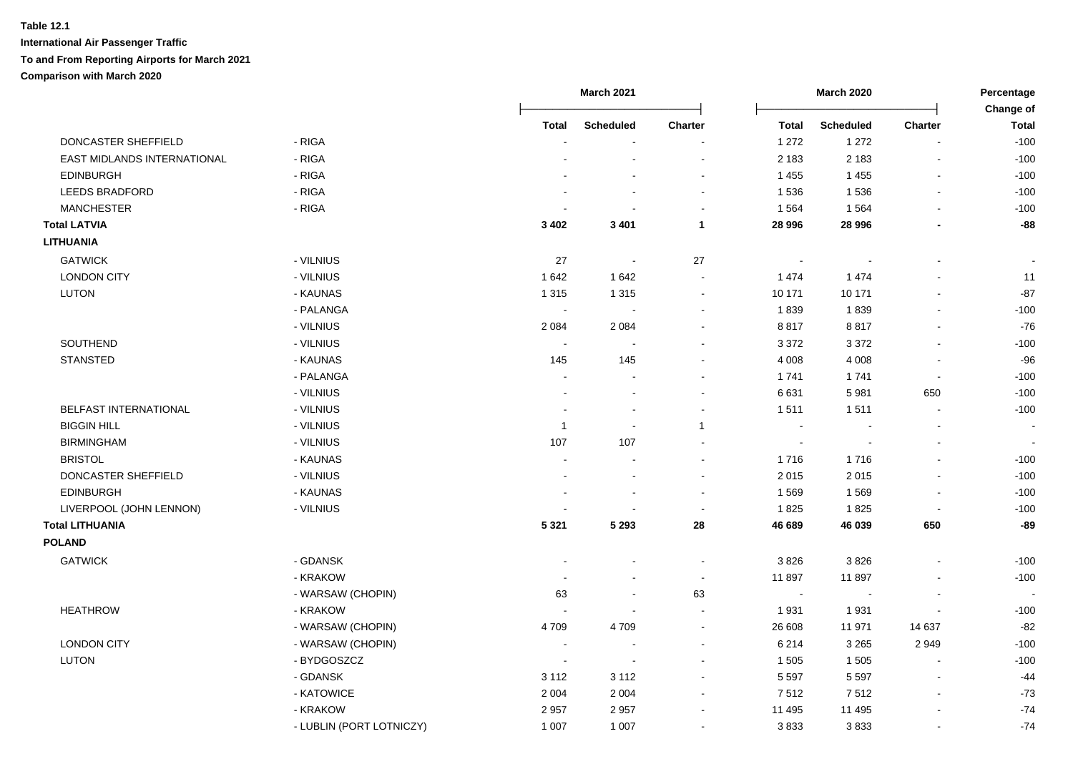|                             |                          |                          | <b>March 2021</b>        |                          | <b>March 2020</b>        |                  | Percentage     |                                  |
|-----------------------------|--------------------------|--------------------------|--------------------------|--------------------------|--------------------------|------------------|----------------|----------------------------------|
|                             |                          | Total                    | <b>Scheduled</b>         | Charter                  | <b>Total</b>             | <b>Scheduled</b> | <b>Charter</b> | <b>Change of</b><br><b>Total</b> |
| DONCASTER SHEFFIELD         | - RIGA                   |                          |                          |                          | 1 272                    | 1 2 7 2          | $\overline{a}$ | $-100$                           |
| EAST MIDLANDS INTERNATIONAL | - RIGA                   |                          |                          |                          | 2 1 8 3                  | 2 1 8 3          |                | $-100$                           |
| <b>EDINBURGH</b>            | - RIGA                   |                          |                          |                          | 1 4 5 5                  | 1455             |                | $-100$                           |
| <b>LEEDS BRADFORD</b>       | - RIGA                   |                          |                          |                          | 1 5 3 6                  | 1536             | $\overline{a}$ | $-100$                           |
| <b>MANCHESTER</b>           | - RIGA                   |                          |                          |                          | 1 5 6 4                  | 1564             | L,             | $-100$                           |
| <b>Total LATVIA</b>         |                          | 3 4 0 2                  | 3 4 0 1                  | $\mathbf{1}$             | 28 996                   | 28 996           | $\blacksquare$ | $-88$                            |
| <b>LITHUANIA</b>            |                          |                          |                          |                          |                          |                  |                |                                  |
| <b>GATWICK</b>              | - VILNIUS                | 27                       |                          | 27                       | $\overline{\phantom{a}}$ |                  |                |                                  |
| <b>LONDON CITY</b>          | - VILNIUS                | 1642                     | 1642                     |                          | 1 4 7 4                  | 1 4 7 4          |                | 11                               |
| <b>LUTON</b>                | - KAUNAS                 | 1 3 1 5                  | 1 3 1 5                  | $\blacksquare$           | 10 171                   | 10 171           | $\blacksquare$ | $-87$                            |
|                             | - PALANGA                | $\blacksquare$           | $\blacksquare$           | $\overline{\phantom{a}}$ | 1839                     | 1839             | $\blacksquare$ | $-100$                           |
|                             | - VILNIUS                | 2 0 8 4                  | 2 0 8 4                  | $\overline{\phantom{a}}$ | 8817                     | 8817             |                | $-76$                            |
| SOUTHEND                    | - VILNIUS                |                          |                          |                          | 3 3 7 2                  | 3 3 7 2          |                | $-100$                           |
| <b>STANSTED</b>             | - KAUNAS                 | 145                      | 145                      |                          | 4 0 0 8                  | 4 0 0 8          | $\blacksquare$ | $-96$                            |
|                             | - PALANGA                |                          |                          |                          | 1741                     | 1741             | $\blacksquare$ | $-100$                           |
|                             | - VILNIUS                | $\blacksquare$           |                          |                          | 6631                     | 5981             | 650            | $-100$                           |
| BELFAST INTERNATIONAL       | - VILNIUS                |                          |                          |                          | 1511                     | 1511             |                | $-100$                           |
| <b>BIGGIN HILL</b>          | - VILNIUS                | $\overline{1}$           |                          | $\mathbf{1}$             |                          |                  |                |                                  |
| <b>BIRMINGHAM</b>           | - VILNIUS                | 107                      | 107                      |                          | $\blacksquare$           |                  |                |                                  |
| <b>BRISTOL</b>              | - KAUNAS                 |                          |                          |                          | 1716                     | 1716             |                | $-100$                           |
| DONCASTER SHEFFIELD         | - VILNIUS                |                          |                          |                          | 2015                     | 2015             | $\blacksquare$ | $-100$                           |
| <b>EDINBURGH</b>            | - KAUNAS                 |                          | $\overline{\phantom{a}}$ | $\sim$                   | 1569                     | 1569             | $\blacksquare$ | $-100$                           |
| LIVERPOOL (JOHN LENNON)     | - VILNIUS                |                          |                          | $\blacksquare$           | 1825                     | 1825             | $\blacksquare$ | $-100$                           |
| <b>Total LITHUANIA</b>      |                          | 5 3 2 1                  | 5 2 9 3                  | 28                       | 46 689                   | 46 039           | 650            | $-89$                            |
| <b>POLAND</b>               |                          |                          |                          |                          |                          |                  |                |                                  |
| <b>GATWICK</b>              | - GDANSK                 |                          |                          | $\sim$                   | 3826                     | 3826             | $\blacksquare$ | $-100$                           |
|                             | - KRAKOW                 |                          |                          | $\sim$                   | 11 897                   | 11897            |                | $-100$                           |
|                             | - WARSAW (CHOPIN)        | 63                       |                          | 63                       | $\sim$                   |                  |                |                                  |
| <b>HEATHROW</b>             | - KRAKOW                 |                          |                          | $\overline{\phantom{a}}$ | 1931                     | 1931             |                | $-100$                           |
|                             | - WARSAW (CHOPIN)        | 4 7 0 9                  | 4709                     | $\sim$                   | 26 608                   | 11 971           | 14 637         | $-82$                            |
| <b>LONDON CITY</b>          | - WARSAW (CHOPIN)        | $\overline{\phantom{a}}$ |                          |                          | 6 2 1 4                  | 3 2 6 5          | 2949           | $-100$                           |
| LUTON                       | - BYDGOSZCZ              | $\overline{\phantom{a}}$ |                          |                          | 1 505                    | 1 5 0 5          |                | $-100$                           |
|                             | - GDANSK                 | 3 1 1 2                  | 3 1 1 2                  |                          | 5 5 9 7                  | 5 5 9 7          |                | $-44$                            |
|                             | - KATOWICE               | 2 0 0 4                  | 2 0 0 4                  |                          | 7512                     | 7512             |                | $-73$                            |
|                             | - KRAKOW                 | 2957                     | 2957                     |                          | 11 495                   | 11 495           |                | $-74$                            |
|                             | - LUBLIN (PORT LOTNICZY) | 1 0 0 7                  | 1 0 0 7                  |                          | 3833                     | 3833             | L,             | $-74$                            |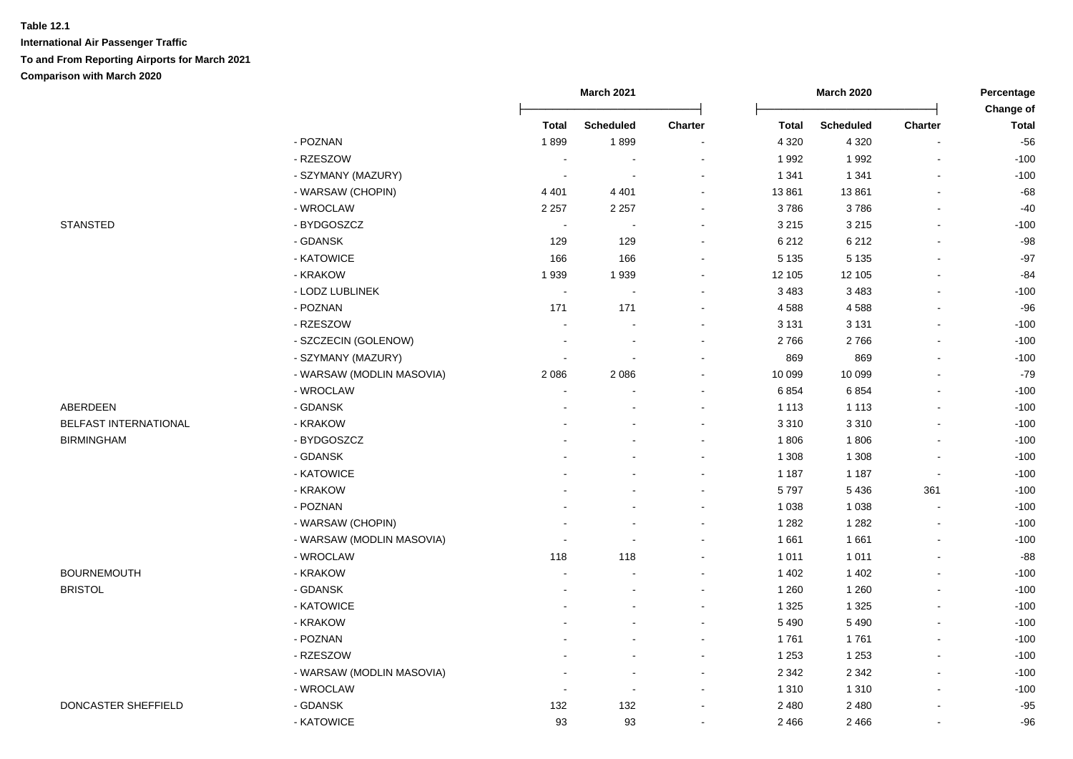|                       |                           | <b>March 2021</b>        |                          |                          |              | <b>March 2020</b> |                          |                           |
|-----------------------|---------------------------|--------------------------|--------------------------|--------------------------|--------------|-------------------|--------------------------|---------------------------|
|                       |                           | <b>Total</b>             | <b>Scheduled</b>         | <b>Charter</b>           | <b>Total</b> | <b>Scheduled</b>  | <b>Charter</b>           | Change of<br><b>Total</b> |
|                       | - POZNAN                  | 1899                     | 1899                     |                          | 4 3 2 0      | 4 3 2 0           |                          | $-56$                     |
|                       | - RZESZOW                 | $\overline{\phantom{a}}$ |                          |                          | 1992         | 1992              |                          | $-100$                    |
|                       | - SZYMANY (MAZURY)        | $\sim$                   | $\sim$                   | ÷                        | 1 3 4 1      | 1 3 4 1           | $\overline{a}$           | $-100$                    |
|                       | - WARSAW (CHOPIN)         | 4 4 0 1                  | 4 4 0 1                  | $\sim$                   | 13 861       | 13861             |                          | $-68$                     |
|                       | - WROCLAW                 | 2 2 5 7                  | 2 2 5 7                  | $\blacksquare$           | 3786         | 3786              | $\blacksquare$           | $-40$                     |
| <b>STANSTED</b>       | - BYDGOSZCZ               | $\overline{\phantom{a}}$ | $\sim$                   | $\sim$                   | 3 2 1 5      | 3 2 1 5           | $\sim$                   | $-100$                    |
|                       | - GDANSK                  | 129                      | 129                      | $\sim$                   | 6 2 1 2      | 6 2 1 2           | $\blacksquare$           | $-98$                     |
|                       | - KATOWICE                | 166                      | 166                      | $\sim$                   | 5 1 3 5      | 5 1 3 5           | $\blacksquare$           | $-97$                     |
|                       | - KRAKOW                  | 1939                     | 1939                     |                          | 12 105       | 12 105            | $\sim$                   | $-84$                     |
|                       | - LODZ LUBLINEK           | $\sim$                   | $\overline{\phantom{a}}$ | $\sim$                   | 3 4 8 3      | 3 4 8 3           | $\sim$                   | $-100$                    |
|                       | - POZNAN                  | 171                      | 171                      | $\sim$                   | 4588         | 4588              | $\sim$                   | $-96$                     |
|                       | - RZESZOW                 | $\ddot{\phantom{a}}$     | $\sim$                   | $\overline{\phantom{a}}$ | 3 1 3 1      | 3 1 3 1           | $\blacksquare$           | $-100$                    |
|                       | - SZCZECIN (GOLENOW)      | $\blacksquare$           | $\blacksquare$           |                          | 2766         | 2766              |                          | $-100$                    |
|                       | - SZYMANY (MAZURY)        | $\overline{\phantom{a}}$ | $\overline{\phantom{a}}$ |                          | 869          | 869               | $\sim$                   | $-100$                    |
|                       | - WARSAW (MODLIN MASOVIA) | 2086                     | 2086                     |                          | 10 099       | 10 099            | $\blacksquare$           | $-79$                     |
|                       | - WROCLAW                 |                          |                          |                          | 6 8 5 4      | 6854              |                          | $-100$                    |
| <b>ABERDEEN</b>       | - GDANSK                  |                          |                          |                          | 1 1 1 3      | 1 1 1 3           |                          | $-100$                    |
| BELFAST INTERNATIONAL | - KRAKOW                  |                          |                          | $\sim$                   | 3 3 1 0      | 3 3 1 0           |                          | $-100$                    |
| <b>BIRMINGHAM</b>     | - BYDGOSZCZ               |                          |                          | ÷                        | 1806         | 1806              |                          | $-100$                    |
|                       | - GDANSK                  |                          |                          | $\overline{\phantom{a}}$ | 1 3 0 8      | 1 3 0 8           | $\overline{\phantom{a}}$ | $-100$                    |
|                       | - KATOWICE                |                          |                          | $\blacksquare$           | 1 1 8 7      | 1 1 8 7           | $\blacksquare$           | $-100$                    |
|                       | - KRAKOW                  |                          |                          | $\overline{\phantom{a}}$ | 5797         | 5 4 3 6           | 361                      | $-100$                    |
|                       | - POZNAN                  |                          |                          |                          | 1 0 38       | 1 0 3 8           | $\blacksquare$           | $-100$                    |
|                       | - WARSAW (CHOPIN)         |                          |                          |                          | 1 2 8 2      | 1 2 8 2           | $\blacksquare$           | $-100$                    |
|                       | - WARSAW (MODLIN MASOVIA) |                          | ÷,                       |                          | 1661         | 1661              | $\blacksquare$           | $-100$                    |
|                       | - WROCLAW                 | 118                      | 118                      |                          | 1 0 1 1      | 1 0 1 1           | $\sim$                   | $-88$                     |
| <b>BOURNEMOUTH</b>    | - KRAKOW                  | $\sim$                   |                          | $\sim$                   | 1 4 0 2      | 1 4 0 2           | $\sim$                   | $-100$                    |
| <b>BRISTOL</b>        | - GDANSK                  | $\blacksquare$           | $\blacksquare$           | $\overline{\phantom{a}}$ | 1 2 6 0      | 1 2 6 0           |                          | $-100$                    |
|                       | - KATOWICE                |                          |                          |                          | 1 3 2 5      | 1 3 2 5           |                          | $-100$                    |
|                       | - KRAKOW                  |                          |                          |                          | 5 4 9 0      | 5 4 9 0           | $\blacksquare$           | $-100$                    |
|                       | - POZNAN                  |                          |                          |                          | 1761         | 1761              | $\sim$                   | $-100$                    |
|                       | - RZESZOW                 |                          |                          |                          | 1 2 5 3      | 1 2 5 3           |                          | $-100$                    |
|                       | - WARSAW (MODLIN MASOVIA) |                          | $\overline{\phantom{a}}$ |                          | 2 3 4 2      | 2 3 4 2           |                          | $-100$                    |
|                       | - WROCLAW                 | $\sim$                   | $\sim$                   | ÷                        | 1 3 1 0      | 1 3 1 0           | $\overline{a}$           | $-100$                    |
| DONCASTER SHEFFIELD   | - GDANSK                  | 132                      | 132                      | $\overline{\phantom{a}}$ | 2 4 8 0      | 2 4 8 0           |                          | $-95$                     |
|                       | - KATOWICE                | 93                       | 93                       | $\sim$                   | 2 4 6 6      | 2 4 6 6           | $\sim$                   | $-96$                     |
|                       |                           |                          |                          |                          |              |                   |                          |                           |

- 
-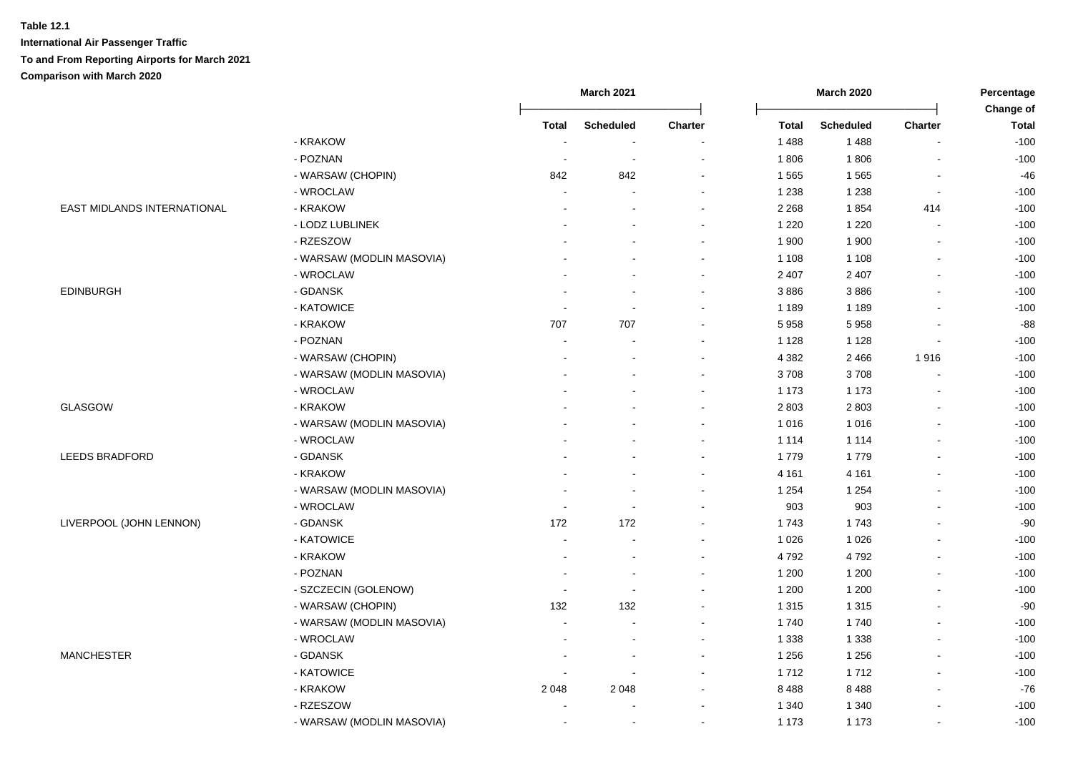|                             |                           | <b>March 2021</b>        |                          |                          |              | <b>March 2020</b> |                          |                           |
|-----------------------------|---------------------------|--------------------------|--------------------------|--------------------------|--------------|-------------------|--------------------------|---------------------------|
|                             |                           | <b>Total</b>             | <b>Scheduled</b>         | Charter                  | <b>Total</b> | <b>Scheduled</b>  | <b>Charter</b>           | Change of<br><b>Total</b> |
|                             | - KRAKOW                  | $\overline{\phantom{a}}$ | $\overline{\phantom{a}}$ |                          | 1 4 8 8      | 1488              |                          | $-100$                    |
|                             | - POZNAN                  | $\overline{\phantom{a}}$ | $\overline{\phantom{a}}$ |                          | 1806         | 1806              |                          | $-100$                    |
|                             | - WARSAW (CHOPIN)         | 842                      | 842                      | $\overline{\phantom{a}}$ | 1 5 6 5      | 1565              | $\blacksquare$           | $-46$                     |
|                             | - WROCLAW                 | $\blacksquare$           | $\overline{\phantom{a}}$ | $\overline{\phantom{a}}$ | 1 2 3 8      | 1 2 3 8           | $\blacksquare$           | $-100$                    |
| EAST MIDLANDS INTERNATIONAL | - KRAKOW                  |                          |                          |                          | 2 2 6 8      | 1854              | 414                      | $-100$                    |
|                             | - LODZ LUBLINEK           |                          |                          | $\blacksquare$           | 1 2 2 0      | 1 2 2 0           | $\overline{a}$           | $-100$                    |
|                             | - RZESZOW                 |                          |                          | $\sim$                   | 1 900        | 1 900             | $\overline{a}$           | $-100$                    |
|                             | - WARSAW (MODLIN MASOVIA) |                          |                          |                          | 1 1 0 8      | 1 1 0 8           |                          | $-100$                    |
|                             | - WROCLAW                 |                          |                          |                          | 2 4 0 7      | 2 4 0 7           |                          | $-100$                    |
| <b>EDINBURGH</b>            | - GDANSK                  |                          |                          |                          | 3886         | 3886              | $\overline{\phantom{a}}$ | $-100$                    |
|                             | - KATOWICE                |                          | $\overline{\phantom{a}}$ |                          | 1 1 8 9      | 1 1 8 9           | $\overline{\phantom{a}}$ | $-100$                    |
|                             | - KRAKOW                  | 707                      | 707                      |                          | 5958         | 5958              |                          | -88                       |
|                             | - POZNAN                  |                          |                          |                          | 1 1 2 8      | 1 1 2 8           |                          | $-100$                    |
|                             | - WARSAW (CHOPIN)         |                          |                          |                          | 4 3 8 2      | 2 4 6 6           | 1916                     | $-100$                    |
|                             | - WARSAW (MODLIN MASOVIA) |                          |                          | $\sim$                   | 3708         | 3708              |                          | $-100$                    |
|                             | - WROCLAW                 |                          |                          | $\overline{\phantom{a}}$ | 1 1 7 3      | 1 1 7 3           | $\overline{\phantom{a}}$ | $-100$                    |
| <b>GLASGOW</b>              | - KRAKOW                  |                          |                          | $\sim$                   | 2 8 0 3      | 2803              | $\sim$                   | $-100$                    |
|                             | - WARSAW (MODLIN MASOVIA) |                          |                          | $\blacksquare$           | 1 0 1 6      | 1016              | $\overline{a}$           | $-100$                    |
|                             | - WROCLAW                 |                          |                          | $\blacksquare$           | 1 1 1 4      | 1 1 1 4           | $\blacksquare$           | $-100$                    |
| <b>LEEDS BRADFORD</b>       | - GDANSK                  |                          |                          | $\overline{\phantom{a}}$ | 1779         | 1779              |                          | $-100$                    |
|                             | - KRAKOW                  |                          |                          |                          | 4 1 6 1      | 4 1 6 1           |                          | $-100$                    |
|                             | - WARSAW (MODLIN MASOVIA) |                          |                          |                          | 1 2 5 4      | 1 2 5 4           |                          | $-100$                    |
|                             | - WROCLAW                 | $\blacksquare$           | $\blacksquare$           | $\overline{\phantom{a}}$ | 903          | 903               | $\overline{a}$           | $-100$                    |
| LIVERPOOL (JOHN LENNON)     | - GDANSK                  | 172                      | 172                      |                          | 1743         | 1743              |                          | $-90$                     |
|                             | - KATOWICE                | $\overline{\phantom{a}}$ | $\overline{\phantom{a}}$ | $\overline{\phantom{a}}$ | 1 0 2 6      | 1 0 2 6           |                          | $-100$                    |
|                             | - KRAKOW                  |                          |                          |                          | 4792         | 4792              |                          | $-100$                    |
|                             | - POZNAN                  |                          |                          |                          | 1 200        | 1 200             |                          | $-100$                    |
|                             | - SZCZECIN (GOLENOW)      | $\overline{\phantom{a}}$ | $\overline{\phantom{a}}$ |                          | 1 200        | 1 200             | $\overline{\phantom{a}}$ | $-100$                    |
|                             | - WARSAW (CHOPIN)         | 132                      | 132                      |                          | 1 3 1 5      | 1 3 1 5           | $\overline{\phantom{a}}$ | $-90$                     |
|                             | - WARSAW (MODLIN MASOVIA) | $\overline{a}$           | $\sim$                   | $\sim$                   | 1740         | 1740              | L,                       | $-100$                    |
|                             | - WROCLAW                 |                          |                          | $\blacksquare$           | 1 3 3 8      | 1 3 3 8           | $\overline{a}$           | $-100$                    |
| <b>MANCHESTER</b>           | - GDANSK                  |                          | $\overline{\phantom{a}}$ | $\overline{\phantom{a}}$ | 1 2 5 6      | 1 2 5 6           |                          | $-100$                    |
|                             | - KATOWICE                |                          | $\overline{\phantom{a}}$ | $\blacksquare$           | 1712         | 1712              | $\blacksquare$           | $-100$                    |
|                             | - KRAKOW                  | 2048                     | 2 0 4 8                  |                          | 8488         | 8488              |                          | $-76$                     |
|                             | - RZESZOW                 | $\overline{\phantom{a}}$ | $\overline{\phantom{a}}$ | $\overline{\phantom{a}}$ | 1 3 4 0      | 1 3 4 0           | $\blacksquare$           | $-100$                    |
|                             | - WARSAW (MODLIN MASOVIA) | $\blacksquare$           | $\blacksquare$           | $\blacksquare$           | 1 1 7 3      | 1 1 7 3           | $\overline{a}$           | $-100$                    |
|                             |                           |                          |                          |                          |              |                   |                          |                           |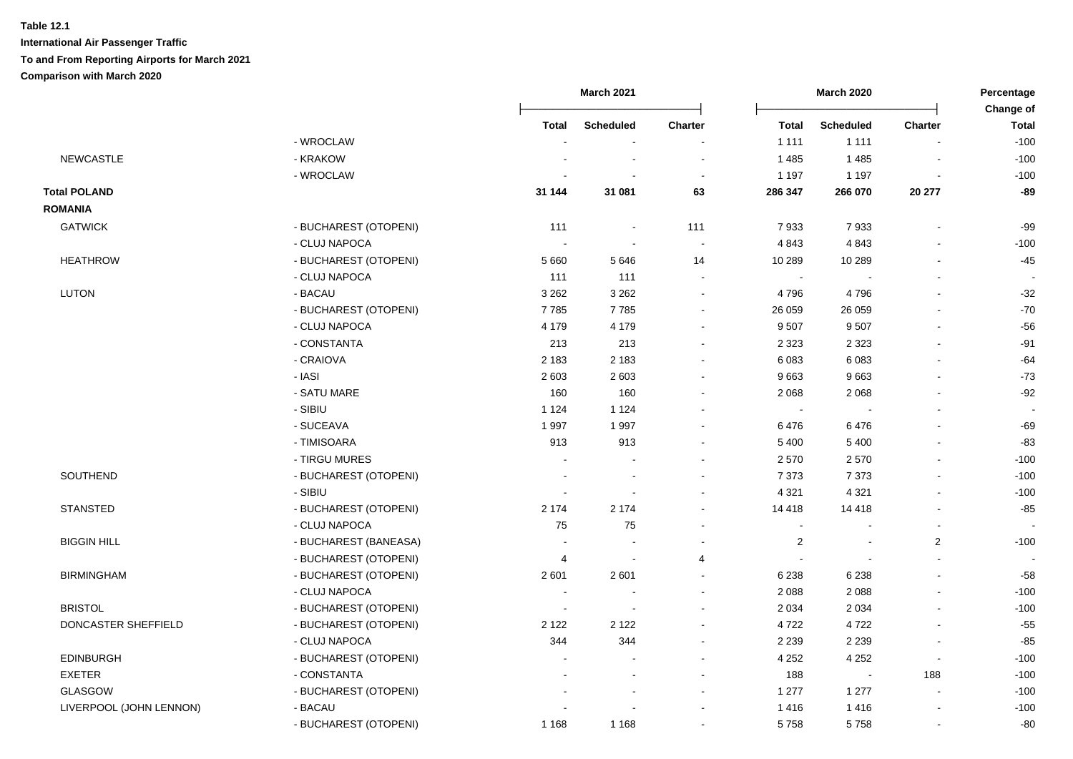|                         |                       | <b>March 2021</b><br><b>March 2020</b> |                  |         | Percentage<br>Change of |                          |                |              |
|-------------------------|-----------------------|----------------------------------------|------------------|---------|-------------------------|--------------------------|----------------|--------------|
|                         |                       | <b>Total</b>                           | <b>Scheduled</b> | Charter | <b>Total</b>            | <b>Scheduled</b>         | <b>Charter</b> | <b>Total</b> |
|                         | - WROCLAW             |                                        |                  |         | 1 1 1 1                 | 1 1 1 1                  |                | $-100$       |
| <b>NEWCASTLE</b>        | - KRAKOW              |                                        |                  |         | 1 4 8 5                 | 1 4 8 5                  |                | $-100$       |
|                         | - WROCLAW             |                                        |                  |         | 1 1 9 7                 | 1 1 9 7                  |                | $-100$       |
| <b>Total POLAND</b>     |                       | 31 144                                 | 31 081           | 63      | 286 347                 | 266 070                  | 20 277         | $-89$        |
| <b>ROMANIA</b>          |                       |                                        |                  |         |                         |                          |                |              |
| <b>GATWICK</b>          | - BUCHAREST (OTOPENI) | 111                                    | $\sim$           | 111     | 7933                    | 7933                     |                | $-99$        |
|                         | - CLUJ NAPOCA         |                                        | $\sim$           |         | 4 8 4 3                 | 4843                     |                | $-100$       |
| <b>HEATHROW</b>         | - BUCHAREST (OTOPENI) | 5 6 6 0                                | 5646             | 14      | 10 289                  | 10 289                   |                | $-45$        |
|                         | - CLUJ NAPOCA         | 111                                    | 111              |         | $\sim$                  |                          |                |              |
| LUTON                   | - BACAU               | 3 2 6 2                                | 3 2 6 2          |         | 4 7 9 6                 | 4796                     |                | $-32$        |
|                         | - BUCHAREST (OTOPENI) | 7785                                   | 7785             |         | 26 059                  | 26 059                   |                | $-70$        |
|                         | - CLUJ NAPOCA         | 4 1 7 9                                | 4 1 7 9          |         | 9507                    | 9507                     | $\overline{a}$ | $-56$        |
|                         | - CONSTANTA           | 213                                    | 213              | $\sim$  | 2 3 2 3                 | 2 3 2 3                  | $\blacksquare$ | $-91$        |
|                         | - CRAIOVA             | 2 1 8 3                                | 2 1 8 3          |         | 6 0 8 3                 | 6 0 8 3                  |                | $-64$        |
|                         | - IASI                | 2 6 0 3                                | 2 6 0 3          |         | 9663                    | 9663                     |                | $-73$        |
|                         | - SATU MARE           | 160                                    | 160              |         | 2 0 6 8                 | 2 0 6 8                  | $\blacksquare$ | $-92$        |
|                         | - SIBIU               | 1 1 2 4                                | 1 1 2 4          |         | $\sim$                  |                          |                |              |
|                         | - SUCEAVA             | 1997                                   | 1997             |         | 6476                    | 6476                     |                | $-69$        |
|                         | - TIMISOARA           | 913                                    | 913              |         | 5 4 0 0                 | 5 4 0 0                  |                | $-83$        |
|                         | - TIRGU MURES         |                                        |                  |         | 2570                    | 2570                     |                | $-100$       |
| SOUTHEND                | - BUCHAREST (OTOPENI) |                                        |                  |         | 7 3 7 3                 | 7 3 7 3                  |                | $-100$       |
|                         | - SIBIU               |                                        |                  |         | 4 3 21                  | 4 3 21                   |                | $-100$       |
| <b>STANSTED</b>         | - BUCHAREST (OTOPENI) | 2 1 7 4                                | 2 1 7 4          |         | 14 4 18                 | 14 4 18                  | $\blacksquare$ | $-85$        |
|                         | - CLUJ NAPOCA         | 75                                     | 75               |         | $\sim$                  |                          | $\overline{a}$ |              |
| <b>BIGGIN HILL</b>      | - BUCHAREST (BANEASA) |                                        |                  |         | $\overline{c}$          | $\sim$                   | $\overline{2}$ | $-100$       |
|                         | - BUCHAREST (OTOPENI) | 4                                      | $\sim$           | 4       |                         | $\sim$                   | $\blacksquare$ |              |
| <b>BIRMINGHAM</b>       | - BUCHAREST (OTOPENI) | 2 601                                  | 2601             | $\sim$  | 6 2 3 8                 | 6 2 3 8                  |                | $-58$        |
|                         | - CLUJ NAPOCA         |                                        |                  |         | 2 0 8 8                 | 2 0 8 8                  | $\blacksquare$ | $-100$       |
| <b>BRISTOL</b>          | - BUCHAREST (OTOPENI) | $\overline{\phantom{a}}$               |                  |         | 2 0 3 4                 | 2 0 3 4                  | $\overline{a}$ | $-100$       |
| DONCASTER SHEFFIELD     | - BUCHAREST (OTOPENI) | 2 1 2 2                                | 2 1 2 2          |         | 4722                    | 4722                     |                | $-55$        |
|                         | - CLUJ NAPOCA         | 344                                    | 344              |         | 2 2 3 9                 | 2 2 3 9                  |                | $-85$        |
| <b>EDINBURGH</b>        | - BUCHAREST (OTOPENI) |                                        |                  |         | 4 2 5 2                 | 4 2 5 2                  | $\blacksquare$ | $-100$       |
| <b>EXETER</b>           | - CONSTANTA           |                                        |                  |         | 188                     | $\overline{\phantom{a}}$ | 188            | $-100$       |
| <b>GLASGOW</b>          | - BUCHAREST (OTOPENI) |                                        |                  |         | 1 277                   | 1 2 7 7                  | $\sim$         | $-100$       |
| LIVERPOOL (JOHN LENNON) | - BACAU               |                                        |                  |         | 1416                    | 1416                     | ä,             | $-100$       |
|                         | - BUCHAREST (OTOPENI) | 1 1 6 8                                | 1 1 6 8          |         | 5758                    | 5758                     |                | $-80$        |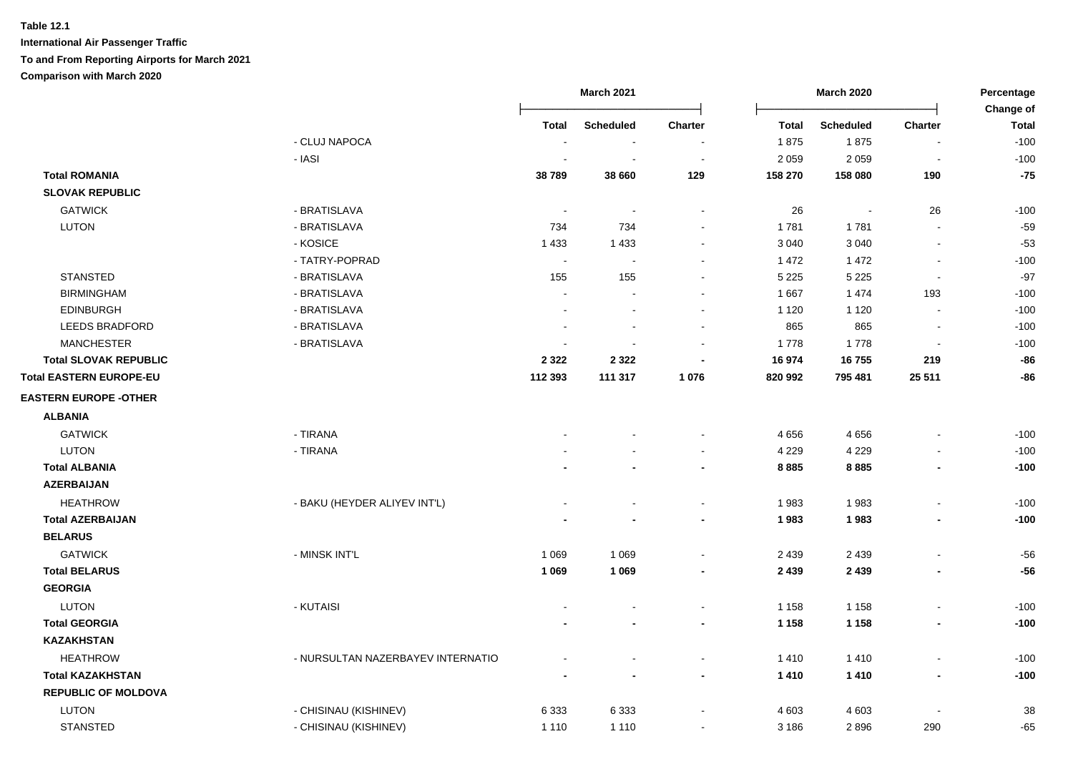|                              |                                   | <b>March 2021</b><br><b>March 2020</b> |                  |                | Percentage           |                          |                                  |                        |
|------------------------------|-----------------------------------|----------------------------------------|------------------|----------------|----------------------|--------------------------|----------------------------------|------------------------|
|                              |                                   |                                        |                  |                |                      |                          |                                  | Change of              |
|                              | - CLUJ NAPOCA                     | Total                                  | <b>Scheduled</b> | <b>Charter</b> | <b>Total</b><br>1875 | <b>Scheduled</b><br>1875 | <b>Charter</b><br>$\blacksquare$ | <b>Total</b><br>$-100$ |
|                              | - IASI                            |                                        |                  | $\blacksquare$ | 2 0 5 9              | 2 0 5 9                  | $\overline{\phantom{a}}$         | $-100$                 |
| <b>Total ROMANIA</b>         |                                   | 38789                                  | 38 660           | 129            | 158 270              | 158 080                  | 190                              | $-75$                  |
| <b>SLOVAK REPUBLIC</b>       |                                   |                                        |                  |                |                      |                          |                                  |                        |
| <b>GATWICK</b>               | - BRATISLAVA                      |                                        |                  |                | 26                   |                          | 26                               | $-100$                 |
| <b>LUTON</b>                 | - BRATISLAVA                      | 734                                    | 734              |                | 1 781                | 1781                     | $\blacksquare$                   | $-59$                  |
|                              | - KOSICE                          | 1 4 3 3                                | 1 4 3 3          |                | 3 0 4 0              | 3 0 4 0                  | $\blacksquare$                   | $-53$                  |
|                              | - TATRY-POPRAD                    | $\overline{\phantom{a}}$               |                  |                | 1 472                | 1 4 7 2                  | $\blacksquare$                   | $-100$                 |
| <b>STANSTED</b>              | - BRATISLAVA                      | 155                                    | 155              | $\sim$         | 5 2 2 5              | 5 2 2 5                  | $\blacksquare$                   | $-97$                  |
| <b>BIRMINGHAM</b>            | - BRATISLAVA                      | $\sim$                                 |                  | $\sim$         | 1 6 6 7              | 1474                     | 193                              | $-100$                 |
| <b>EDINBURGH</b>             | - BRATISLAVA                      | $\overline{a}$                         |                  | $\blacksquare$ | 1 1 2 0              | 1 1 2 0                  | $\sim$                           | $-100$                 |
| <b>LEEDS BRADFORD</b>        | - BRATISLAVA                      |                                        |                  |                | 865                  | 865                      | $\overline{a}$                   | $-100$                 |
| <b>MANCHESTER</b>            | - BRATISLAVA                      | $\sim$                                 |                  |                | 1778                 | 1778                     | $\overline{\phantom{a}}$         | $-100$                 |
| <b>Total SLOVAK REPUBLIC</b> |                                   | 2 3 2 2                                | 2 3 2 2          |                | 16 974               | 16755                    | 219                              | $-86$                  |
| Total EASTERN EUROPE-EU      |                                   | 112 393                                | 111 317          | 1 0 7 6        | 820 992              | 795 481                  | 25 5 11                          | -86                    |
|                              |                                   |                                        |                  |                |                      |                          |                                  |                        |
| <b>EASTERN EUROPE -OTHER</b> |                                   |                                        |                  |                |                      |                          |                                  |                        |
| <b>ALBANIA</b>               |                                   |                                        |                  |                |                      |                          |                                  |                        |
| <b>GATWICK</b>               | - TIRANA                          |                                        |                  |                | 4656                 | 4656                     |                                  | $-100$                 |
| <b>LUTON</b>                 | - TIRANA                          |                                        |                  | $\sim$         | 4 2 2 9              | 4 2 2 9                  | $\overline{\phantom{a}}$         | $-100$                 |
| <b>Total ALBANIA</b>         |                                   |                                        |                  | $\blacksquare$ | 8885                 | 8885                     | $\blacksquare$                   | $-100$                 |
| <b>AZERBAIJAN</b>            |                                   |                                        |                  |                |                      |                          |                                  |                        |
| <b>HEATHROW</b>              | - BAKU (HEYDER ALIYEV INT'L)      |                                        |                  |                | 1983                 | 1983                     | $\overline{a}$                   | $-100$                 |
| <b>Total AZERBAIJAN</b>      |                                   |                                        |                  | $\blacksquare$ | 1983                 | 1983                     | $\blacksquare$                   | $-100$                 |
| <b>BELARUS</b>               |                                   |                                        |                  |                |                      |                          |                                  |                        |
| <b>GATWICK</b>               | - MINSK INT'L                     | 1 0 6 9                                | 1 0 6 9          |                | 2 4 3 9              | 2 4 3 9                  | $\blacksquare$                   | $-56$                  |
| <b>Total BELARUS</b>         |                                   | 1 0 6 9                                | 1 0 6 9          | $\blacksquare$ | 2 4 3 9              | 2 4 3 9                  | $\blacksquare$                   | $-56$                  |
| <b>GEORGIA</b>               |                                   |                                        |                  |                |                      |                          |                                  |                        |
| <b>LUTON</b>                 | - KUTAISI                         |                                        |                  |                | 1 1 5 8              | 1 1 5 8                  | $\overline{\phantom{a}}$         | $-100$                 |
| <b>Total GEORGIA</b>         |                                   |                                        |                  | $\blacksquare$ | 1 1 5 8              | 1 1 5 8                  | $\qquad \qquad \blacksquare$     | $-100$                 |
| <b>KAZAKHSTAN</b>            |                                   |                                        |                  |                |                      |                          |                                  |                        |
| <b>HEATHROW</b>              | - NURSULTAN NAZERBAYEV INTERNATIO |                                        |                  | $\sim$         | 1410                 | 1410                     | $\blacksquare$                   | $-100$                 |
| <b>Total KAZAKHSTAN</b>      |                                   |                                        |                  | $\blacksquare$ | 1410                 | 1410                     | $\qquad \qquad \blacksquare$     | $-100$                 |
| <b>REPUBLIC OF MOLDOVA</b>   |                                   |                                        |                  |                |                      |                          |                                  |                        |
| <b>LUTON</b>                 | - CHISINAU (KISHINEV)             | 6 3 3 3                                | 6 3 3 3          |                | 4 603                | 4 6 0 3                  | $\overline{a}$                   | 38                     |
| <b>STANSTED</b>              | - CHISINAU (KISHINEV)             | 1 1 1 0                                | 1 1 1 0          | $\sim$         | 3 1 8 6              | 2896                     | 290                              | $-65$                  |
|                              |                                   |                                        |                  |                |                      |                          |                                  |                        |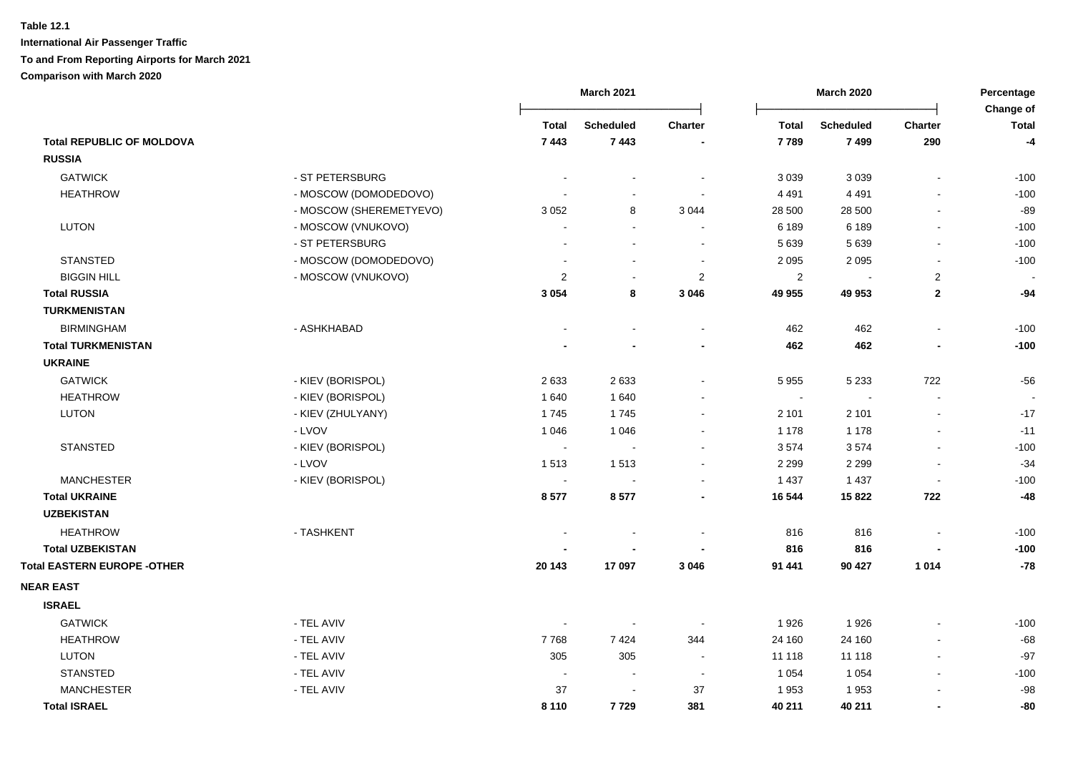|                                    |                         |                | March 2021       |                          |                | <b>March 2020</b> |                          | Percentage                |
|------------------------------------|-------------------------|----------------|------------------|--------------------------|----------------|-------------------|--------------------------|---------------------------|
|                                    |                         | <b>Total</b>   | <b>Scheduled</b> | <b>Charter</b>           | <b>Total</b>   | <b>Scheduled</b>  | Charter                  | Change of<br><b>Total</b> |
| <b>Total REPUBLIC OF MOLDOVA</b>   |                         | 7 4 4 3        | 7443             |                          | 7789           | 7499              | 290                      | $-4$                      |
| <b>RUSSIA</b>                      |                         |                |                  |                          |                |                   |                          |                           |
| <b>GATWICK</b>                     | - ST PETERSBURG         |                |                  | $\overline{\phantom{a}}$ | 3 0 3 9        | 3 0 3 9           | $\blacksquare$           | $-100$                    |
| <b>HEATHROW</b>                    | - MOSCOW (DOMODEDOVO)   |                |                  | $\sim$                   | 4 4 9 1        | 4 4 9 1           | $\overline{a}$           | $-100$                    |
|                                    | - MOSCOW (SHEREMETYEVO) | 3 0 5 2        | 8                | 3 0 4 4                  | 28 500         | 28 500            | $\blacksquare$           | $-89$                     |
| <b>LUTON</b>                       | - MOSCOW (VNUKOVO)      |                | $\sim$           | $\blacksquare$           | 6 189          | 6 1 8 9           | $\blacksquare$           | $-100$                    |
|                                    | - ST PETERSBURG         |                | $\sim$           | $\blacksquare$           | 5 6 3 9        | 5 6 3 9           | $\blacksquare$           | $-100$                    |
| <b>STANSTED</b>                    | - MOSCOW (DOMODEDOVO)   |                | $\sim$           | $\blacksquare$           | 2 0 9 5        | 2 0 9 5           | $\blacksquare$           | $-100$                    |
| <b>BIGGIN HILL</b>                 | - MOSCOW (VNUKOVO)      | $\overline{2}$ | $\sim$           | $\overline{c}$           | $\overline{c}$ | $\overline{a}$    | $\sqrt{2}$               | $\overline{\phantom{a}}$  |
| <b>Total RUSSIA</b>                |                         | 3 0 5 4        | 8                | 3 0 4 6                  | 49 955         | 49 953            | $\mathbf{2}$             | $-94$                     |
| <b>TURKMENISTAN</b>                |                         |                |                  |                          |                |                   |                          |                           |
| <b>BIRMINGHAM</b>                  | - ASHKHABAD             |                | $\sim$           | $\sim$                   | 462            | 462               | $\ddot{\phantom{a}}$     | $-100$                    |
| <b>Total TURKMENISTAN</b>          |                         |                |                  | $\overline{\phantom{a}}$ | 462            | 462               | $\overline{a}$           | $-100$                    |
| <b>UKRAINE</b>                     |                         |                |                  |                          |                |                   |                          |                           |
| <b>GATWICK</b>                     | - KIEV (BORISPOL)       | 2633           | 2633             | $\blacksquare$           | 5 9 5 5        | 5 2 3 3           | 722                      | $-56$                     |
| <b>HEATHROW</b>                    | - KIEV (BORISPOL)       | 1 6 4 0        | 1640             | $\blacksquare$           | $\sim$         | $\blacksquare$    | $\blacksquare$           |                           |
| <b>LUTON</b>                       | - KIEV (ZHULYANY)       | 1745           | 1745             | $\blacksquare$           | 2 101          | 2 1 0 1           | $\blacksquare$           | $-17$                     |
|                                    | - LVOV                  | 1 0 4 6        | 1 0 4 6          | $\blacksquare$           | 1 1 7 8        | 1 1 7 8           |                          | $-11$                     |
| <b>STANSTED</b>                    | - KIEV (BORISPOL)       | $\sim$         | $\sim$           | $\blacksquare$           | 3574           | 3574              | $\blacksquare$           | $-100$                    |
|                                    | - LVOV                  | 1513           | 1513             | $\sim$                   | 2 2 9 9        | 2 2 9 9           | $\ddot{\phantom{a}}$     | $-34$                     |
| <b>MANCHESTER</b>                  | - KIEV (BORISPOL)       | $\sim$         | $\sim$           | $\blacksquare$           | 1 4 3 7        | 1 4 3 7           | $\blacksquare$           | $-100$                    |
| <b>Total UKRAINE</b>               |                         | 8577           | 8577             | $\overline{\phantom{a}}$ | 16 544         | 15822             | 722                      | $-48$                     |
| <b>UZBEKISTAN</b>                  |                         |                |                  |                          |                |                   |                          |                           |
| <b>HEATHROW</b>                    | - TASHKENT              |                |                  | $\blacksquare$           | 816            | 816               |                          | $-100$                    |
| <b>Total UZBEKISTAN</b>            |                         |                |                  |                          | 816            | 816               |                          | $-100$                    |
| <b>Total EASTERN EUROPE -OTHER</b> |                         | 20 143         | 17 097           | 3 0 4 6                  | 91 441         | 90 427            | 1014                     | $-78$                     |
| <b>NEAR EAST</b>                   |                         |                |                  |                          |                |                   |                          |                           |
| <b>ISRAEL</b>                      |                         |                |                  |                          |                |                   |                          |                           |
| <b>GATWICK</b>                     | - TEL AVIV              |                | $\sim$           |                          | 1926           | 1926              |                          | $-100$                    |
| <b>HEATHROW</b>                    | - TEL AVIV              | 7768           | 7424             | 344                      | 24 160         | 24 160            | $\overline{\phantom{a}}$ | $-68$                     |
| <b>LUTON</b>                       | - TEL AVIV              | 305            | 305              | $\sim$                   | 11 118         | 11 118            | $\blacksquare$           | $-97$                     |
| <b>STANSTED</b>                    | - TEL AVIV              |                | $\blacksquare$   | $\overline{\phantom{a}}$ | 1 0 5 4        | 1 0 5 4           | $\blacksquare$           | $-100$                    |
| <b>MANCHESTER</b>                  | - TEL AVIV              | 37             | $\blacksquare$   | 37                       | 1953           | 1953              |                          | $-98$                     |
| <b>Total ISRAEL</b>                |                         | 8 1 1 0        | 7729             | 381                      | 40 211         | 40 211            | ٠                        | -80                       |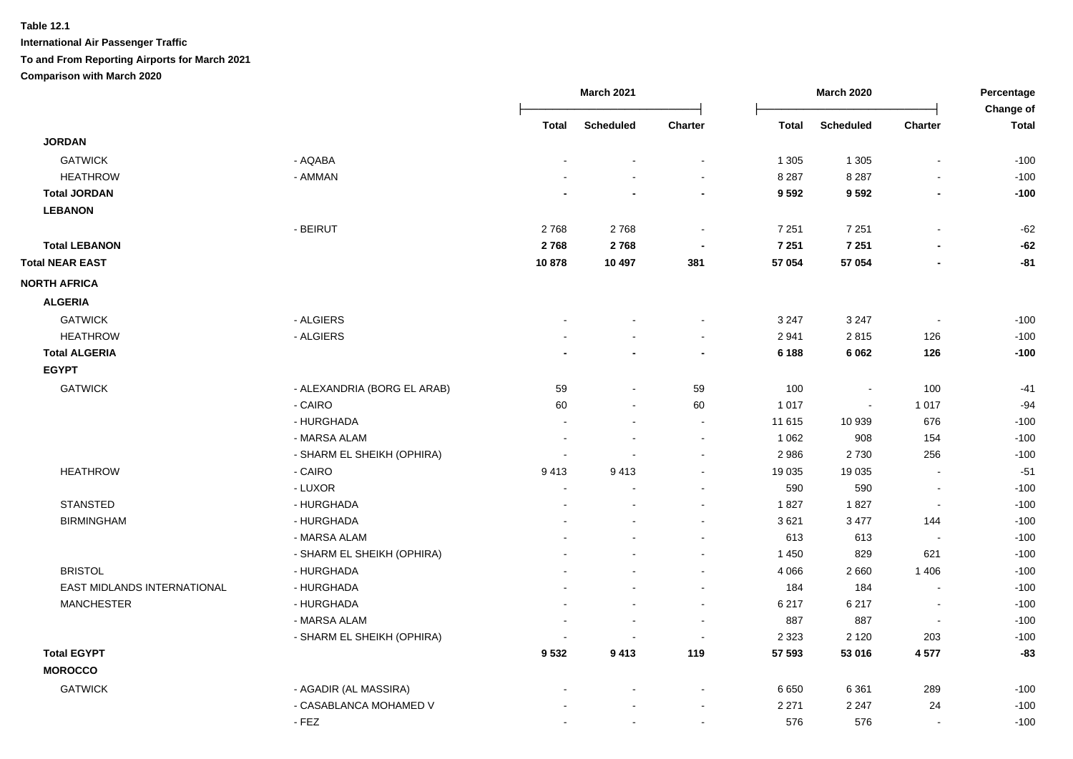|                             |                             |                | <b>March 2021</b>        |                          |              | <b>March 2020</b> |                          | Percentage<br>Change of |  |
|-----------------------------|-----------------------------|----------------|--------------------------|--------------------------|--------------|-------------------|--------------------------|-------------------------|--|
|                             |                             | <b>Total</b>   | <b>Scheduled</b>         | Charter                  | <b>Total</b> | <b>Scheduled</b>  | Charter                  | <b>Total</b>            |  |
| <b>JORDAN</b>               |                             |                |                          |                          |              |                   |                          |                         |  |
| <b>GATWICK</b>              | - AQABA                     |                | $\blacksquare$           | $\blacksquare$           | 1 3 0 5      | 1 3 0 5           | $\blacksquare$           | $-100$                  |  |
| <b>HEATHROW</b>             | - AMMAN                     |                |                          | $\sim$                   | 8 2 8 7      | 8 2 8 7           |                          | $-100$                  |  |
| <b>Total JORDAN</b>         |                             |                |                          | $\blacksquare$           | 9592         | 9592              | $\overline{\phantom{a}}$ | $-100$                  |  |
| <b>LEBANON</b>              |                             |                |                          |                          |              |                   |                          |                         |  |
|                             | - BEIRUT                    | 2768           | 2768                     | $\sim$                   | 7 2 5 1      | 7 2 5 1           | $\blacksquare$           | $-62$                   |  |
| <b>Total LEBANON</b>        |                             | 2768           | 2768                     | $\overline{\phantom{a}}$ | 7 2 5 1      | 7 2 5 1           | $\blacksquare$           | $-62$                   |  |
| <b>Total NEAR EAST</b>      |                             | 10878          | 10 497                   | 381                      | 57 054       | 57 054            |                          | $-81$                   |  |
| <b>NORTH AFRICA</b>         |                             |                |                          |                          |              |                   |                          |                         |  |
| <b>ALGERIA</b>              |                             |                |                          |                          |              |                   |                          |                         |  |
| <b>GATWICK</b>              | - ALGIERS                   |                |                          | $\sim$                   | 3 2 4 7      | 3 2 4 7           | $\blacksquare$           | $-100$                  |  |
| <b>HEATHROW</b>             | - ALGIERS                   |                |                          | $\sim$                   | 2 9 4 1      | 2815              | 126                      | $-100$                  |  |
| <b>Total ALGERIA</b>        |                             |                |                          | $\blacksquare$           | 6 188        | 6 0 62            | 126                      | $-100$                  |  |
| <b>EGYPT</b>                |                             |                |                          |                          |              |                   |                          |                         |  |
| <b>GATWICK</b>              | - ALEXANDRIA (BORG EL ARAB) | 59             | $\sim$                   | 59                       | 100          | $\sim$            | 100                      | $-41$                   |  |
|                             | - CAIRO                     | 60             | $\blacksquare$           | 60                       | 1 0 1 7      | $\Delta$          | 1 0 1 7                  | $-94$                   |  |
|                             | - HURGHADA                  | $\sim$         | $\blacksquare$           | $\sim$                   | 11 615       | 10 939            | 676                      | $-100$                  |  |
|                             | - MARSA ALAM                |                |                          | $\sim$                   | 1 0 6 2      | 908               | 154                      | $-100$                  |  |
|                             | - SHARM EL SHEIKH (OPHIRA)  |                |                          | $\blacksquare$           | 2 9 8 6      | 2730              | 256                      | $-100$                  |  |
| <b>HEATHROW</b>             | - CAIRO                     | 9413           | 9413                     | $\blacksquare$           | 19 0 35      | 19 0 35           | $\overline{\phantom{a}}$ | $-51$                   |  |
|                             | - LUXOR                     | $\blacksquare$ |                          | $\blacksquare$           | 590          | 590               | $\blacksquare$           | $-100$                  |  |
| <b>STANSTED</b>             | - HURGHADA                  |                |                          | $\sim$                   | 1827         | 1827              | $\blacksquare$           | $-100$                  |  |
| <b>BIRMINGHAM</b>           | - HURGHADA                  |                |                          | $\blacksquare$           | 3621         | 3 4 7 7           | 144                      | $-100$                  |  |
|                             | - MARSA ALAM                |                |                          | $\blacksquare$           | 613          | 613               | $\overline{\phantom{a}}$ | $-100$                  |  |
|                             | - SHARM EL SHEIKH (OPHIRA)  |                |                          |                          | 1 4 5 0      | 829               | 621                      | $-100$                  |  |
| <b>BRISTOL</b>              | - HURGHADA                  |                |                          |                          | 4 0 6 6      | 2660              | 1 4 0 6                  | $-100$                  |  |
| EAST MIDLANDS INTERNATIONAL | - HURGHADA                  |                |                          | $\sim$                   | 184          | 184               | $\sim$                   | $-100$                  |  |
| <b>MANCHESTER</b>           | - HURGHADA                  |                | $\sim$                   | $\blacksquare$           | 6 217        | 6 2 1 7           | $\blacksquare$           | $-100$                  |  |
|                             | - MARSA ALAM                | $\sim$         | $\sim$                   | $\sim$                   | 887          | 887               | $\blacksquare$           | $-100$                  |  |
|                             | - SHARM EL SHEIKH (OPHIRA)  |                | $\overline{\phantom{a}}$ | $\sim$                   | 2 3 2 3      | 2 1 2 0           | 203                      | $-100$                  |  |
| <b>Total EGYPT</b>          |                             | 9532           | 9413                     | 119                      | 57 593       | 53 016            | 4577                     | $-83$                   |  |
| <b>MOROCCO</b>              |                             |                |                          |                          |              |                   |                          |                         |  |
| <b>GATWICK</b>              | - AGADIR (AL MASSIRA)       |                |                          | $\blacksquare$           | 6650         | 6 3 6 1           | 289                      | $-100$                  |  |
|                             | - CASABLANCA MOHAMED V      |                |                          | $\blacksquare$           | 2 2 7 1      | 2 2 4 7           | 24                       | $-100$                  |  |
|                             | $-FEZ$                      |                | $\sim$                   | $\sim$                   | 576          | 576               | $\overline{\phantom{a}}$ | $-100$                  |  |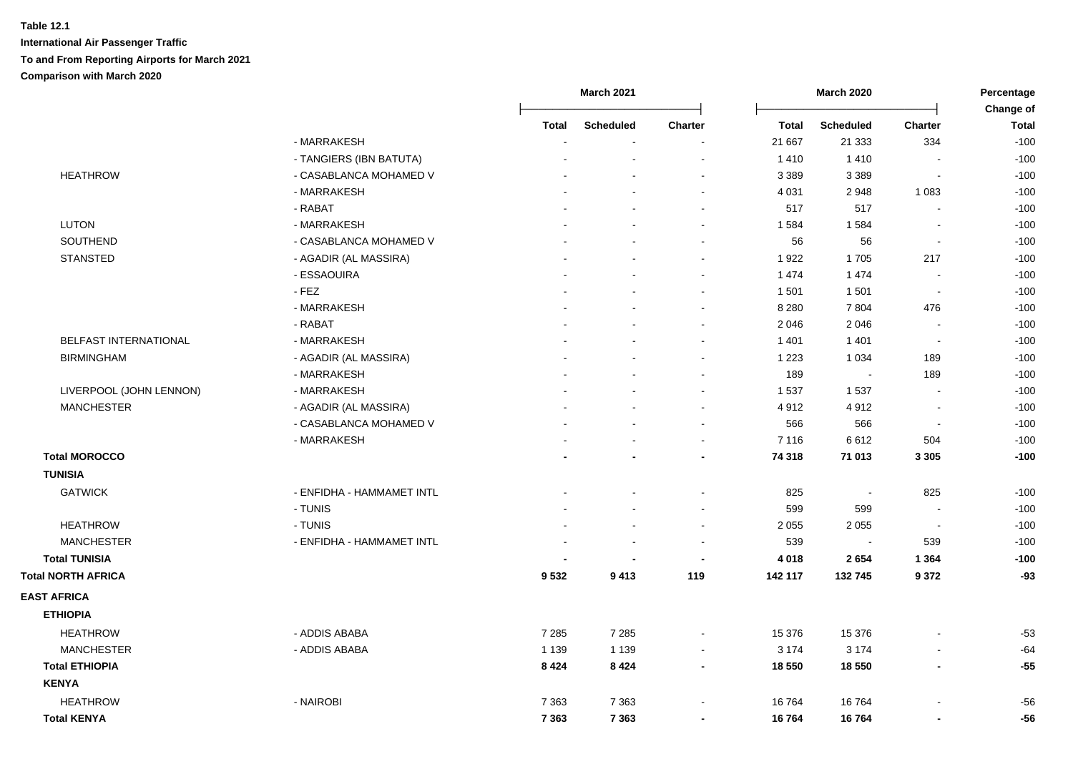|                           |                           | <b>March 2021</b>        |                          |                          | <b>March 2020</b> |                  |                          | Percentage                |
|---------------------------|---------------------------|--------------------------|--------------------------|--------------------------|-------------------|------------------|--------------------------|---------------------------|
|                           |                           | Total                    | <b>Scheduled</b>         | Charter                  | <b>Total</b>      | <b>Scheduled</b> | <b>Charter</b>           | Change of<br><b>Total</b> |
|                           | - MARRAKESH               | $\overline{\phantom{a}}$ | $\blacksquare$           | $\blacksquare$           | 21 667            | 21 3 33          | 334                      | $-100$                    |
|                           | - TANGIERS (IBN BATUTA)   |                          |                          |                          | 1410              | 1410             |                          | $-100$                    |
| <b>HEATHROW</b>           | - CASABLANCA MOHAMED V    |                          |                          | $\sim$                   | 3 3 8 9           | 3 3 8 9          | $\sim$                   | $-100$                    |
|                           | - MARRAKESH               |                          |                          |                          | 4 0 31            | 2948             | 1 0 8 3                  | $-100$                    |
|                           | - RABAT                   |                          |                          | $\blacksquare$           | 517               | 517              | $\overline{\phantom{a}}$ | $-100$                    |
| <b>LUTON</b>              | - MARRAKESH               |                          |                          | $\sim$                   | 1 5 8 4           | 1584             | $\blacksquare$           | $-100$                    |
| SOUTHEND                  | - CASABLANCA MOHAMED V    |                          |                          | $\sim$                   | 56                | 56               | $\sim$                   | $-100$                    |
| <b>STANSTED</b>           | - AGADIR (AL MASSIRA)     |                          |                          | $\sim$                   | 1922              | 1705             | 217                      | $-100$                    |
|                           | - ESSAOUIRA               |                          |                          | $\sim$                   | 1474              | 1 4 7 4          | $\blacksquare$           | $-100$                    |
|                           | $-$ FEZ                   |                          |                          | $\sim$                   | 1 501             | 1501             | $\sim$                   | $-100$                    |
|                           | - MARRAKESH               |                          |                          | $\sim$                   | 8 2 8 0           | 7804             | 476                      | $-100$                    |
|                           | - RABAT                   |                          |                          | $\blacksquare$           | 2 0 4 6           | 2 0 4 6          | $\blacksquare$           | $-100$                    |
| BELFAST INTERNATIONAL     | - MARRAKESH               |                          |                          | $\sim$                   | 1 4 0 1           | 1401             | $\blacksquare$           | $-100$                    |
| <b>BIRMINGHAM</b>         | - AGADIR (AL MASSIRA)     |                          |                          | $\sim$                   | 1 2 2 3           | 1 0 3 4          | 189                      | $-100$                    |
|                           | - MARRAKESH               |                          |                          | $\sim$                   | 189               | $\blacksquare$   | 189                      | $-100$                    |
| LIVERPOOL (JOHN LENNON)   | - MARRAKESH               |                          |                          | $\sim$                   | 1 5 3 7           | 1537             | $\blacksquare$           | $-100$                    |
| <b>MANCHESTER</b>         | - AGADIR (AL MASSIRA)     |                          |                          |                          | 4912              | 4912             | $\blacksquare$           | $-100$                    |
|                           | - CASABLANCA MOHAMED V    |                          |                          |                          | 566               | 566              | $\sim$                   | $-100$                    |
|                           | - MARRAKESH               |                          |                          |                          | 7 1 1 6           | 6612             | 504                      | $-100$                    |
| <b>Total MOROCCO</b>      |                           |                          |                          |                          | 74 318            | 71 013           | 3 3 0 5                  | $-100$                    |
| <b>TUNISIA</b>            |                           |                          |                          |                          |                   |                  |                          |                           |
| <b>GATWICK</b>            | - ENFIDHA - HAMMAMET INTL |                          |                          |                          | 825               | ÷,               | 825                      | $-100$                    |
|                           | - TUNIS                   |                          |                          |                          | 599               | 599              | $\overline{\phantom{a}}$ | $-100$                    |
| <b>HEATHROW</b>           | - TUNIS                   |                          |                          | $\sim$                   | 2 0 5 5           | 2 0 5 5          | $\sim$                   | $-100$                    |
| <b>MANCHESTER</b>         | - ENFIDHA - HAMMAMET INTL |                          | $\overline{\phantom{a}}$ | $\sim$                   | 539               | $\sim$           | 539                      | $-100$                    |
| <b>Total TUNISIA</b>      |                           |                          | $\blacksquare$           | $\blacksquare$           | 4 0 18            | 2654             | 1 3 6 4                  | $-100$                    |
| <b>Total NORTH AFRICA</b> |                           | 9532                     | 9413                     | 119                      | 142 117           | 132 745          | 9 3 7 2                  | $-93$                     |
| <b>EAST AFRICA</b>        |                           |                          |                          |                          |                   |                  |                          |                           |
| <b>ETHIOPIA</b>           |                           |                          |                          |                          |                   |                  |                          |                           |
| <b>HEATHROW</b>           | - ADDIS ABABA             | 7 2 8 5                  | 7 2 8 5                  | $\blacksquare$           | 15 376            | 15 376           |                          | $-53$                     |
| <b>MANCHESTER</b>         | - ADDIS ABABA             | 1 1 3 9                  | 1 1 3 9                  | $\overline{\phantom{a}}$ | 3 1 7 4           | 3 1 7 4          | $\blacksquare$           | $-64$                     |
| <b>Total ETHIOPIA</b>     |                           | 8 4 2 4                  | 8424                     | $\blacksquare$           | 18 550            | 18 550           | $\overline{\phantom{a}}$ | $-55$                     |
| <b>KENYA</b>              |                           |                          |                          |                          |                   |                  |                          |                           |
| <b>HEATHROW</b>           | - NAIROBI                 | 7 3 6 3                  | 7 3 6 3                  | $\sim$                   | 16764             | 16764            |                          | $-56$                     |
| <b>Total KENYA</b>        |                           | 7 3 6 3                  | 7 3 6 3                  | $\blacksquare$           | 16764             | 16764            | $\overline{\phantom{0}}$ | $-56$                     |
|                           |                           |                          |                          |                          |                   |                  |                          |                           |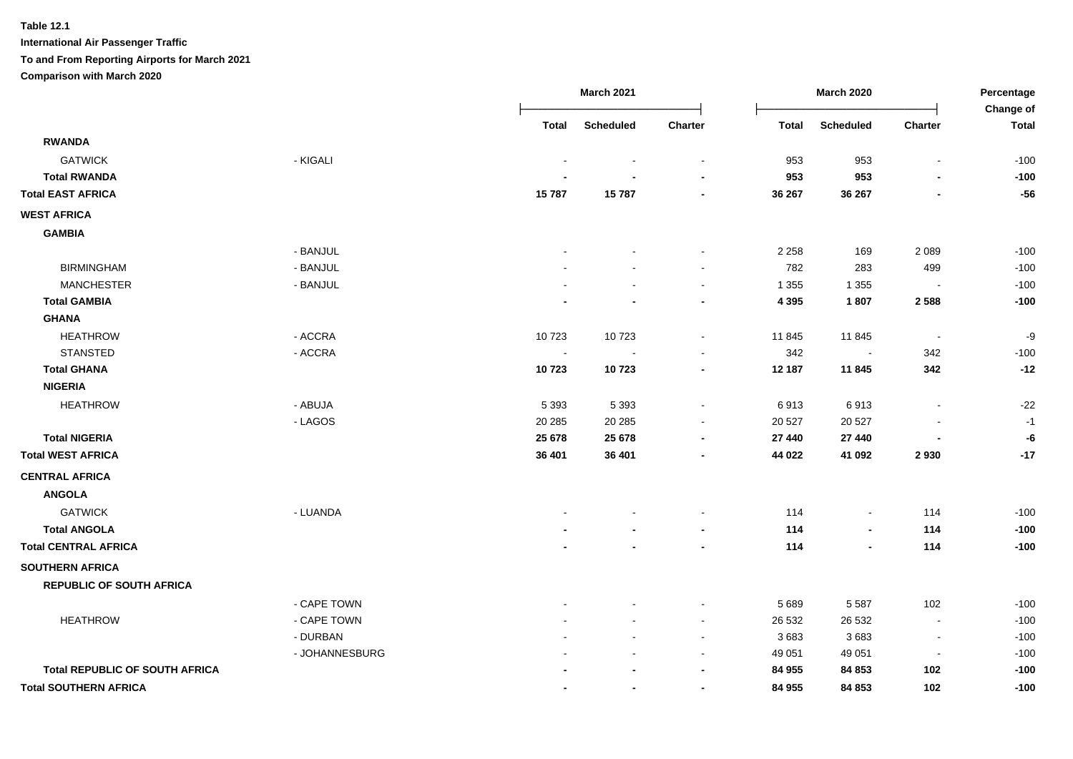#### **Table 12.1**

|                                       |                |                | <b>March 2021</b> |         | <b>March 2020</b> |                  |                          | Percentage                |
|---------------------------------------|----------------|----------------|-------------------|---------|-------------------|------------------|--------------------------|---------------------------|
|                                       |                | Total          | <b>Scheduled</b>  | Charter | <b>Total</b>      | <b>Scheduled</b> | <b>Charter</b>           | <b>Change of</b><br>Total |
| <b>RWANDA</b>                         |                |                |                   |         |                   |                  |                          |                           |
| <b>GATWICK</b>                        | - KIGALI       |                |                   |         | 953               | 953              | $\overline{\phantom{a}}$ | $-100$                    |
| <b>Total RWANDA</b>                   |                |                |                   |         | 953               | 953              |                          | $-100$                    |
| <b>Total EAST AFRICA</b>              |                | 15787          | 15787             |         | 36 267            | 36 267           |                          | $-56$                     |
| <b>WEST AFRICA</b>                    |                |                |                   |         |                   |                  |                          |                           |
| <b>GAMBIA</b>                         |                |                |                   |         |                   |                  |                          |                           |
|                                       | - BANJUL       |                |                   |         | 2 2 5 8           | 169              | 2 0 8 9                  | $-100$                    |
| <b>BIRMINGHAM</b>                     | - BANJUL       |                |                   |         | 782               | 283              | 499                      | $-100$                    |
| <b>MANCHESTER</b>                     | - BANJUL       |                |                   |         | 1 3 5 5           | 1 3 5 5          | $\blacksquare$           | $-100$                    |
| <b>Total GAMBIA</b>                   |                |                |                   |         | 4 3 9 5           | 1807             | 2588                     | $-100$                    |
| <b>GHANA</b>                          |                |                |                   |         |                   |                  |                          |                           |
| <b>HEATHROW</b>                       | - ACCRA        | 10723          | 10723             |         | 11 845            | 11 845           | $\blacksquare$           | -9                        |
| <b>STANSTED</b>                       | - ACCRA        | $\blacksquare$ |                   |         | 342               | $\blacksquare$   | 342                      | $-100$                    |
| <b>Total GHANA</b>                    |                | 10723          | 10723             |         | 12 187            | 11 845           | 342                      | $-12$                     |
| <b>NIGERIA</b>                        |                |                |                   |         |                   |                  |                          |                           |
| <b>HEATHROW</b>                       | - ABUJA        | 5 3 9 3        | 5 3 9 3           |         | 6913              | 6913             | $\overline{\phantom{a}}$ | $-22$                     |
|                                       | - LAGOS        | 20 28 5        | 20 28 5           |         | 20 5 27           | 20 5 27          |                          | $-1$                      |
| <b>Total NIGERIA</b>                  |                | 25 678         | 25 678            |         | 27 440            | 27 440           |                          | -6                        |
| <b>Total WEST AFRICA</b>              |                | 36 401         | 36 401            |         | 44 022            | 41 092           | 2930                     | $-17$                     |
| <b>CENTRAL AFRICA</b>                 |                |                |                   |         |                   |                  |                          |                           |
| <b>ANGOLA</b>                         |                |                |                   |         |                   |                  |                          |                           |
| <b>GATWICK</b>                        | - LUANDA       |                |                   |         | 114               | $\blacksquare$   | 114                      | $-100$                    |
| <b>Total ANGOLA</b>                   |                |                |                   |         | 114               | $\blacksquare$   | 114                      | $-100$                    |
| <b>Total CENTRAL AFRICA</b>           |                |                |                   |         | 114               | $\blacksquare$   | 114                      | $-100$                    |
| <b>SOUTHERN AFRICA</b>                |                |                |                   |         |                   |                  |                          |                           |
| <b>REPUBLIC OF SOUTH AFRICA</b>       |                |                |                   |         |                   |                  |                          |                           |
|                                       | - CAPE TOWN    |                |                   |         | 5 6 8 9           | 5 5 8 7          | 102                      | $-100$                    |
| <b>HEATHROW</b>                       | - CAPE TOWN    |                |                   |         | 26 532            | 26 532           | $\blacksquare$           | $-100$                    |
|                                       | - DURBAN       |                |                   |         | 3683              | 3683             | $\overline{\phantom{a}}$ | $-100$                    |
|                                       | - JOHANNESBURG |                |                   |         | 49 051            | 49 051           | $\blacksquare$           | $-100$                    |
| <b>Total REPUBLIC OF SOUTH AFRICA</b> |                |                |                   |         | 84 955            | 84 853           | 102                      | $-100$                    |
| <b>Total SOUTHERN AFRICA</b>          |                |                |                   |         | 84 955            | 84 853           | 102                      | $-100$                    |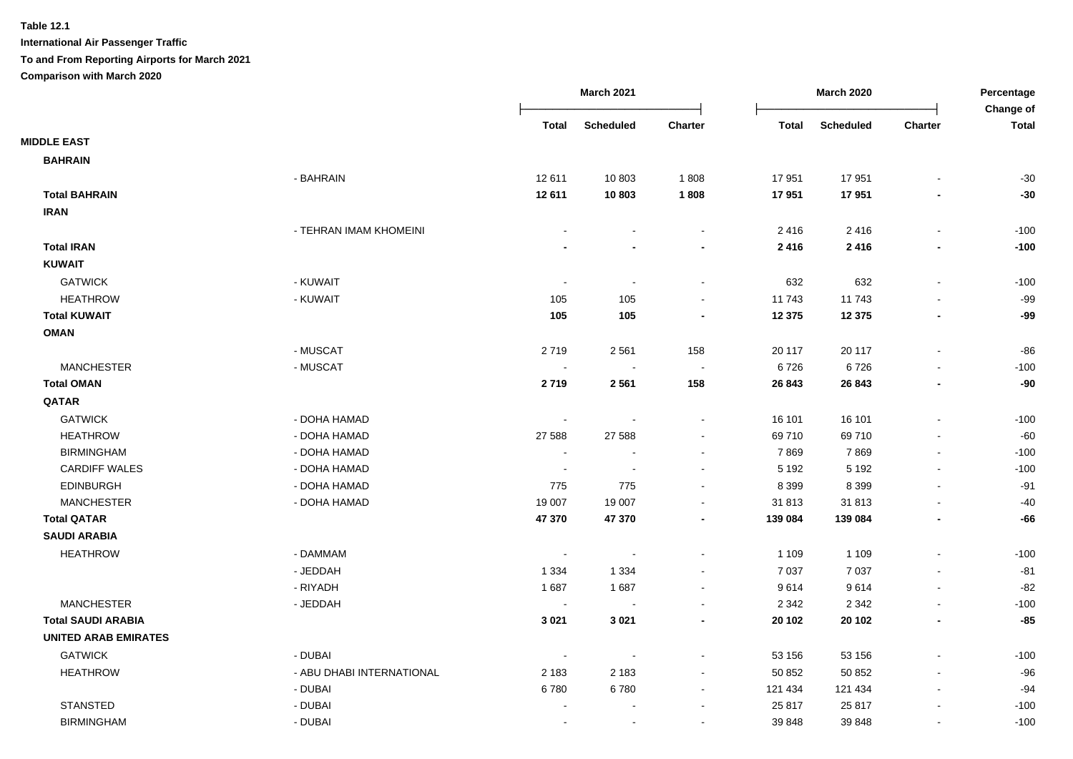|                             |                           |                          | <b>March 2021</b>        |                          |              | <b>March 2020</b> |                | Percentage<br>Change of |
|-----------------------------|---------------------------|--------------------------|--------------------------|--------------------------|--------------|-------------------|----------------|-------------------------|
|                             |                           | <b>Total</b>             | <b>Scheduled</b>         | Charter                  | <b>Total</b> | <b>Scheduled</b>  | Charter        | <b>Total</b>            |
| <b>MIDDLE EAST</b>          |                           |                          |                          |                          |              |                   |                |                         |
| <b>BAHRAIN</b>              |                           |                          |                          |                          |              |                   |                |                         |
|                             | - BAHRAIN                 | 12 611                   | 10 803                   | 1808                     | 17 951       | 17951             |                | $-30$                   |
| <b>Total BAHRAIN</b>        |                           | 12 611                   | 10803                    | 1808                     | 17951        | 17951             |                | $-30$                   |
| <b>IRAN</b>                 |                           |                          |                          |                          |              |                   |                |                         |
|                             | - TEHRAN IMAM KHOMEINI    |                          |                          | $\sim$                   | 2416         | 2416              |                | $-100$                  |
| <b>Total IRAN</b>           |                           |                          |                          |                          | 2416         | 2416              |                | $-100$                  |
| <b>KUWAIT</b>               |                           |                          |                          |                          |              |                   |                |                         |
| <b>GATWICK</b>              | - KUWAIT                  | $\blacksquare$           | $\sim$                   | $\overline{\phantom{a}}$ | 632          | 632               | $\blacksquare$ | $-100$                  |
| <b>HEATHROW</b>             | - KUWAIT                  | 105                      | 105                      | $\sim$                   | 11743        | 11743             |                | $-99$                   |
| <b>Total KUWAIT</b>         |                           | 105                      | 105                      |                          | 12 3 75      | 12 3 75           |                | -99                     |
| <b>OMAN</b>                 |                           |                          |                          |                          |              |                   |                |                         |
|                             | - MUSCAT                  | 2719                     | 2561                     | 158                      | 20 117       | 20 117            |                | $-86$                   |
| <b>MANCHESTER</b>           | - MUSCAT                  |                          |                          | $\sim$                   | 6726         | 6726              |                | $-100$                  |
| <b>Total OMAN</b>           |                           | 2719                     | 2561                     | 158                      | 26 843       | 26 843            |                | $-90$                   |
| QATAR                       |                           |                          |                          |                          |              |                   |                |                         |
| <b>GATWICK</b>              | - DOHA HAMAD              | $\blacksquare$           |                          | $\blacksquare$           | 16 101       | 16 101            |                | $-100$                  |
| <b>HEATHROW</b>             | - DOHA HAMAD              | 27 588                   | 27 588                   | $\sim$                   | 69710        | 69710             |                | $-60$                   |
| <b>BIRMINGHAM</b>           | - DOHA HAMAD              | $\blacksquare$           |                          | $\sim$                   | 7869         | 7869              |                | $-100$                  |
| <b>CARDIFF WALES</b>        | - DOHA HAMAD              |                          |                          |                          | 5 1 9 2      | 5 1 9 2           |                | $-100$                  |
| <b>EDINBURGH</b>            | - DOHA HAMAD              | 775                      | 775                      |                          | 8 3 9 9      | 8 3 9 9           |                | $-91$                   |
| <b>MANCHESTER</b>           | - DOHA HAMAD              | 19 007                   | 19 007                   |                          | 31 813       | 31813             |                | $-40$                   |
| <b>Total QATAR</b>          |                           | 47 370                   | 47 370                   |                          | 139 084      | 139 084           |                | -66                     |
| <b>SAUDI ARABIA</b>         |                           |                          |                          |                          |              |                   |                |                         |
| <b>HEATHROW</b>             | - DAMMAM                  | $\overline{\phantom{a}}$ | $\sim$                   |                          | 1 1 0 9      | 1 1 0 9           |                | $-100$                  |
|                             | - JEDDAH                  | 1 3 3 4                  | 1 3 3 4                  |                          | 7 0 3 7      | 7 0 3 7           |                | $-81$                   |
|                             | - RIYADH                  | 1687                     | 1687                     |                          | 9614         | 9614              |                | $-82$                   |
| <b>MANCHESTER</b>           | - JEDDAH                  | $\sim$                   |                          |                          | 2 3 4 2      | 2 3 4 2           |                | $-100$                  |
| <b>Total SAUDI ARABIA</b>   |                           | 3 0 21                   | 3 0 2 1                  |                          | 20 102       | 20 10 2           |                | $-85$                   |
| <b>UNITED ARAB EMIRATES</b> |                           |                          |                          |                          |              |                   |                |                         |
| <b>GATWICK</b>              | - DUBAI                   |                          |                          |                          | 53 156       | 53 156            |                | $-100$                  |
| <b>HEATHROW</b>             | - ABU DHABI INTERNATIONAL | 2 1 8 3                  | 2 1 8 3                  |                          | 50 852       | 50 852            |                | $-96$                   |
|                             | - DUBAI                   | 6780                     | 6780                     |                          | 121 434      | 121 434           |                | $-94$                   |
| <b>STANSTED</b>             | - DUBAI                   |                          |                          |                          | 25 817       | 25 817            |                | $-100$                  |
| <b>BIRMINGHAM</b>           | - DUBAI                   |                          | $\overline{\phantom{a}}$ |                          | 39 848       | 39 848            |                | $-100$                  |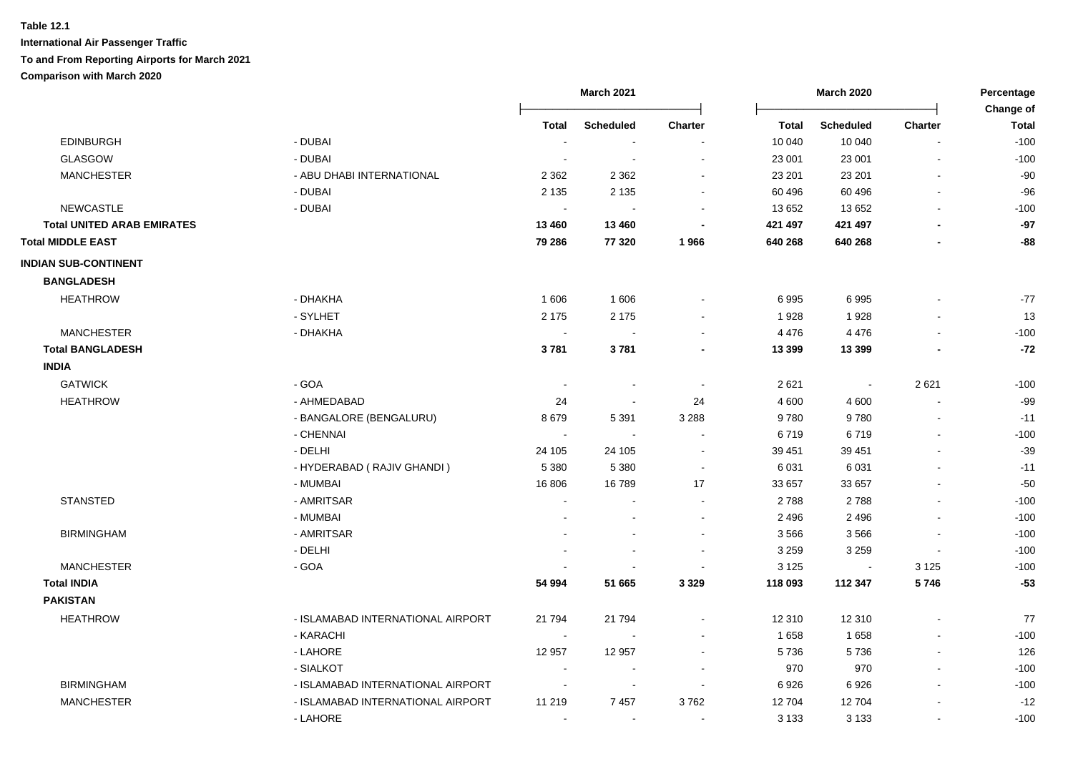#### **Table 12.1**

|                                   |                                   |                          | <b>March 2021</b> |                          |              | <b>March 2020</b>          |                                  | Percentage                |  |
|-----------------------------------|-----------------------------------|--------------------------|-------------------|--------------------------|--------------|----------------------------|----------------------------------|---------------------------|--|
|                                   |                                   | <b>Total</b>             | <b>Scheduled</b>  | Charter                  | <b>Total</b> |                            |                                  | Change of<br><b>Total</b> |  |
| <b>EDINBURGH</b>                  | - DUBAI                           | $\sim$                   | $\sim$            |                          | 10 040       | <b>Scheduled</b><br>10 040 | <b>Charter</b><br>$\overline{a}$ | $-100$                    |  |
| <b>GLASGOW</b>                    | - DUBAI                           |                          |                   |                          | 23 001       | 23 001                     | $\overline{a}$                   | $-100$                    |  |
| <b>MANCHESTER</b>                 | - ABU DHABI INTERNATIONAL         | 2 3 6 2                  | 2 3 6 2           |                          | 23 201       | 23 201                     |                                  | $-90$                     |  |
|                                   | - DUBAI                           | 2 1 3 5                  | 2 1 3 5           |                          | 60 496       | 60 496                     | $\blacksquare$                   | $-96$                     |  |
| <b>NEWCASTLE</b>                  | - DUBAI                           |                          |                   |                          | 13 652       | 13 652                     | $\overline{a}$                   | $-100$                    |  |
| <b>Total UNITED ARAB EMIRATES</b> |                                   | 13 460                   | 13 460            |                          | 421 497      | 421 497                    |                                  | $-97$                     |  |
| <b>Total MIDDLE EAST</b>          |                                   | 79 286                   | 77 320            | 1966                     | 640 268      | 640 268                    |                                  | $-88$                     |  |
| <b>INDIAN SUB-CONTINENT</b>       |                                   |                          |                   |                          |              |                            |                                  |                           |  |
| <b>BANGLADESH</b>                 |                                   |                          |                   |                          |              |                            |                                  |                           |  |
| <b>HEATHROW</b>                   | - DHAKHA                          | 1606                     | 1606              |                          | 6995         | 6995                       |                                  | $-77$                     |  |
|                                   | - SYLHET                          | 2 1 7 5                  | 2 1 7 5           |                          | 1928         | 1928                       |                                  | 13                        |  |
| <b>MANCHESTER</b>                 | - DHAKHA                          | $\blacksquare$           |                   |                          | 4 4 7 6      | 4 4 7 6                    |                                  | $-100$                    |  |
| <b>Total BANGLADESH</b>           |                                   | 3781                     | 3781              |                          | 13 3 9 9     | 13 3 9 9                   |                                  | $-72$                     |  |
| <b>INDIA</b>                      |                                   |                          |                   |                          |              |                            |                                  |                           |  |
| <b>GATWICK</b>                    | - GOA                             | $\overline{\phantom{a}}$ |                   | $\overline{\phantom{a}}$ | 2 6 2 1      | $\sim$                     | 2621                             | $-100$                    |  |
| <b>HEATHROW</b>                   | - AHMEDABAD                       | 24                       |                   | 24                       | 4 600        | 4 600                      | $\overline{a}$                   | $-99$                     |  |
|                                   | - BANGALORE (BENGALURU)           | 8679                     | 5 3 9 1           | 3 2 8 8                  | 9780         | 9780                       | $\overline{a}$                   | $-11$                     |  |
|                                   | - CHENNAI                         | $\overline{\phantom{a}}$ |                   | $\blacksquare$           | 6719         | 6719                       | $\overline{a}$                   | $-100$                    |  |
|                                   | - DELHI                           | 24 105                   | 24 105            |                          | 39 451       | 39 451                     |                                  | $-39$                     |  |
|                                   | - HYDERABAD (RAJIV GHANDI)        | 5 3 8 0                  | 5 3 8 0           | $\overline{\phantom{a}}$ | 6 0 31       | 6 0 31                     |                                  | $-11$                     |  |
|                                   | - MUMBAI                          | 16 806                   | 16789             | 17                       | 33 657       | 33 657                     |                                  | $-50$                     |  |
| <b>STANSTED</b>                   | - AMRITSAR                        |                          |                   |                          | 2788         | 2788                       |                                  | $-100$                    |  |
|                                   | - MUMBAI                          |                          |                   |                          | 2 4 9 6      | 2 4 9 6                    |                                  | $-100$                    |  |
| <b>BIRMINGHAM</b>                 | - AMRITSAR                        |                          |                   |                          | 3566         | 3566                       | $\blacksquare$                   | $-100$                    |  |
|                                   | - DELHI                           |                          |                   |                          | 3 2 5 9      | 3 2 5 9                    | $\blacksquare$                   | $-100$                    |  |
| <b>MANCHESTER</b>                 | - GOA                             |                          |                   |                          | 3 1 2 5      | $\overline{\phantom{a}}$   | 3 1 2 5                          | $-100$                    |  |
| <b>Total INDIA</b>                |                                   | 54 994                   | 51 665            | 3 3 2 9                  | 118 093      | 112 347                    | 5746                             | $-53$                     |  |
| <b>PAKISTAN</b>                   |                                   |                          |                   |                          |              |                            |                                  |                           |  |
| <b>HEATHROW</b>                   | - ISLAMABAD INTERNATIONAL AIRPORT | 21 794                   | 21 7 9 4          |                          | 12 310       | 12 310                     |                                  | $77$                      |  |
|                                   | - KARACHI                         | $\overline{\phantom{a}}$ |                   |                          | 1658         | 1658                       |                                  | $-100$                    |  |
|                                   | - LAHORE                          | 12 957                   | 12 957            |                          | 5736         | 5736                       | $\blacksquare$                   | 126                       |  |
|                                   | - SIALKOT                         |                          |                   |                          | 970          | 970                        | $\mathbf{r}$                     | $-100$                    |  |
| <b>BIRMINGHAM</b>                 | - ISLAMABAD INTERNATIONAL AIRPORT | $\blacksquare$           | $\sim$            | $\sim$                   | 6926         | 6926                       | $\blacksquare$                   | $-100$                    |  |
| <b>MANCHESTER</b>                 | - ISLAMABAD INTERNATIONAL AIRPORT | 11 219                   | 7457              | 3762                     | 12 704       | 12704                      |                                  | $-12$                     |  |
|                                   | - LAHORE                          | $\overline{a}$           | $\sim$            | $\blacksquare$           | 3 1 3 3      | 3 1 3 3                    | L,                               | $-100$                    |  |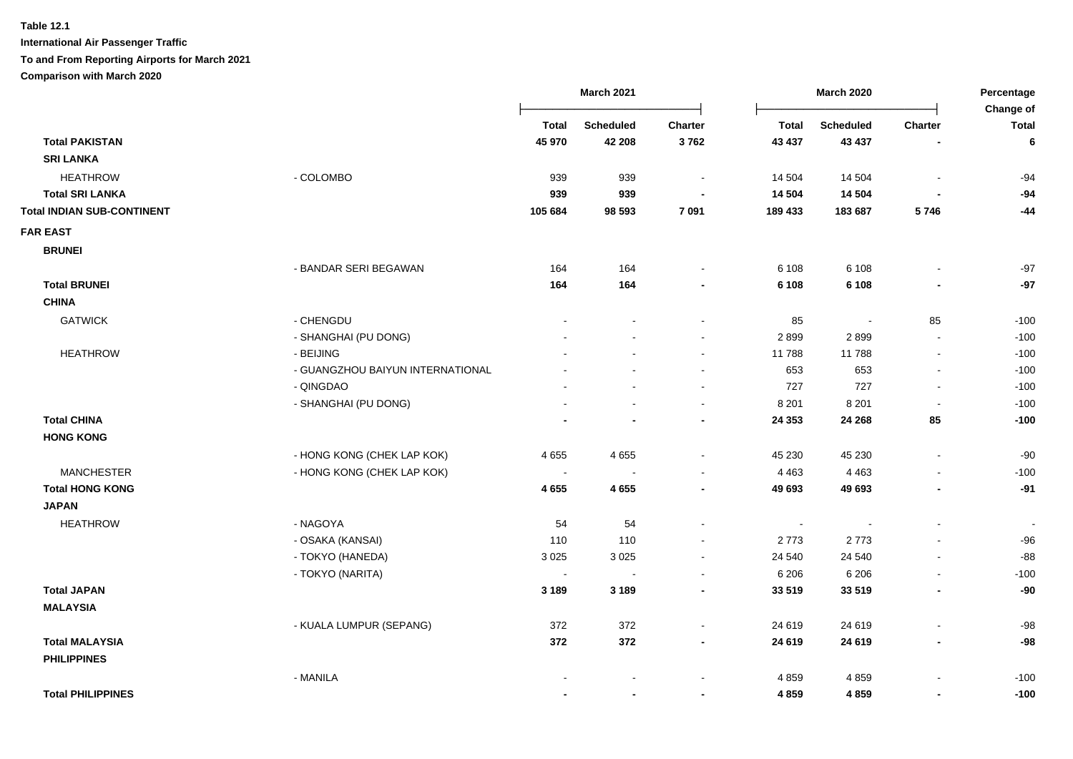**Table 12.1**

|                                   |                                  |              | <b>March 2021</b> |                          |                | <b>March 2020</b> |                          | Percentage                |
|-----------------------------------|----------------------------------|--------------|-------------------|--------------------------|----------------|-------------------|--------------------------|---------------------------|
|                                   |                                  | <b>Total</b> | <b>Scheduled</b>  | Charter                  | <b>Total</b>   | <b>Scheduled</b>  | <b>Charter</b>           | Change of<br><b>Total</b> |
| <b>Total PAKISTAN</b>             |                                  | 45 970       | 42 208            | 3762                     | 43 437         | 43 437            | $\blacksquare$           | 6                         |
| <b>SRI LANKA</b>                  |                                  |              |                   |                          |                |                   |                          |                           |
| <b>HEATHROW</b>                   | - COLOMBO                        | 939          | 939               | $\blacksquare$           | 14 504         | 14 504            | $\blacksquare$           | $-94$                     |
| <b>Total SRI LANKA</b>            |                                  | 939          | 939               |                          | 14 504         | 14 504            |                          | $-94$                     |
| <b>Total INDIAN SUB-CONTINENT</b> |                                  | 105 684      | 98 593            | 7 0 9 1                  | 189 433        | 183 687           | 5746                     | $-44$                     |
| <b>FAR EAST</b>                   |                                  |              |                   |                          |                |                   |                          |                           |
| <b>BRUNEI</b>                     |                                  |              |                   |                          |                |                   |                          |                           |
|                                   | - BANDAR SERI BEGAWAN            | 164          | 164               |                          | 6 1 0 8        | 6 1 0 8           |                          | $-97$                     |
| <b>Total BRUNEI</b>               |                                  | 164          | 164               |                          | 6 1 0 8        | 6 1 0 8           |                          | $-97$                     |
| <b>CHINA</b>                      |                                  |              |                   |                          |                |                   |                          |                           |
| <b>GATWICK</b>                    | - CHENGDU                        |              |                   | $\blacksquare$           | 85             | $\sim$            | 85                       | $-100$                    |
|                                   | - SHANGHAI (PU DONG)             |              |                   | $\overline{\phantom{a}}$ | 2899           | 2899              | $\overline{a}$           | $-100$                    |
| <b>HEATHROW</b>                   | - BEIJING                        |              |                   | $\blacksquare$           | 11 788         | 11788             | $\blacksquare$           | $-100$                    |
|                                   | - GUANGZHOU BAIYUN INTERNATIONAL |              |                   | $\blacksquare$           | 653            | 653               | $\blacksquare$           | $-100$                    |
|                                   | - QINGDAO                        |              |                   | $\blacksquare$           | 727            | 727               | $\blacksquare$           | $-100$                    |
|                                   | - SHANGHAI (PU DONG)             |              |                   | $\sim$                   | 8 2 0 1        | 8 2 0 1           | $\overline{\phantom{a}}$ | $-100$                    |
| <b>Total CHINA</b>                |                                  |              |                   | $\blacksquare$           | 24 3 53        | 24 268            | 85                       | $-100$                    |
| <b>HONG KONG</b>                  |                                  |              |                   |                          |                |                   |                          |                           |
|                                   | - HONG KONG (CHEK LAP KOK)       | 4 6 5 5      | 4655              | $\blacksquare$           | 45 230         | 45 230            | $\blacksquare$           | $-90$                     |
| <b>MANCHESTER</b>                 | - HONG KONG (CHEK LAP KOK)       |              | $\sim$            | $\sim$                   | 4 4 6 3        | 4 4 6 3           |                          | $-100$                    |
| <b>Total HONG KONG</b>            |                                  | 4655         | 4 6 5 5           | $\blacksquare$           | 49 693         | 49 693            | $\blacksquare$           | $-91$                     |
| <b>JAPAN</b>                      |                                  |              |                   |                          |                |                   |                          |                           |
| <b>HEATHROW</b>                   | - NAGOYA                         | 54           | 54                | $\ddot{\phantom{a}}$     | $\blacksquare$ |                   | $\blacksquare$           | $\sim$                    |
|                                   | - OSAKA (KANSAI)                 | 110          | 110               |                          | 2773           | 2773              |                          | $-96$                     |
|                                   | - TOKYO (HANEDA)                 | 3 0 2 5      | 3 0 2 5           | $\blacksquare$           | 24 540         | 24 540            | $\blacksquare$           | $-88$                     |
|                                   | - TOKYO (NARITA)                 |              |                   |                          | 6 20 6         | 6 2 0 6           |                          | $-100$                    |
| <b>Total JAPAN</b>                |                                  | 3 1 8 9      | 3 1 8 9           | $\overline{\phantom{a}}$ | 33 519         | 33 519            | $\overline{a}$           | $-90$                     |
| <b>MALAYSIA</b>                   |                                  |              |                   |                          |                |                   |                          |                           |
|                                   | - KUALA LUMPUR (SEPANG)          | 372          | 372               | $\blacksquare$           | 24 619         | 24 619            | $\blacksquare$           | $-98$                     |
| <b>Total MALAYSIA</b>             |                                  | 372          | 372               | $\blacksquare$           | 24 619         | 24 619            | $\overline{\phantom{a}}$ | $-98$                     |
| <b>PHILIPPINES</b>                |                                  |              |                   |                          |                |                   |                          |                           |
|                                   | - MANILA                         |              |                   | $\blacksquare$           | 4859           | 4859              |                          | $-100$                    |
| <b>Total PHILIPPINES</b>          |                                  |              | $\blacksquare$    | $\blacksquare$           | 4859           | 4859              | $\blacksquare$           | $-100$                    |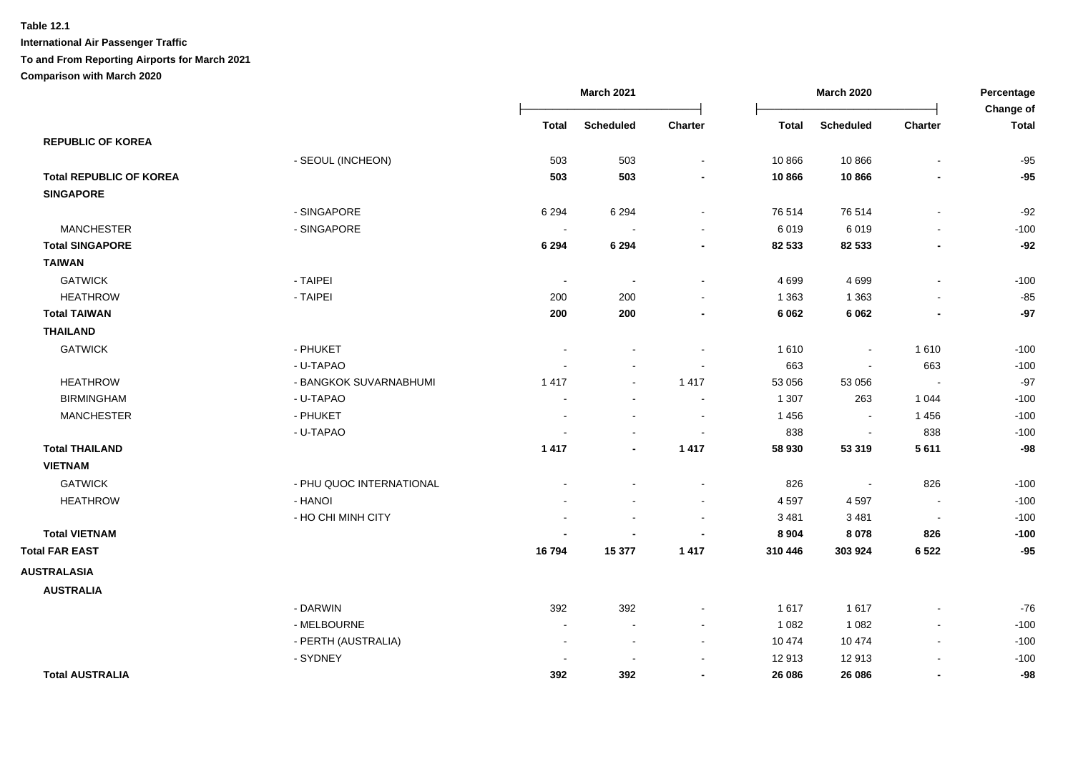|                                |                          |                          | <b>March 2021</b>        |                          |              | <b>March 2020</b>        |                          | Percentage                |
|--------------------------------|--------------------------|--------------------------|--------------------------|--------------------------|--------------|--------------------------|--------------------------|---------------------------|
|                                |                          | <b>Total</b>             | <b>Scheduled</b>         | Charter                  | <b>Total</b> | <b>Scheduled</b>         | Charter                  | Change of<br><b>Total</b> |
| <b>REPUBLIC OF KOREA</b>       |                          |                          |                          |                          |              |                          |                          |                           |
|                                | - SEOUL (INCHEON)        | 503                      | 503                      | $\blacksquare$           | 10 866       | 10866                    | $\blacksquare$           | $-95$                     |
| <b>Total REPUBLIC OF KOREA</b> |                          | 503                      | 503                      |                          | 10866        | 10866                    |                          | $-95$                     |
| <b>SINGAPORE</b>               |                          |                          |                          |                          |              |                          |                          |                           |
|                                | - SINGAPORE              | 6 2 9 4                  | 6 2 9 4                  | $\blacksquare$           | 76 514       | 76 514                   | $\blacksquare$           | $-92$                     |
| <b>MANCHESTER</b>              | - SINGAPORE              | $\overline{\phantom{a}}$ |                          | $\sim$                   | 6019         | 6019                     | $\blacksquare$           | $-100$                    |
| <b>Total SINGAPORE</b>         |                          | 6 2 9 4                  | 6 2 9 4                  | $\blacksquare$           | 82 533       | 82 533                   | $\blacksquare$           | $-92$                     |
| <b>TAIWAN</b>                  |                          |                          |                          |                          |              |                          |                          |                           |
| <b>GATWICK</b>                 | - TAIPEI                 | $\sim$                   | $\overline{\phantom{a}}$ | $\sim$                   | 4 6 9 9      | 4699                     | $\sim$                   | $-100$                    |
| <b>HEATHROW</b>                | - TAIPEI                 | 200                      | 200                      | $\overline{\phantom{a}}$ | 1 3 6 3      | 1 3 6 3                  | $\blacksquare$           | $-85$                     |
| <b>Total TAIWAN</b>            |                          | 200                      | 200                      | $\blacksquare$           | 6 0 6 2      | 6 0 6 2                  |                          | $-97$                     |
| <b>THAILAND</b>                |                          |                          |                          |                          |              |                          |                          |                           |
| <b>GATWICK</b>                 | - PHUKET                 | $\blacksquare$           | $\blacksquare$           | $\sim$                   | 1610         | $\blacksquare$           | 1610                     | $-100$                    |
|                                | - U-TAPAO                |                          | $\sim$                   |                          | 663          | $\sim$                   | 663                      | $-100$                    |
| <b>HEATHROW</b>                | - BANGKOK SUVARNABHUMI   | 1 4 1 7                  | $\blacksquare$           | 1 4 1 7                  | 53 056       | 53 056                   | $\overline{\phantom{a}}$ | $-97$                     |
| <b>BIRMINGHAM</b>              | - U-TAPAO                |                          |                          |                          | 1 307        | 263                      | 1 0 4 4                  | $-100$                    |
| <b>MANCHESTER</b>              | - PHUKET                 |                          | $\sim$                   | $\sim$                   | 1 4 5 6      | $\sim$                   | 1 4 5 6                  | $-100$                    |
|                                | - U-TAPAO                | $\sim$                   | $\blacksquare$           |                          | 838          | $\overline{\phantom{a}}$ | 838                      | $-100$                    |
| <b>Total THAILAND</b>          |                          | 1 4 1 7                  | $\blacksquare$           | 1 4 1 7                  | 58 930       | 53 319                   | 5 6 1 1                  | $-98$                     |
| <b>VIETNAM</b>                 |                          |                          |                          |                          |              |                          |                          |                           |
| <b>GATWICK</b>                 | - PHU QUOC INTERNATIONAL |                          |                          | $\sim$                   | 826          | $\sim$                   | 826                      | $-100$                    |
| <b>HEATHROW</b>                | - HANOI                  |                          | $\sim$                   | $\blacksquare$           | 4 5 9 7      | 4597                     | $\sim$                   | $-100$                    |
|                                | - HO CHI MINH CITY       |                          | $\blacksquare$           | $\sim$                   | 3 4 8 1      | 3 4 8 1                  | $\sim$                   | $-100$                    |
| <b>Total VIETNAM</b>           |                          |                          |                          |                          | 8 9 0 4      | 8 0 7 8                  | 826                      | $-100$                    |
| <b>Total FAR EAST</b>          |                          | 16794                    | 15 377                   | 1 4 1 7                  | 310 446      | 303 924                  | 6522                     | $-95$                     |
| <b>AUSTRALASIA</b>             |                          |                          |                          |                          |              |                          |                          |                           |
| <b>AUSTRALIA</b>               |                          |                          |                          |                          |              |                          |                          |                           |
|                                | - DARWIN                 | 392                      | 392                      | $\blacksquare$           | 1617         | 1617                     |                          | $-76$                     |
|                                | - MELBOURNE              | $\sim$                   | $\blacksquare$           | $\sim$                   | 1 0 8 2      | 1 0 8 2                  | $\blacksquare$           | $-100$                    |
|                                | - PERTH (AUSTRALIA)      | $\sim$                   | $\blacksquare$           | $\sim$                   | 10 474       | 10 474                   | $\blacksquare$           | $-100$                    |
|                                | - SYDNEY                 | $\blacksquare$           | $\blacksquare$           | $\sim$                   | 12 913       | 12913                    | $\blacksquare$           | $-100$                    |
| <b>Total AUSTRALIA</b>         |                          | 392                      | 392                      | $\blacksquare$           | 26 086       | 26 086                   |                          | -98                       |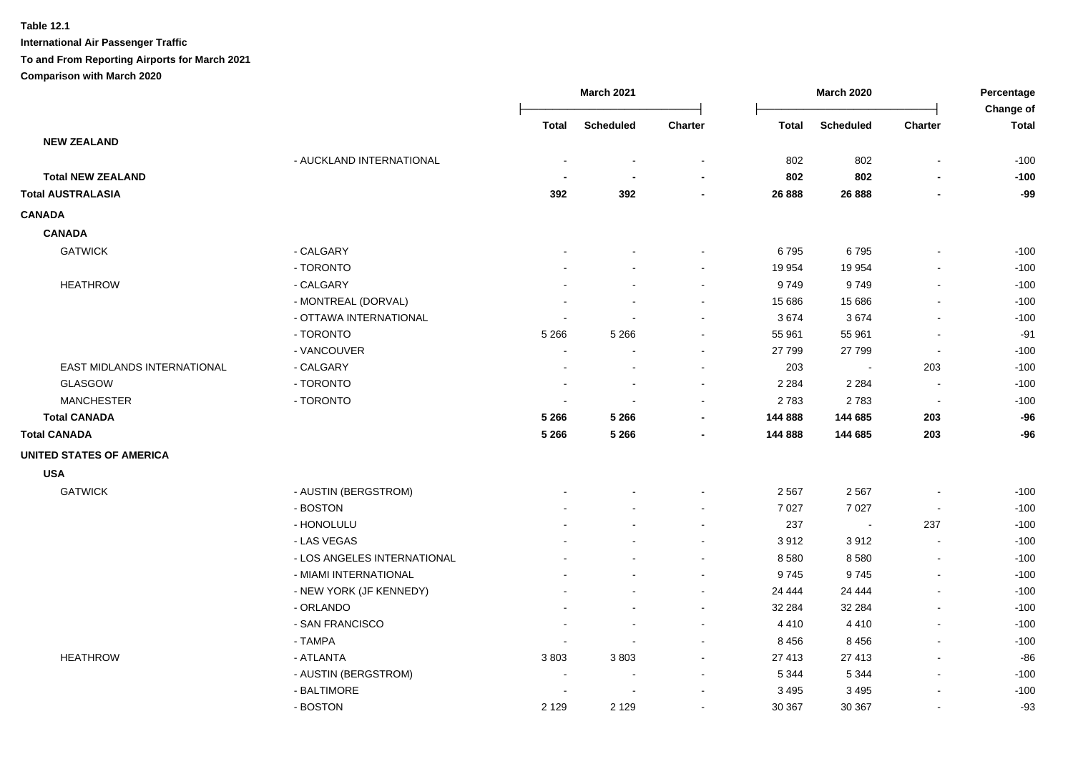**Table 12.1**

|                                 |                             |              | <b>March 2021</b> |                | March 2020 |                          | Percentage               |                           |
|---------------------------------|-----------------------------|--------------|-------------------|----------------|------------|--------------------------|--------------------------|---------------------------|
|                                 |                             | <b>Total</b> | <b>Scheduled</b>  | Charter        | Total      | <b>Scheduled</b>         | <b>Charter</b>           | Change of<br><b>Total</b> |
| <b>NEW ZEALAND</b>              |                             |              |                   |                |            |                          |                          |                           |
|                                 | - AUCKLAND INTERNATIONAL    |              |                   |                | 802        | 802                      | $\blacksquare$           | $-100$                    |
| <b>Total NEW ZEALAND</b>        |                             |              |                   |                | 802        | 802                      |                          | $-100$                    |
| <b>Total AUSTRALASIA</b>        |                             | 392          | 392               | $\blacksquare$ | 26 888     | 26 888                   |                          | -99                       |
| <b>CANADA</b>                   |                             |              |                   |                |            |                          |                          |                           |
| <b>CANADA</b>                   |                             |              |                   |                |            |                          |                          |                           |
| <b>GATWICK</b>                  | - CALGARY                   |              |                   |                | 6795       | 6795                     |                          | $-100$                    |
|                                 | - TORONTO                   |              |                   | $\sim$         | 19 954     | 19 9 54                  | $\blacksquare$           | $-100$                    |
| <b>HEATHROW</b>                 | - CALGARY                   |              |                   |                | 9749       | 9749                     |                          | $-100$                    |
|                                 | - MONTREAL (DORVAL)         |              |                   |                | 15 686     | 15 686                   | $\blacksquare$           | $-100$                    |
|                                 | - OTTAWA INTERNATIONAL      |              |                   |                | 3674       | 3674                     | $\overline{\phantom{a}}$ | $-100$                    |
|                                 | - TORONTO                   | 5 2 6 6      | 5 2 6 6           |                | 55 961     | 55 961                   | $\blacksquare$           | -91                       |
|                                 | - VANCOUVER                 |              |                   |                | 27 799     | 27 799                   | $\blacksquare$           | $-100$                    |
| EAST MIDLANDS INTERNATIONAL     | - CALGARY                   |              |                   |                | 203        |                          | 203                      | $-100$                    |
| GLASGOW                         | - TORONTO                   |              |                   |                | 2 2 8 4    | 2 2 8 4                  | $\overline{\phantom{a}}$ | $-100$                    |
| <b>MANCHESTER</b>               | - TORONTO                   |              |                   |                | 2783       | 2783                     | $\overline{\phantom{a}}$ | $-100$                    |
| <b>Total CANADA</b>             |                             | 5 2 6 6      | 5 2 6 6           |                | 144 888    | 144 685                  | 203                      | $-96$                     |
| <b>Total CANADA</b>             |                             | 5 2 6 6      | 5 2 6 6           |                | 144 888    | 144 685                  | 203                      | $-96$                     |
| <b>UNITED STATES OF AMERICA</b> |                             |              |                   |                |            |                          |                          |                           |
| <b>USA</b>                      |                             |              |                   |                |            |                          |                          |                           |
| <b>GATWICK</b>                  | - AUSTIN (BERGSTROM)        |              |                   |                | 2 5 6 7    | 2 5 6 7                  | $\overline{\phantom{a}}$ | $-100$                    |
|                                 | - BOSTON                    |              |                   | $\overline{a}$ | 7 0 2 7    | 7 0 2 7                  | $\sim$                   | $-100$                    |
|                                 | - HONOLULU                  |              |                   | $\sim$         | 237        | $\overline{\phantom{a}}$ | 237                      | $-100$                    |
|                                 | - LAS VEGAS                 |              |                   |                | 3912       | 3912                     | $\sim$                   | $-100$                    |
|                                 | - LOS ANGELES INTERNATIONAL |              |                   | $\blacksquare$ | 8 5 8 0    | 8580                     | $\blacksquare$           | $-100$                    |
|                                 | - MIAMI INTERNATIONAL       |              |                   | $\blacksquare$ | 9745       | 9745                     | $\overline{\phantom{a}}$ | $-100$                    |
|                                 | - NEW YORK (JF KENNEDY)     |              |                   | $\sim$         | 24 444     | 24 4 4 4                 | $\blacksquare$           | $-100$                    |
|                                 | - ORLANDO                   |              |                   | $\blacksquare$ | 32 284     | 32 284                   | $\blacksquare$           | $-100$                    |
|                                 | - SAN FRANCISCO             |              | $\sim$            | $\sim$         | 4 4 1 0    | 4410                     | $\blacksquare$           | $-100$                    |
|                                 | - TAMPA                     |              | $\sim$            | $\sim$         | 8 4 5 6    | 8 4 5 6                  | $\blacksquare$           | $-100$                    |
| <b>HEATHROW</b>                 | - ATLANTA                   | 3803         | 3803              | $\sim$         | 27 413     | 27 413                   | $\blacksquare$           | $-86$                     |
|                                 | - AUSTIN (BERGSTROM)        |              |                   |                | 5 3 4 4    | 5 3 4 4                  | $\blacksquare$           | $-100$                    |
|                                 | - BALTIMORE                 |              |                   |                | 3 4 9 5    | 3 4 9 5                  | $\overline{\phantom{a}}$ | $-100$                    |
|                                 | - BOSTON                    | 2 1 2 9      | 2 1 2 9           |                | 30 367     | 30 367                   | $\blacksquare$           | $-93$                     |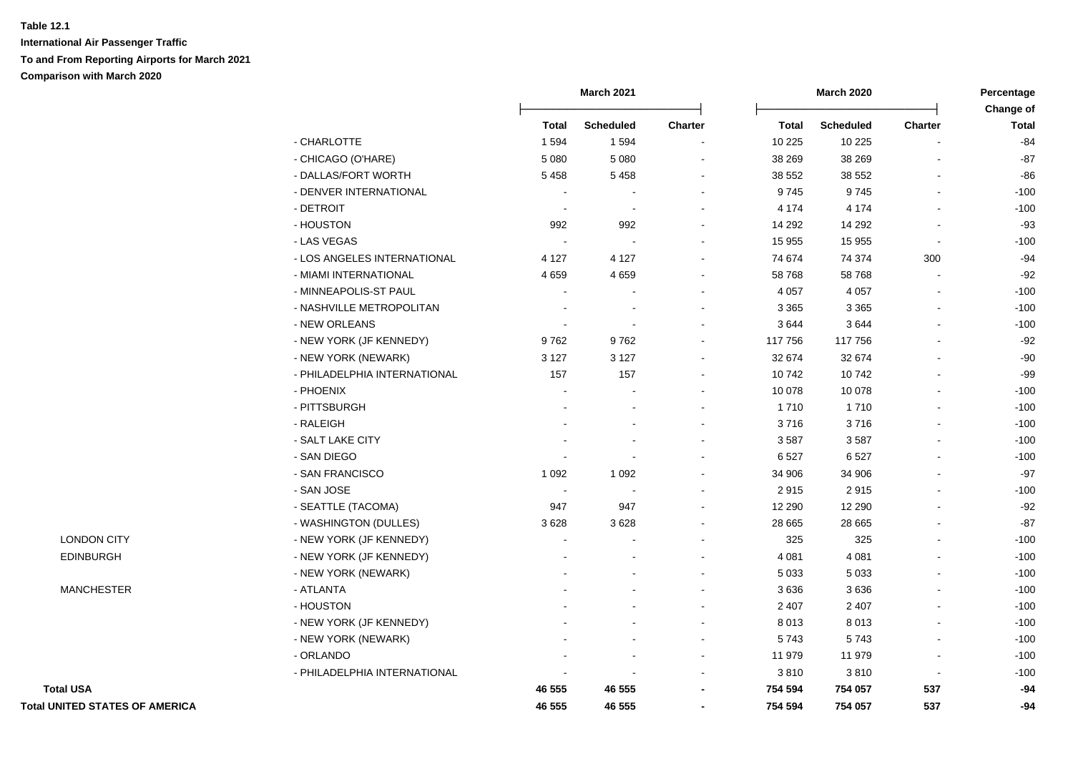|                                       |                              |                          | <b>March 2021</b> |                          |              | <b>March 2020</b> |                          | Percentage<br>Change of |  |
|---------------------------------------|------------------------------|--------------------------|-------------------|--------------------------|--------------|-------------------|--------------------------|-------------------------|--|
|                                       |                              | <b>Total</b>             | <b>Scheduled</b>  | <b>Charter</b>           | <b>Total</b> | <b>Scheduled</b>  | Charter                  | <b>Total</b>            |  |
|                                       | - CHARLOTTE                  | 1 5 9 4                  | 1594              | $\blacksquare$           | 10 225       | 10 225            |                          | $-84$                   |  |
|                                       | - CHICAGO (O'HARE)           | 5 0 8 0                  | 5 0 8 0           | $\overline{\phantom{0}}$ | 38 269       | 38 269            |                          | $-87$                   |  |
|                                       | - DALLAS/FORT WORTH          | 5458                     | 5458              | $\blacksquare$           | 38 552       | 38 552            | $\blacksquare$           | $-86$                   |  |
|                                       | - DENVER INTERNATIONAL       |                          |                   | $\blacksquare$           | 9745         | 9745              | $\blacksquare$           | $-100$                  |  |
|                                       | - DETROIT                    |                          |                   | $\blacksquare$           | 4 174        | 4 1 7 4           | $\blacksquare$           | $-100$                  |  |
|                                       | - HOUSTON                    | 992                      | 992               | $\blacksquare$           | 14 29 2      | 14 29 2           |                          | $-93$                   |  |
|                                       | - LAS VEGAS                  |                          |                   | $\blacksquare$           | 15 955       | 15 955            | $\blacksquare$           | $-100$                  |  |
|                                       | - LOS ANGELES INTERNATIONAL  | 4 1 2 7                  | 4 1 2 7           | $\blacksquare$           | 74 674       | 74 374            | 300                      | $-94$                   |  |
|                                       | - MIAMI INTERNATIONAL        | 4 6 5 9                  | 4 6 5 9           | $\blacksquare$           | 58 768       | 58 768            |                          | $-92$                   |  |
|                                       | - MINNEAPOLIS-ST PAUL        |                          |                   |                          | 4 0 5 7      | 4 0 5 7           |                          | $-100$                  |  |
|                                       | - NASHVILLE METROPOLITAN     |                          |                   | $\blacksquare$           | 3 3 6 5      | 3 3 6 5           |                          | $-100$                  |  |
|                                       | - NEW ORLEANS                | $\overline{\phantom{a}}$ |                   |                          | 3644         | 3644              |                          | $-100$                  |  |
|                                       | - NEW YORK (JF KENNEDY)      | 9762                     | 9762              |                          | 117 756      | 117 756           |                          | $-92$                   |  |
|                                       | - NEW YORK (NEWARK)          | 3 1 2 7                  | 3 1 2 7           | $\blacksquare$           | 32 674       | 32 674            |                          | $-90$                   |  |
|                                       | - PHILADELPHIA INTERNATIONAL | 157                      | 157               | $\blacksquare$           | 10742        | 10742             |                          | $-99$                   |  |
|                                       | - PHOENIX                    |                          |                   | $\blacksquare$           | 10 078       | 10 078            |                          | $-100$                  |  |
|                                       | - PITTSBURGH                 |                          |                   |                          | 1 7 1 0      | 1710              |                          | $-100$                  |  |
|                                       | - RALEIGH                    |                          |                   |                          | 3716         | 3716              |                          | $-100$                  |  |
|                                       | - SALT LAKE CITY             |                          |                   | $\blacksquare$           | 3587         | 3587              |                          | $-100$                  |  |
|                                       | - SAN DIEGO                  |                          |                   |                          | 6527         | 6527              |                          | $-100$                  |  |
|                                       | - SAN FRANCISCO              | 1 0 9 2                  | 1 0 9 2           |                          | 34 906       | 34 906            |                          | $-97$                   |  |
|                                       | - SAN JOSE                   |                          |                   |                          | 2915         | 2915              |                          | $-100$                  |  |
|                                       | - SEATTLE (TACOMA)           | 947                      | 947               |                          | 12 290       | 12 290            |                          | $-92$                   |  |
|                                       | - WASHINGTON (DULLES)        | 3628                     | 3628              |                          | 28 665       | 28 665            |                          | $-87$                   |  |
| <b>LONDON CITY</b>                    | - NEW YORK (JF KENNEDY)      |                          |                   |                          | 325          | 325               |                          | $-100$                  |  |
| <b>EDINBURGH</b>                      | - NEW YORK (JF KENNEDY)      |                          |                   |                          | 4 0 8 1      | 4 0 8 1           |                          | $-100$                  |  |
|                                       | - NEW YORK (NEWARK)          |                          |                   | ÷                        | 5 0 3 3      | 5 0 3 3           | $\overline{a}$           | $-100$                  |  |
| <b>MANCHESTER</b>                     | - ATLANTA                    |                          |                   | ÷                        | 3636         | 3636              | $\overline{a}$           | $-100$                  |  |
|                                       | - HOUSTON                    |                          |                   | $\overline{a}$           | 2 4 0 7      | 2 4 0 7           | $\sim$                   | $-100$                  |  |
|                                       | - NEW YORK (JF KENNEDY)      |                          |                   | $\overline{a}$           | 8 0 1 3      | 8013              | $\sim$                   | $-100$                  |  |
|                                       | - NEW YORK (NEWARK)          |                          |                   | $\overline{a}$           | 5743         | 5743              | $\sim$                   | $-100$                  |  |
|                                       | - ORLANDO                    |                          |                   | $\blacksquare$           | 11 979       | 11 979            | $\overline{\phantom{a}}$ | $-100$                  |  |
|                                       | - PHILADELPHIA INTERNATIONAL |                          |                   | ÷                        | 3810         | 3810              | $\sim$                   | $-100$                  |  |
| <b>Total USA</b>                      |                              | 46 555                   | 46 555            | $\blacksquare$           | 754 594      | 754 057           | 537                      | $-94$                   |  |
| <b>Total UNITED STATES OF AMERICA</b> |                              | 46 555                   | 46 555            | $\overline{\phantom{a}}$ | 754 594      | 754 057           | 537                      | $-94$                   |  |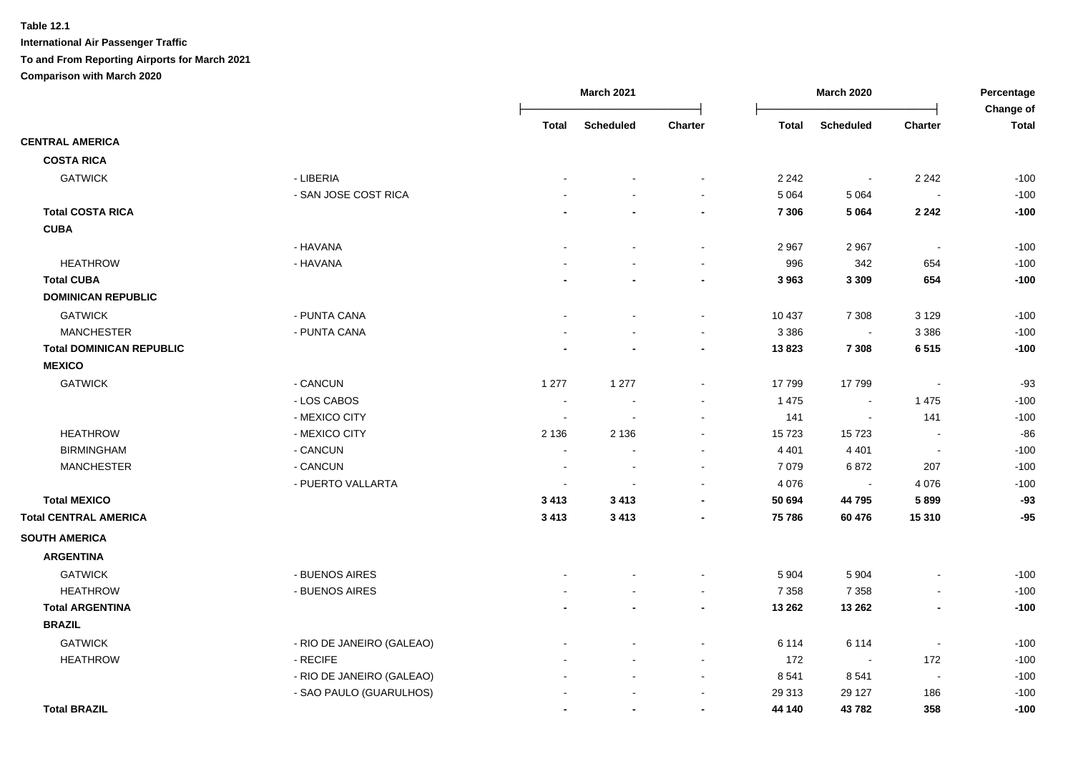|                                 |                           |                          | <b>March 2021</b> |                |              | <b>March 2020</b>        |                          | Percentage<br>Change of |
|---------------------------------|---------------------------|--------------------------|-------------------|----------------|--------------|--------------------------|--------------------------|-------------------------|
|                                 |                           | <b>Total</b>             | <b>Scheduled</b>  | <b>Charter</b> | <b>Total</b> | <b>Scheduled</b>         | <b>Charter</b>           | <b>Total</b>            |
| <b>CENTRAL AMERICA</b>          |                           |                          |                   |                |              |                          |                          |                         |
| <b>COSTA RICA</b>               |                           |                          |                   |                |              |                          |                          |                         |
| <b>GATWICK</b>                  | - LIBERIA                 |                          |                   |                | 2 2 4 2      | $\overline{\phantom{a}}$ | 2 2 4 2                  | $-100$                  |
|                                 | - SAN JOSE COST RICA      |                          |                   | $\sim$         | 5 0 6 4      | 5 0 6 4                  | $\overline{\phantom{a}}$ | $-100$                  |
| <b>Total COSTA RICA</b>         |                           |                          |                   | $\blacksquare$ | 7 3 0 6      | 5 0 6 4                  | 2 2 4 2                  | $-100$                  |
| <b>CUBA</b>                     |                           |                          |                   |                |              |                          |                          |                         |
|                                 | - HAVANA                  |                          |                   | $\blacksquare$ | 2 9 6 7      | 2 9 6 7                  | $\sim$                   | $-100$                  |
| <b>HEATHROW</b>                 | - HAVANA                  |                          |                   | $\sim$         | 996          | 342                      | 654                      | $-100$                  |
| <b>Total CUBA</b>               |                           |                          |                   | $\blacksquare$ | 3 9 6 3      | 3 3 0 9                  | 654                      | $-100$                  |
| <b>DOMINICAN REPUBLIC</b>       |                           |                          |                   |                |              |                          |                          |                         |
| <b>GATWICK</b>                  | - PUNTA CANA              |                          |                   | $\sim$         | 10 437       | 7 3 0 8                  | 3 1 2 9                  | $-100$                  |
| <b>MANCHESTER</b>               | - PUNTA CANA              |                          |                   | $\sim$         | 3 3 8 6      | $\overline{\phantom{a}}$ | 3 3 8 6                  | $-100$                  |
| <b>Total DOMINICAN REPUBLIC</b> |                           |                          |                   |                | 13823        | 7 3 0 8                  | 6515                     | $-100$                  |
| <b>MEXICO</b>                   |                           |                          |                   |                |              |                          |                          |                         |
| <b>GATWICK</b>                  | - CANCUN                  | 1 2 7 7                  | 1 2 7 7           | $\blacksquare$ | 17 799       | 17799                    | $\overline{\phantom{a}}$ | $-93$                   |
|                                 | - LOS CABOS               |                          |                   |                | 1 4 7 5      | $\blacksquare$           | 1 4 7 5                  | $-100$                  |
|                                 | - MEXICO CITY             | $\overline{\phantom{a}}$ |                   |                | 141          | $\sim$                   | 141                      | $-100$                  |
| <b>HEATHROW</b>                 | - MEXICO CITY             | 2 1 3 6                  | 2 1 3 6           |                | 15 7 23      | 15723                    | $\overline{\phantom{a}}$ | $-86$                   |
| <b>BIRMINGHAM</b>               | - CANCUN                  |                          |                   |                | 4 4 0 1      | 4 4 0 1                  | $\sim$                   | $-100$                  |
| <b>MANCHESTER</b>               | - CANCUN                  |                          | $\sim$            |                | 7 0 7 9      | 6872                     | 207                      | $-100$                  |
|                                 | - PUERTO VALLARTA         |                          |                   |                | 4 0 7 6      |                          | 4 0 7 6                  | $-100$                  |
| <b>Total MEXICO</b>             |                           | 3 4 1 3                  | 3 4 1 3           |                | 50 694       | 44 795                   | 5899                     | $-93$                   |
| <b>Total CENTRAL AMERICA</b>    |                           | 3 4 1 3                  | 3 4 1 3           |                | 75 786       | 60 476                   | 15 310                   | $-95$                   |
| <b>SOUTH AMERICA</b>            |                           |                          |                   |                |              |                          |                          |                         |
| <b>ARGENTINA</b>                |                           |                          |                   |                |              |                          |                          |                         |
| <b>GATWICK</b>                  | - BUENOS AIRES            |                          |                   |                | 5 9 0 4      | 5 9 0 4                  |                          | $-100$                  |
| <b>HEATHROW</b>                 | - BUENOS AIRES            |                          |                   |                | 7 3 5 8      | 7 3 5 8                  |                          | $-100$                  |
| <b>Total ARGENTINA</b>          |                           |                          |                   | $\blacksquare$ | 13 26 2      | 13 26 2                  |                          | $-100$                  |
| <b>BRAZIL</b>                   |                           |                          |                   |                |              |                          |                          |                         |
| <b>GATWICK</b>                  | - RIO DE JANEIRO (GALEAO) |                          |                   | $\sim$         | 6 1 1 4      | 6 1 1 4                  | $\blacksquare$           | $-100$                  |
| <b>HEATHROW</b>                 | - RECIFE                  |                          |                   |                | 172          | $\overline{\phantom{a}}$ | 172                      | $-100$                  |
|                                 | - RIO DE JANEIRO (GALEAO) |                          |                   |                | 8 5 4 1      | 8541                     | $\sim$                   | $-100$                  |
|                                 | - SAO PAULO (GUARULHOS)   |                          |                   |                | 29 31 3      | 29 127                   | 186                      | $-100$                  |
| <b>Total BRAZIL</b>             |                           |                          |                   |                | 44 140       | 43782                    | 358                      | $-100$                  |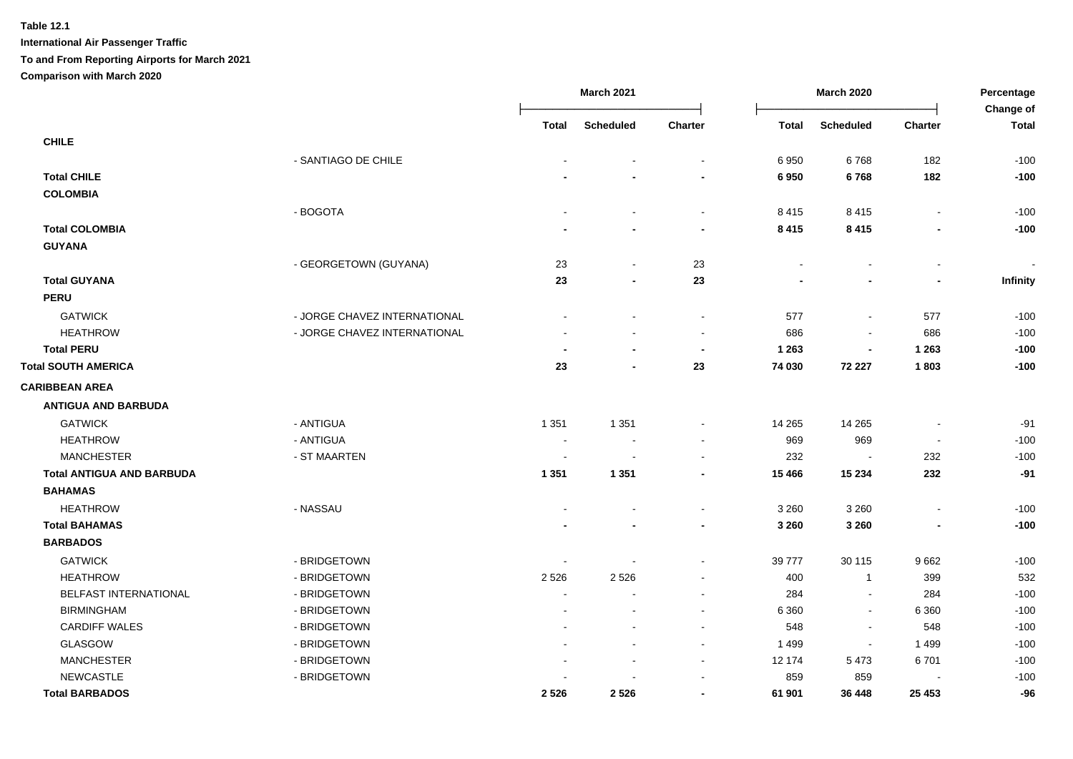|                                  |                              |                | <b>March 2021</b>        |                |              | <b>March 2020</b>        |                          | Percentage<br>Change of |
|----------------------------------|------------------------------|----------------|--------------------------|----------------|--------------|--------------------------|--------------------------|-------------------------|
|                                  |                              | Total          | <b>Scheduled</b>         | Charter        | <b>Total</b> | <b>Scheduled</b>         | Charter                  | <b>Total</b>            |
| <b>CHILE</b>                     |                              |                |                          |                |              |                          |                          |                         |
|                                  | - SANTIAGO DE CHILE          |                |                          |                | 6950         | 6768                     | 182                      | $-100$                  |
| <b>Total CHILE</b>               |                              |                |                          |                | 6950         | 6768                     | 182                      | $-100$                  |
| <b>COLOMBIA</b>                  |                              |                |                          |                |              |                          |                          |                         |
|                                  | - BOGOTA                     |                | $\sim$                   | $\sim$         | 8415         | 8415                     | $\blacksquare$           | $-100$                  |
| <b>Total COLOMBIA</b>            |                              |                |                          | $\blacksquare$ | 8 4 1 5      | 8 4 1 5                  |                          | $-100$                  |
| <b>GUYANA</b>                    |                              |                |                          |                |              |                          |                          |                         |
|                                  | - GEORGETOWN (GUYANA)        | 23             | $\overline{\phantom{a}}$ | 23             |              |                          |                          |                         |
| <b>Total GUYANA</b>              |                              | 23             | $\overline{\phantom{a}}$ | 23             |              |                          | $\overline{\phantom{a}}$ | <b>Infinity</b>         |
| <b>PERU</b>                      |                              |                |                          |                |              |                          |                          |                         |
| <b>GATWICK</b>                   | - JORGE CHAVEZ INTERNATIONAL |                |                          |                | 577          | $\blacksquare$           | 577                      | $-100$                  |
| <b>HEATHROW</b>                  | - JORGE CHAVEZ INTERNATIONAL |                |                          |                | 686          |                          | 686                      | $-100$                  |
| <b>Total PERU</b>                |                              |                |                          |                | 1 2 6 3      | $\overline{\phantom{a}}$ | 1 2 6 3                  | $-100$                  |
| <b>Total SOUTH AMERICA</b>       |                              | 23             |                          | 23             | 74 030       | 72 227                   | 1803                     | $-100$                  |
| <b>CARIBBEAN AREA</b>            |                              |                |                          |                |              |                          |                          |                         |
| <b>ANTIGUA AND BARBUDA</b>       |                              |                |                          |                |              |                          |                          |                         |
| <b>GATWICK</b>                   | - ANTIGUA                    | 1 3 5 1        | 1 3 5 1                  |                | 14 265       | 14 265                   | $\blacksquare$           | $-91$                   |
| <b>HEATHROW</b>                  | - ANTIGUA                    |                |                          |                | 969          | 969                      | $\blacksquare$           | $-100$                  |
| <b>MANCHESTER</b>                | - ST MAARTEN                 |                |                          |                | 232          |                          | 232                      | $-100$                  |
| <b>Total ANTIGUA AND BARBUDA</b> |                              | 1 3 5 1        | 1 3 5 1                  |                | 15 4 66      | 15 234                   | 232                      | $-91$                   |
| <b>BAHAMAS</b>                   |                              |                |                          |                |              |                          |                          |                         |
| <b>HEATHROW</b>                  | - NASSAU                     |                |                          | $\blacksquare$ | 3 2 6 0      | 3 2 6 0                  |                          | $-100$                  |
| <b>Total BAHAMAS</b>             |                              |                |                          | $\blacksquare$ | 3 2 6 0      | 3 2 6 0                  |                          | $-100$                  |
| <b>BARBADOS</b>                  |                              |                |                          |                |              |                          |                          |                         |
| <b>GATWICK</b>                   | - BRIDGETOWN                 |                |                          | $\sim$         | 39 777       | 30 115                   | 9662                     | $-100$                  |
| <b>HEATHROW</b>                  | - BRIDGETOWN                 | 2 5 2 6        | 2526                     | $\blacksquare$ | 400          | $\mathbf{1}$             | 399                      | 532                     |
| <b>BELFAST INTERNATIONAL</b>     | - BRIDGETOWN                 | $\overline{a}$ |                          | $\sim$         | 284          | $\blacksquare$           | 284                      | $-100$                  |
| <b>BIRMINGHAM</b>                | - BRIDGETOWN                 |                |                          |                | 6 3 6 0      | $\blacksquare$           | 6 3 6 0                  | $-100$                  |
| <b>CARDIFF WALES</b>             | - BRIDGETOWN                 |                |                          | $\blacksquare$ | 548          | $\blacksquare$           | 548                      | $-100$                  |
| GLASGOW                          | - BRIDGETOWN                 |                |                          | $\sim$         | 1 4 9 9      | $\blacksquare$           | 1 4 9 9                  | $-100$                  |
| <b>MANCHESTER</b>                | - BRIDGETOWN                 |                |                          | $\sim$         | 12 174       | 5 4 7 3                  | 6701                     | $-100$                  |
| NEWCASTLE                        | - BRIDGETOWN                 |                |                          |                | 859          | 859                      |                          | $-100$                  |
| <b>Total BARBADOS</b>            |                              | 2 5 2 6        | 2526                     | $\blacksquare$ | 61 901       | 36 448                   | 25 4 53                  | -96                     |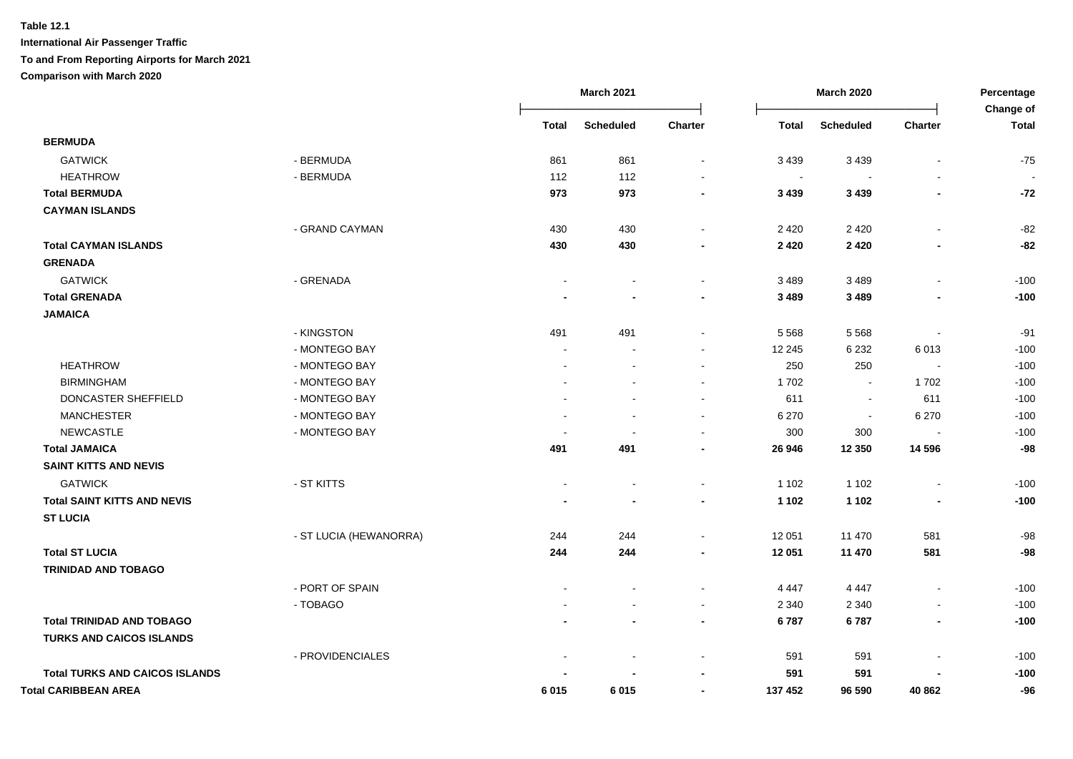|                                       |                        |                | <b>March 2021</b> |                          |              | <b>March 2020</b> |                          |                           |
|---------------------------------------|------------------------|----------------|-------------------|--------------------------|--------------|-------------------|--------------------------|---------------------------|
|                                       |                        | <b>Total</b>   | <b>Scheduled</b>  | Charter                  | <b>Total</b> | <b>Scheduled</b>  | Charter                  | Change of<br><b>Total</b> |
| <b>BERMUDA</b>                        |                        |                |                   |                          |              |                   |                          |                           |
| <b>GATWICK</b>                        | - BERMUDA              | 861            | 861               | $\sim$                   | 3 4 3 9      | 3 4 3 9           | $\blacksquare$           | $-75$                     |
| <b>HEATHROW</b>                       | - BERMUDA              | 112            | 112               |                          | $\sim$       |                   | $\blacksquare$           |                           |
| <b>Total BERMUDA</b>                  |                        | 973            | 973               | $\blacksquare$           | 3 4 3 9      | 3 4 3 9           | $\blacksquare$           | $-72$                     |
| <b>CAYMAN ISLANDS</b>                 |                        |                |                   |                          |              |                   |                          |                           |
|                                       | - GRAND CAYMAN         | 430            | 430               | $\sim$                   | 2 4 2 0      | 2 4 2 0           | $\blacksquare$           | $-82$                     |
| <b>Total CAYMAN ISLANDS</b>           |                        | 430            | 430               |                          | 2 4 2 0      | 2 4 2 0           | -                        | -82                       |
| <b>GRENADA</b>                        |                        |                |                   |                          |              |                   |                          |                           |
| <b>GATWICK</b>                        | - GRENADA              |                |                   | $\sim$                   | 3 4 8 9      | 3489              | ä,                       | $-100$                    |
| <b>Total GRENADA</b>                  |                        |                |                   | $\blacksquare$           | 3 4 8 9      | 3 4 8 9           | $\overline{\phantom{a}}$ | $-100$                    |
| <b>JAMAICA</b>                        |                        |                |                   |                          |              |                   |                          |                           |
|                                       | - KINGSTON             | 491            | 491               |                          | 5 5 6 8      | 5 5 6 8           |                          | $-91$                     |
|                                       | - MONTEGO BAY          |                |                   |                          | 12 245       | 6 2 3 2           | 6013                     | $-100$                    |
| <b>HEATHROW</b>                       | - MONTEGO BAY          |                |                   |                          | 250          | 250               |                          | $-100$                    |
| <b>BIRMINGHAM</b>                     | - MONTEGO BAY          |                |                   |                          | 1702         | $\blacksquare$    | 1702                     | $-100$                    |
| DONCASTER SHEFFIELD                   | - MONTEGO BAY          |                |                   | $\sim$                   | 611          | $\blacksquare$    | 611                      | $-100$                    |
| <b>MANCHESTER</b>                     | - MONTEGO BAY          |                |                   | $\blacksquare$           | 6 2 7 0      | $\blacksquare$    | 6 2 7 0                  | $-100$                    |
| <b>NEWCASTLE</b>                      | - MONTEGO BAY          |                |                   | $\overline{\phantom{a}}$ | 300          | 300               | $\blacksquare$           | $-100$                    |
| <b>Total JAMAICA</b>                  |                        | 491            | 491               | $\blacksquare$           | 26 946       | 12 3 5 0          | 14 5 96                  | $-98$                     |
| <b>SAINT KITTS AND NEVIS</b>          |                        |                |                   |                          |              |                   |                          |                           |
| <b>GATWICK</b>                        | - ST KITTS             | $\blacksquare$ | $\blacksquare$    | $\sim$                   | 1 1 0 2      | 1 1 0 2           | $\blacksquare$           | $-100$                    |
| <b>Total SAINT KITTS AND NEVIS</b>    |                        |                |                   | $\blacksquare$           | 1 1 0 2      | 1 1 0 2           | $\overline{\phantom{0}}$ | $-100$                    |
| <b>ST LUCIA</b>                       |                        |                |                   |                          |              |                   |                          |                           |
|                                       | - ST LUCIA (HEWANORRA) | 244            | 244               |                          | 12 051       | 11 470            | 581                      | $-98$                     |
| <b>Total ST LUCIA</b>                 |                        | 244            | 244               |                          | 12 051       | 11 470            | 581                      | $-98$                     |
| <b>TRINIDAD AND TOBAGO</b>            |                        |                |                   |                          |              |                   |                          |                           |
|                                       | - PORT OF SPAIN        |                |                   | $\sim$                   | 4 4 4 7      | 4 4 4 7           | $\sim$                   | $-100$                    |
|                                       | - TOBAGO               |                |                   | $\sim$                   | 2 3 4 0      | 2 3 4 0           | $\overline{a}$           | $-100$                    |
| <b>Total TRINIDAD AND TOBAGO</b>      |                        |                |                   | $\blacksquare$           | 6787         | 6787              | $\blacksquare$           | $-100$                    |
| <b>TURKS AND CAICOS ISLANDS</b>       |                        |                |                   |                          |              |                   |                          |                           |
|                                       | - PROVIDENCIALES       |                |                   |                          | 591          | 591               | $\overline{a}$           | $-100$                    |
| <b>Total TURKS AND CAICOS ISLANDS</b> |                        |                |                   |                          | 591          | 591               |                          | $-100$                    |
| <b>Total CARIBBEAN AREA</b>           |                        | 6015           | 6015              |                          | 137 452      | 96 590            | 40 862                   | $-96$                     |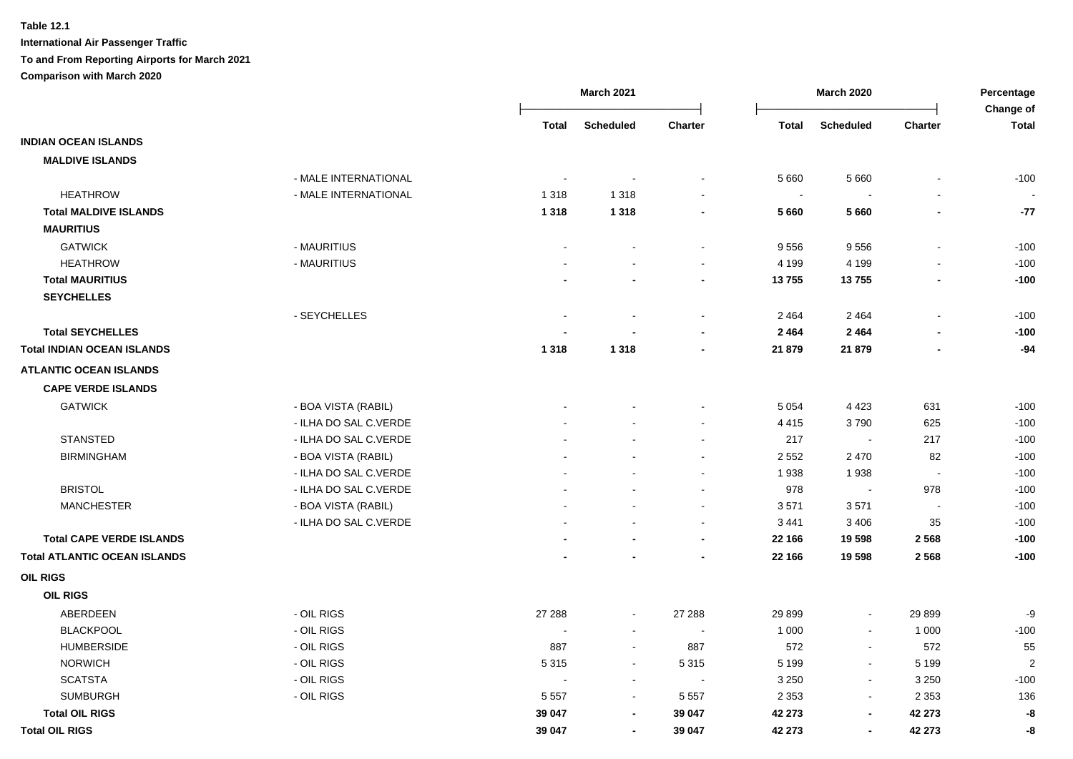|                                     |                       | <b>March 2021</b>        |                          |                          | <b>March 2020</b>        |                          |                          | Percentage<br>Change of |
|-------------------------------------|-----------------------|--------------------------|--------------------------|--------------------------|--------------------------|--------------------------|--------------------------|-------------------------|
|                                     |                       | Total                    | <b>Scheduled</b>         | <b>Charter</b>           | <b>Total</b>             | <b>Scheduled</b>         | <b>Charter</b>           | <b>Total</b>            |
| <b>INDIAN OCEAN ISLANDS</b>         |                       |                          |                          |                          |                          |                          |                          |                         |
| <b>MALDIVE ISLANDS</b>              |                       |                          |                          |                          |                          |                          |                          |                         |
|                                     | - MALE INTERNATIONAL  |                          |                          |                          | 5 6 6 0                  | 5 6 6 0                  |                          | $-100$                  |
| <b>HEATHROW</b>                     | - MALE INTERNATIONAL  | 1 3 1 8                  | 1 3 1 8                  |                          | $\overline{\phantom{a}}$ |                          |                          |                         |
| <b>Total MALDIVE ISLANDS</b>        |                       | 1 3 1 8                  | 1 3 1 8                  | $\blacksquare$           | 5 6 6 0                  | 5660                     |                          | $-77$                   |
| <b>MAURITIUS</b>                    |                       |                          |                          |                          |                          |                          |                          |                         |
| <b>GATWICK</b>                      | - MAURITIUS           | ÷,                       |                          | $\blacksquare$           | 9556                     | 9556                     | $\overline{a}$           | $-100$                  |
| <b>HEATHROW</b>                     | - MAURITIUS           |                          |                          | $\mathbf{r}$             | 4 1 9 9                  | 4 1 9 9                  |                          | $-100$                  |
| <b>Total MAURITIUS</b>              |                       |                          |                          | $\blacksquare$           | 13755                    | 13755                    | $\overline{\phantom{a}}$ | $-100$                  |
| <b>SEYCHELLES</b>                   |                       |                          |                          |                          |                          |                          |                          |                         |
|                                     | - SEYCHELLES          | $\overline{\phantom{a}}$ | $\overline{\phantom{a}}$ | $\sim$                   | 2 4 6 4                  | 2 4 6 4                  | $\blacksquare$           | $-100$                  |
| <b>Total SEYCHELLES</b>             |                       |                          |                          | $\blacksquare$           | 2 4 6 4                  | 2464                     | $\blacksquare$           | $-100$                  |
| <b>Total INDIAN OCEAN ISLANDS</b>   |                       | 1 3 1 8                  | 1 3 1 8                  | $\blacksquare$           | 21 879                   | 21 879                   | $\overline{\phantom{a}}$ | $-94$                   |
| <b>ATLANTIC OCEAN ISLANDS</b>       |                       |                          |                          |                          |                          |                          |                          |                         |
| <b>CAPE VERDE ISLANDS</b>           |                       |                          |                          |                          |                          |                          |                          |                         |
| <b>GATWICK</b>                      | - BOA VISTA (RABIL)   |                          |                          |                          | 5 0 5 4                  | 4 4 2 3                  | 631                      | $-100$                  |
|                                     | - ILHA DO SAL C.VERDE |                          |                          |                          | 4 4 1 5                  | 3790                     | 625                      | $-100$                  |
| <b>STANSTED</b>                     | - ILHA DO SAL C.VERDE |                          |                          |                          | 217                      | $\overline{\phantom{a}}$ | 217                      | $-100$                  |
| <b>BIRMINGHAM</b>                   | - BOA VISTA (RABIL)   |                          |                          |                          | 2 5 5 2                  | 2 4 7 0                  | 82                       | $-100$                  |
|                                     | - ILHA DO SAL C.VERDE |                          |                          | $\sim$                   | 1938                     | 1938                     | $\blacksquare$           | $-100$                  |
| <b>BRISTOL</b>                      | - ILHA DO SAL C.VERDE |                          |                          | $\sim$                   | 978                      | $\sim$                   | 978                      | $-100$                  |
| <b>MANCHESTER</b>                   | - BOA VISTA (RABIL)   |                          |                          | $\sim$                   | 3571                     | 3571                     | $\sim$                   | $-100$                  |
|                                     | - ILHA DO SAL C.VERDE |                          |                          | $\sim$                   | 3 4 4 1                  | 3 4 0 6                  | 35                       | $-100$                  |
| <b>Total CAPE VERDE ISLANDS</b>     |                       |                          |                          | $\blacksquare$           | 22 166                   | 19 598                   | 2568                     | $-100$                  |
| <b>Total ATLANTIC OCEAN ISLANDS</b> |                       |                          |                          | $\overline{\phantom{a}}$ | 22 166                   | 19 598                   | 2 5 6 8                  | $-100$                  |
| <b>OIL RIGS</b>                     |                       |                          |                          |                          |                          |                          |                          |                         |
| <b>OIL RIGS</b>                     |                       |                          |                          |                          |                          |                          |                          |                         |
| ABERDEEN                            | - OIL RIGS            | 27 288                   | $\sim$                   | 27 288                   | 29 899                   | $\blacksquare$           | 29 8 99                  | -9                      |
| <b>BLACKPOOL</b>                    | - OIL RIGS            | ÷                        | $\blacksquare$           | $\overline{a}$           | 1 0 0 0                  | $\blacksquare$           | 1 0 0 0                  | $-100$                  |
| <b>HUMBERSIDE</b>                   | - OIL RIGS            | 887                      | $\blacksquare$           | 887                      | 572                      | $\blacksquare$           | 572                      | 55                      |
| <b>NORWICH</b>                      | - OIL RIGS            | 5315                     | $\blacksquare$           | 5 3 1 5                  | 5 1 9 9                  | $\sim$                   | 5 1 9 9                  | $\overline{2}$          |
| <b>SCATSTA</b>                      | - OIL RIGS            | $\sim$                   | $\sim$                   | $\sim$                   | 3 2 5 0                  | $\bullet$                | 3 2 5 0                  | $-100$                  |
| <b>SUMBURGH</b>                     | - OIL RIGS            | 5 5 5 7                  | $\sim$                   | 5 5 5 7                  | 2 3 5 3                  | $\sim$                   | 2 3 5 3                  | 136                     |
| <b>Total OIL RIGS</b>               |                       | 39 047                   | $\blacksquare$           | 39 047                   | 42 273                   | $\overline{\phantom{a}}$ | 42 273                   | -8                      |
| <b>Total OIL RIGS</b>               |                       | 39 047                   | $\blacksquare$           | 39 047                   | 42 273                   | $\blacksquare$           | 42 273                   | -8                      |